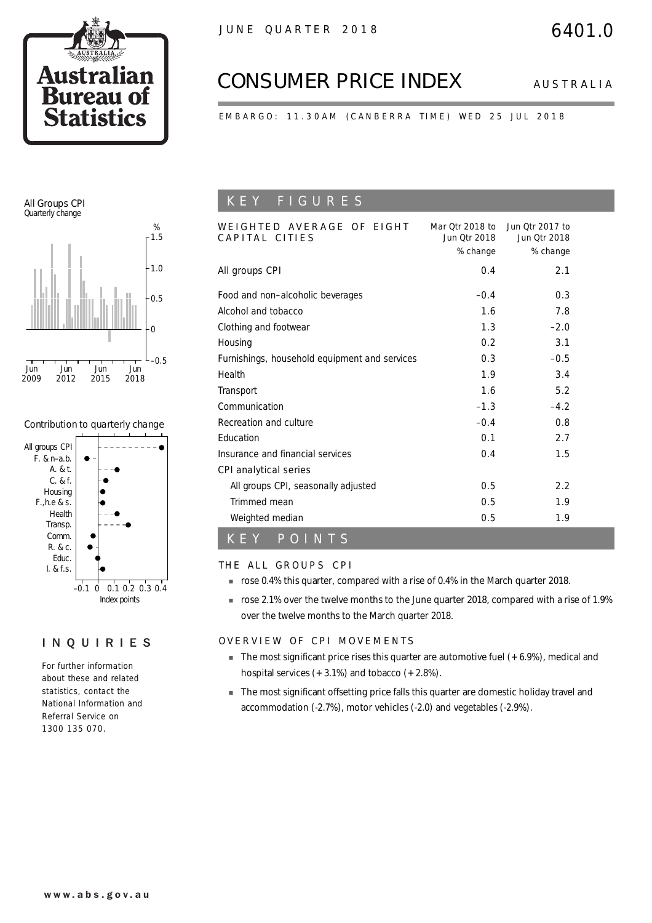

# *CONSUMER PRICE INDEX AUSTRALIA*

EMBARGO: 11.30AM (CANBERRA TIME) WED 25 JUL 2018

### All Groups CPI Quarterly change



### Contribution to quarterly change



### INQUIRIES

For further information about these and related statistics, contact the National Information and Referral Service on 1300 135 070.

## K E Y F I G U R E S

| WEIGHTED AVERAGE OF EIGHT<br>CAPITAL CITIES   | Mar Otr 2018 to<br><b>Jun Otr 2018</b><br>% change | <b>Jun Otr 2017 to</b><br><b>Jun Otr 2018</b><br>% change |  |
|-----------------------------------------------|----------------------------------------------------|-----------------------------------------------------------|--|
| All groups CPI                                | 0.4                                                | 2.1                                                       |  |
| Food and non-alcoholic beverages              | $-0.4$                                             | 0.3                                                       |  |
| Alcohol and tobacco                           | 1.6                                                | 7.8                                                       |  |
| Clothing and footwear                         | 1.3                                                | $-2.0$                                                    |  |
| Housing                                       | 0.2                                                | 3.1                                                       |  |
| Furnishings, household equipment and services | 0.3                                                | $-0.5$                                                    |  |
| Health                                        | 1.9                                                | 3.4                                                       |  |
| Transport                                     | 1.6                                                | 5.2                                                       |  |
| Communication                                 | $-1.3$                                             | $-4.2$                                                    |  |
| Recreation and culture                        | $-0.4$                                             | 0.8                                                       |  |
| Education                                     | 0.1                                                | 2.7                                                       |  |
| Insurance and financial services              | 0.4                                                | 1.5                                                       |  |
| CPI analytical series                         |                                                    |                                                           |  |
| All groups CPI, seasonally adjusted           | 0.5                                                | 2.2                                                       |  |
| Trimmed mean                                  | 0.5                                                | 1.9                                                       |  |
| Weighted median                               | 0.5                                                | 1.9                                                       |  |
| POINTS<br>K E Y                               |                                                    |                                                           |  |

### THE ALL GROUPS CPI

- ! rose 0.4% this quarter, compared with a rise of 0.4% in the March quarter 2018.
- ! rose 2.1% over the twelve months to the June quarter 2018, compared with a rise of 1.9% over the twelve months to the March quarter 2018.

### OVERVIEW OF CPI MOVEMENTS

- $\blacksquare$  The most significant price rises this quarter are automotive fuel  $(+6.9\%)$ , medical and hospital services  $(+3.1\%)$  and tobacco  $(+2.8\%)$ .
- **The most significant offsetting price falls this quarter are domestic holiday travel and** accommodation (-2.7%), motor vehicles (-2.0) and vegetables (-2.9%).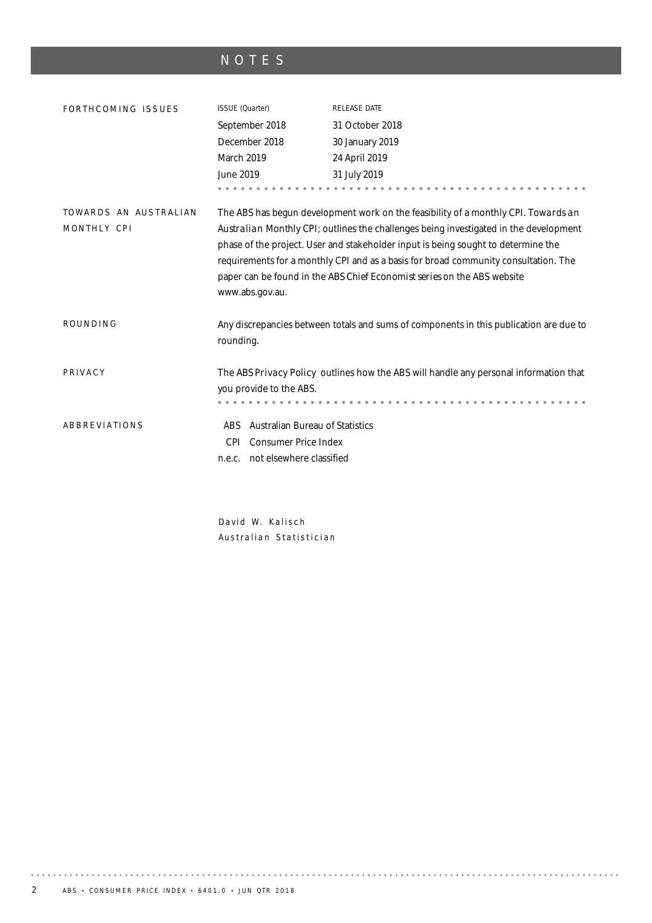# NOTES

| FORTHCOMING ISSUES                   | ISSUE (Quarter)                                                                                                                                                                                                                                                                                                                                                                                                                                       | RELEASE DATE                                                                           |  |  |  |  |
|--------------------------------------|-------------------------------------------------------------------------------------------------------------------------------------------------------------------------------------------------------------------------------------------------------------------------------------------------------------------------------------------------------------------------------------------------------------------------------------------------------|----------------------------------------------------------------------------------------|--|--|--|--|
|                                      | September 2018                                                                                                                                                                                                                                                                                                                                                                                                                                        | 31 October 2018                                                                        |  |  |  |  |
|                                      | December 2018                                                                                                                                                                                                                                                                                                                                                                                                                                         | 30 January 2019                                                                        |  |  |  |  |
|                                      | March 2019                                                                                                                                                                                                                                                                                                                                                                                                                                            | 24 April 2019                                                                          |  |  |  |  |
|                                      | June 2019                                                                                                                                                                                                                                                                                                                                                                                                                                             | 31 July 2019                                                                           |  |  |  |  |
|                                      |                                                                                                                                                                                                                                                                                                                                                                                                                                                       |                                                                                        |  |  |  |  |
| TOWARDS AN AUSTRALIAN<br>MONTHLY CPI | The ABS has begun development work on the feasibility of a monthly CPI. Towards an<br>Australian Monthly CPI; outlines the challenges being investigated in the development<br>phase of the project. User and stakeholder input is being sought to determine the<br>requirements for a monthly CPI and as a basis for broad community consultation. The<br>paper can be found in the ABS Chief Economist series on the ABS website<br>www.abs.gov.au. |                                                                                        |  |  |  |  |
| ROUNDING                             | rounding.                                                                                                                                                                                                                                                                                                                                                                                                                                             | Any discrepancies between totals and sums of components in this publication are due to |  |  |  |  |
| PRIVACY                              | you provide to the ABS.                                                                                                                                                                                                                                                                                                                                                                                                                               | The ABS Privacy Policy outlines how the ABS will handle any personal information that  |  |  |  |  |
| ABBREVIATIONS                        | Australian Bureau of Statistics<br>ABS.<br><b>Consumer Price Index</b><br>CPI.<br>not elsewhere classified<br>n.e.c.                                                                                                                                                                                                                                                                                                                                  |                                                                                        |  |  |  |  |

David W. Kalisch Australian Statistician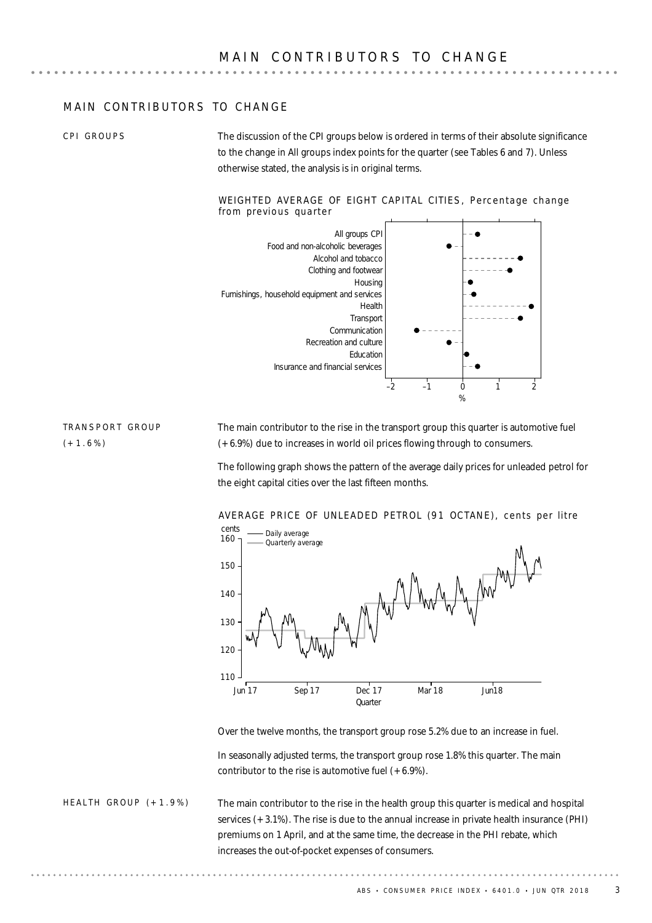### MAIN CONTRIBUTORS TO CHANGE

CPI GROUPS

The discussion of the CPI groups below is ordered in terms of their absolute significance to the change in All groups index points for the quarter (see Tables 6 and 7). Unless otherwise stated, the analysis is in original terms.

#### WEIGHTED AVERAGE OF EIGHT CAPITAL CITIES, Percentage change from previous quarter



TRANSPORT GROUP  $(+1.6%)$ 

The main contributor to the rise in the transport group this quarter is automotive fuel (+6.9%) due to increases in world oil prices flowing through to consumers.

The following graph shows the pattern of the average daily prices for unleaded petrol for the eight capital cities over the last fifteen months.



Over the twelve months, the transport group rose 5.2% due to an increase in fuel.

In seasonally adjusted terms, the transport group rose 1.8% this quarter. The main contributor to the rise is automotive fuel  $(+6.9\%)$ .

The main contributor to the rise in the health group this quarter is medical and hospital services (+3.1%). The rise is due to the annual increase in private health insurance (PHI) premiums on 1 April, and at the same time, the decrease in the PHI rebate, which increases the out-of-pocket expenses of consumers. HEALTH GROUP  $(+1.9\%)$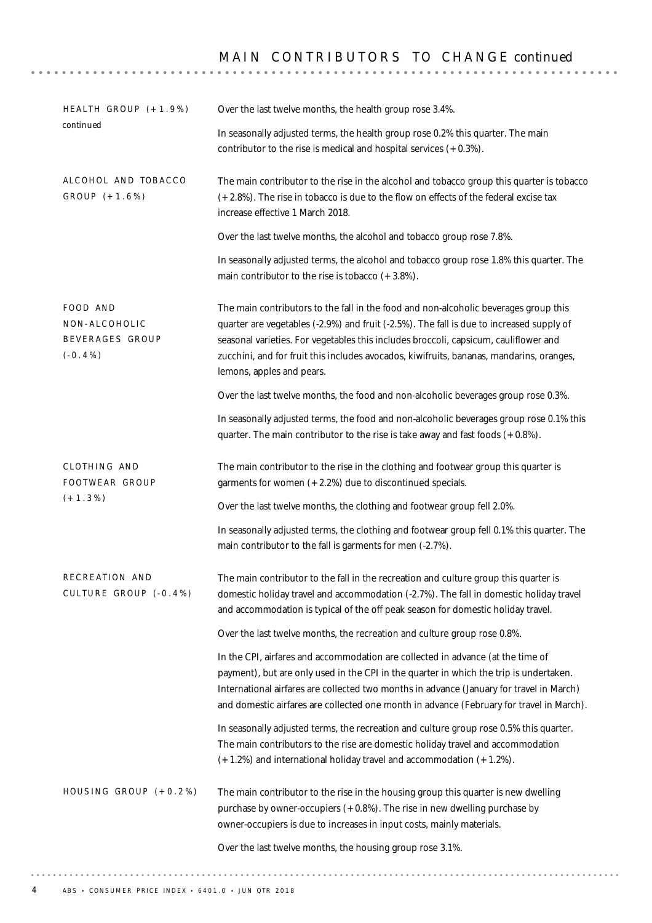# M A I N C O N T R I B U T O R S T O C H A N G E *continued*

| HEALTH GROUP (+1.9%)                                       | Over the last twelve months, the health group rose 3.4%.                                                                                                                                                                                                                                                                                                                                          |  |  |  |  |
|------------------------------------------------------------|---------------------------------------------------------------------------------------------------------------------------------------------------------------------------------------------------------------------------------------------------------------------------------------------------------------------------------------------------------------------------------------------------|--|--|--|--|
| continued                                                  | In seasonally adjusted terms, the health group rose 0.2% this quarter. The main<br>contributor to the rise is medical and hospital services $(+0.3\%)$ .                                                                                                                                                                                                                                          |  |  |  |  |
| ALCOHOL AND TOBACCO<br>GROUP (+1.6%)                       | The main contributor to the rise in the alcohol and tobacco group this quarter is tobacco<br>(+2.8%). The rise in tobacco is due to the flow on effects of the federal excise tax<br>increase effective 1 March 2018.                                                                                                                                                                             |  |  |  |  |
|                                                            | Over the last twelve months, the alcohol and tobacco group rose 7.8%.                                                                                                                                                                                                                                                                                                                             |  |  |  |  |
|                                                            | In seasonally adjusted terms, the alcohol and tobacco group rose 1.8% this quarter. The<br>main contributor to the rise is tobacco $(+3.8\%)$ .                                                                                                                                                                                                                                                   |  |  |  |  |
| FOOD AND<br>NON-ALCOHOLIC<br>BEVERAGES GROUP<br>$(-0.4\%)$ | The main contributors to the fall in the food and non-alcoholic beverages group this<br>quarter are vegetables (-2.9%) and fruit (-2.5%). The fall is due to increased supply of<br>seasonal varieties. For vegetables this includes broccoli, capsicum, cauliflower and<br>zucchini, and for fruit this includes avocados, kiwifruits, bananas, mandarins, oranges,<br>lemons, apples and pears. |  |  |  |  |
|                                                            | Over the last twelve months, the food and non-alcoholic beverages group rose 0.3%.                                                                                                                                                                                                                                                                                                                |  |  |  |  |
|                                                            | In seasonally adjusted terms, the food and non-alcoholic beverages group rose 0.1% this<br>quarter. The main contributor to the rise is take away and fast foods $(+0.8\%)$ .                                                                                                                                                                                                                     |  |  |  |  |
| CLOTHING AND<br>FOOTWEAR GROUP                             | The main contributor to the rise in the clothing and footwear group this quarter is<br>garments for women $(+2.2%)$ due to discontinued specials.                                                                                                                                                                                                                                                 |  |  |  |  |
| $(+1.3\%)$                                                 | Over the last twelve months, the clothing and footwear group fell 2.0%.                                                                                                                                                                                                                                                                                                                           |  |  |  |  |
|                                                            | In seasonally adjusted terms, the clothing and footwear group fell 0.1% this quarter. The<br>main contributor to the fall is garments for men (-2.7%).                                                                                                                                                                                                                                            |  |  |  |  |
| RECREATION AND<br>CULTURE GROUP (-0.4%)                    | The main contributor to the fall in the recreation and culture group this quarter is<br>domestic holiday travel and accommodation (-2.7%). The fall in domestic holiday travel<br>and accommodation is typical of the off peak season for domestic holiday travel.                                                                                                                                |  |  |  |  |
|                                                            | Over the last twelve months, the recreation and culture group rose 0.8%.                                                                                                                                                                                                                                                                                                                          |  |  |  |  |
|                                                            | In the CPI, airfares and accommodation are collected in advance (at the time of<br>payment), but are only used in the CPI in the quarter in which the trip is undertaken.<br>International airfares are collected two months in advance (January for travel in March)<br>and domestic airfares are collected one month in advance (February for travel in March).                                 |  |  |  |  |
|                                                            | In seasonally adjusted terms, the recreation and culture group rose 0.5% this quarter.<br>The main contributors to the rise are domestic holiday travel and accommodation<br>(+1.2%) and international holiday travel and accommodation (+1.2%).                                                                                                                                                  |  |  |  |  |
| HOUSING GROUP (+0.2%)                                      | The main contributor to the rise in the housing group this quarter is new dwelling<br>purchase by owner-occupiers (+0.8%). The rise in new dwelling purchase by<br>owner-occupiers is due to increases in input costs, mainly materials.                                                                                                                                                          |  |  |  |  |
|                                                            | Over the last twelve months, the housing group rose 3.1%.                                                                                                                                                                                                                                                                                                                                         |  |  |  |  |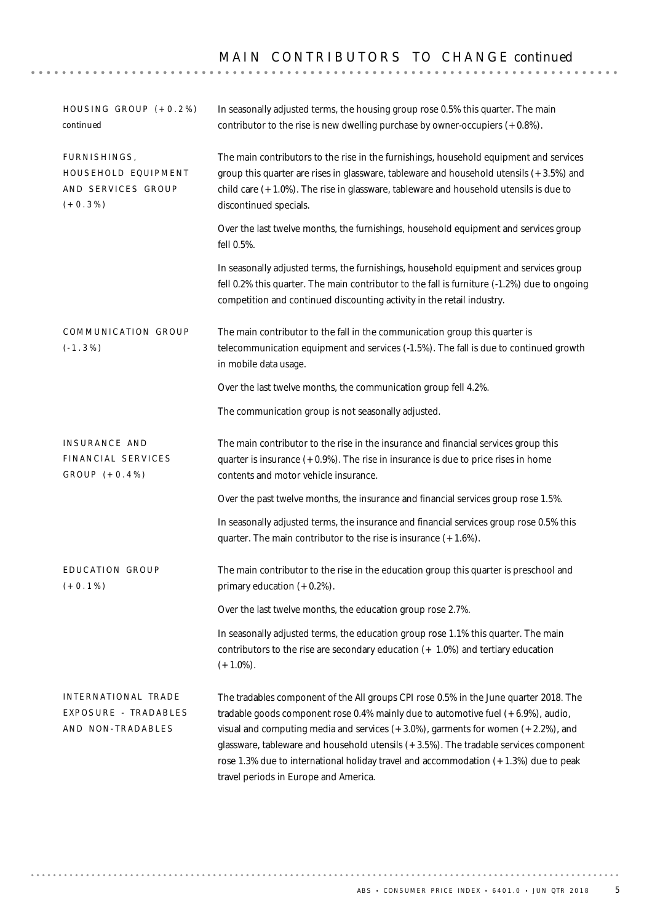| HOUSING GROUP $(+0.2%)$<br>continued                                    | In seasonally adjusted terms, the housing group rose 0.5% this quarter. The main<br>contributor to the rise is new dwelling purchase by owner-occupiers $(+0.8\%)$ .                                                                                                                                                                                                                                                                                                                              |
|-------------------------------------------------------------------------|---------------------------------------------------------------------------------------------------------------------------------------------------------------------------------------------------------------------------------------------------------------------------------------------------------------------------------------------------------------------------------------------------------------------------------------------------------------------------------------------------|
| FURNISHINGS,<br>HOUSEHOLD EQUIPMENT<br>AND SERVICES GROUP<br>$(+0.3\%)$ | The main contributors to the rise in the furnishings, household equipment and services<br>group this quarter are rises in glassware, tableware and household utensils (+3.5%) and<br>child care $(+1.0\%)$ . The rise in glassware, tableware and household utensils is due to<br>discontinued specials.                                                                                                                                                                                          |
|                                                                         | Over the last twelve months, the furnishings, household equipment and services group<br>fell 0.5%.                                                                                                                                                                                                                                                                                                                                                                                                |
|                                                                         | In seasonally adjusted terms, the furnishings, household equipment and services group<br>fell 0.2% this quarter. The main contributor to the fall is furniture (-1.2%) due to ongoing<br>competition and continued discounting activity in the retail industry.                                                                                                                                                                                                                                   |
| COMMUNICATION GROUP<br>$(-1.3\%)$                                       | The main contributor to the fall in the communication group this quarter is<br>telecommunication equipment and services (-1.5%). The fall is due to continued growth<br>in mobile data usage.                                                                                                                                                                                                                                                                                                     |
|                                                                         | Over the last twelve months, the communication group fell 4.2%.                                                                                                                                                                                                                                                                                                                                                                                                                                   |
|                                                                         | The communication group is not seasonally adjusted.                                                                                                                                                                                                                                                                                                                                                                                                                                               |
| INSURANCE AND<br>FINANCIAL SERVICES<br>$GROUP (+0.4%)$                  | The main contributor to the rise in the insurance and financial services group this<br>quarter is insurance $(+0.9\%)$ . The rise in insurance is due to price rises in home<br>contents and motor vehicle insurance.                                                                                                                                                                                                                                                                             |
|                                                                         | Over the past twelve months, the insurance and financial services group rose 1.5%.                                                                                                                                                                                                                                                                                                                                                                                                                |
|                                                                         | In seasonally adjusted terms, the insurance and financial services group rose 0.5% this<br>quarter. The main contributor to the rise is insurance (+1.6%).                                                                                                                                                                                                                                                                                                                                        |
| EDUCATION GROUP<br>$(+0.1\%)$                                           | The main contributor to the rise in the education group this quarter is preschool and<br>primary education (+0.2%).                                                                                                                                                                                                                                                                                                                                                                               |
|                                                                         | Over the last twelve months, the education group rose 2.7%.                                                                                                                                                                                                                                                                                                                                                                                                                                       |
|                                                                         | In seasonally adjusted terms, the education group rose 1.1% this quarter. The main<br>contributors to the rise are secondary education $(+ 1.0%)$ and tertiary education<br>$(+1.0\%)$ .                                                                                                                                                                                                                                                                                                          |
| INTERNATIONAL TRADE<br>EXPOSURE - TRADABLES<br>AND NON-TRADABLES        | The tradables component of the All groups CPI rose 0.5% in the June quarter 2018. The<br>tradable goods component rose 0.4% mainly due to automotive fuel $(+6.9\%)$ , audio,<br>visual and computing media and services $(+3.0\%)$ , garments for women $(+2.2\%)$ , and<br>glassware, tableware and household utensils (+3.5%). The tradable services component<br>rose 1.3% due to international holiday travel and accommodation (+1.3%) due to peak<br>travel periods in Europe and America. |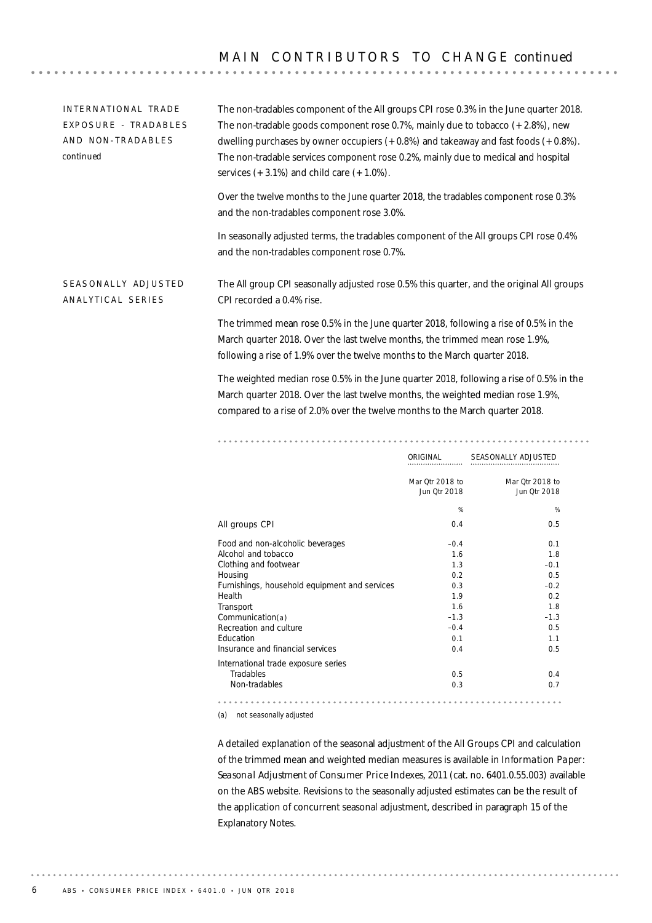### MAIN CONTRIBUTORS TO CHANGE *continued*

| INTERNATIONAL TRADE<br>EXPOSURE - TRADABLES<br>AND NON-TRADABLES<br>continued | The non-tradables component of the All groups CPI rose 0.3% in the June quarter 2018.<br>The non-tradable goods component rose 0.7%, mainly due to tobacco $(+2.8\%)$ , new<br>dwelling purchases by owner occupiers $(+0.8%)$ and takeaway and fast foods $(+0.8%)$ .<br>The non-tradable services component rose 0.2%, mainly due to medical and hospital<br>services $(+3.1\%)$ and child care $(+1.0\%)$ . |  |  |  |  |
|-------------------------------------------------------------------------------|----------------------------------------------------------------------------------------------------------------------------------------------------------------------------------------------------------------------------------------------------------------------------------------------------------------------------------------------------------------------------------------------------------------|--|--|--|--|
|                                                                               | Over the twelve months to the June quarter 2018, the tradables component rose 0.3%<br>and the non-tradables component rose 3.0%.                                                                                                                                                                                                                                                                               |  |  |  |  |
|                                                                               | In seasonally adjusted terms, the tradables component of the All groups CPI rose 0.4%<br>and the non-tradables component rose 0.7%.                                                                                                                                                                                                                                                                            |  |  |  |  |
| SEASONALLY ADJUSTED<br>ANALYTICAL SERIES                                      | The All group CPI seasonally adjusted rose 0.5% this quarter, and the original All groups<br>CPI recorded a 0.4% rise.                                                                                                                                                                                                                                                                                         |  |  |  |  |
|                                                                               | The trimmed mean rose 0.5% in the June quarter 2018, following a rise of 0.5% in the<br>March quarter 2018. Over the last twelve months, the trimmed mean rose 1.9%,<br>following a rise of 1.9% over the twelve months to the March quarter 2018.                                                                                                                                                             |  |  |  |  |
|                                                                               | The weighted median rose 0.5% in the June quarter 2018, following a rise of 0.5% in the<br>March quarter 2018. Over the last twelve months, the weighted median rose 1.9%,<br>compared to a rise of 2.0% over the twelve months to the March quarter 2018.                                                                                                                                                     |  |  |  |  |
|                                                                               |                                                                                                                                                                                                                                                                                                                                                                                                                |  |  |  |  |
|                                                                               | SEASONALLY ADJUSTED<br>ORIGINAL                                                                                                                                                                                                                                                                                                                                                                                |  |  |  |  |
|                                                                               | Mar Qtr 2018 to<br>Mar Qtr 2018 to                                                                                                                                                                                                                                                                                                                                                                             |  |  |  |  |

|                                               | Jun Qtr 2018 | Jun Qtr 2018 |
|-----------------------------------------------|--------------|--------------|
|                                               | %            | %            |
| All groups CPI                                | 0.4          | 0.5          |
| Food and non-alcoholic beverages              | $-0.4$       | 0.1          |
| Alcohol and tobacco                           | 1.6          | 1.8          |
| Clothing and footwear                         | 1.3          | $-0.1$       |
| Housing                                       | 0.2          | 0.5          |
| Furnishings, household equipment and services | 0.3          | $-0.2$       |
| Health                                        | 1.9          | 0.2          |
| Transport                                     | 1.6          | 1.8          |
| Communication(a)                              | $-1.3$       | $-1.3$       |
| Recreation and culture                        | $-0.4$       | 0.5          |
| Education                                     | 0.1          | 1.1          |
| Insurance and financial services              | 0.4          | 0.5          |
| International trade exposure series           |              |              |
| Tradables                                     | 0.5          | 0.4          |
| Non-tradables                                 | 0.3          | 0.7          |
|                                               |              |              |

(a) not seasonally adjusted

A detailed explanation of the seasonal adjustment of the All Groups CPI and calculation of the trimmed mean and weighted median measures is available in *Information Paper: Seasonal Adjustment of Consumer Price Indexes, 2011* (cat. no. 6401.0.55.003) available on the ABS website. Revisions to the seasonally adjusted estimates can be the result of the application of concurrent seasonal adjustment, described in paragraph 15 of the Explanatory Notes.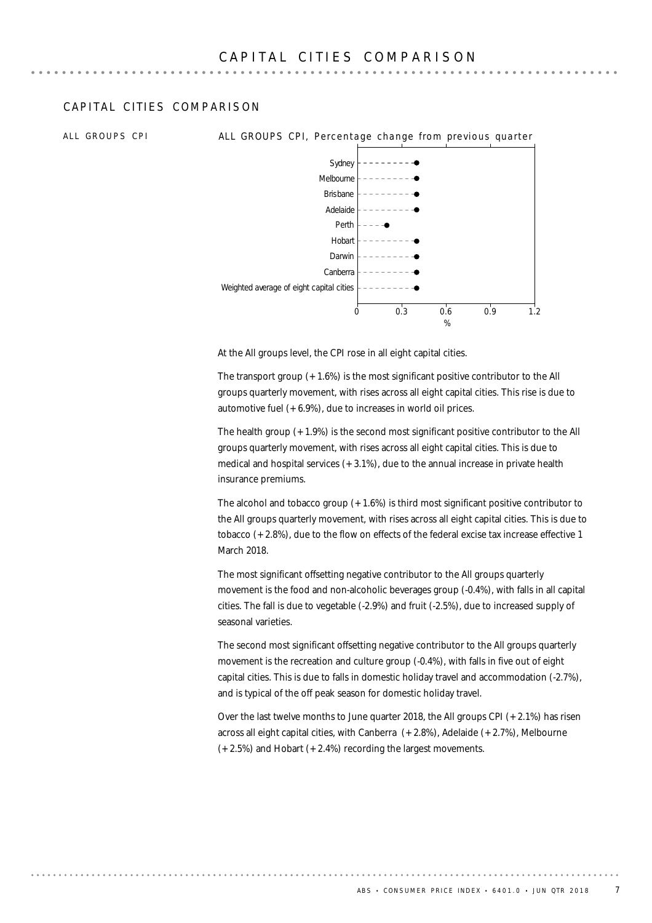### CAPITAL CITIES COMPARISON

ALL GROUPS CPI **ALL GROUPS CPI, Percentage change from previous quarter** 



At the All groups level, the CPI rose in all eight capital cities.

The transport group (+1.6%) is the most significant positive contributor to the All groups quarterly movement, with rises across all eight capital cities. This rise is due to automotive fuel (+6.9%), due to increases in world oil prices.

The health group (+1.9%) is the second most significant positive contributor to the All groups quarterly movement, with rises across all eight capital cities. This is due to medical and hospital services  $(+3.1\%)$ , due to the annual increase in private health insurance premiums.

The alcohol and tobacco group  $(+1.6%)$  is third most significant positive contributor to the All groups quarterly movement, with rises across all eight capital cities. This is due to tobacco (+2.8%), due to the flow on effects of the federal excise tax increase effective 1 March 2018.

The most significant offsetting negative contributor to the All groups quarterly movement is the food and non-alcoholic beverages group (-0.4%), with falls in all capital cities. The fall is due to vegetable (-2.9%) and fruit (-2.5%), due to increased supply of seasonal varieties.

The second most significant offsetting negative contributor to the All groups quarterly movement is the recreation and culture group (-0.4%), with falls in five out of eight capital cities. This is due to falls in domestic holiday travel and accommodation (-2.7%), and is typical of the off peak season for domestic holiday travel.

Over the last twelve months to June quarter 2018, the All groups CPI (+2.1%) has risen across all eight capital cities, with Canberra (+2.8%), Adelaide (+2.7%), Melbourne (+2.5%) and Hobart (+2.4%) recording the largest movements.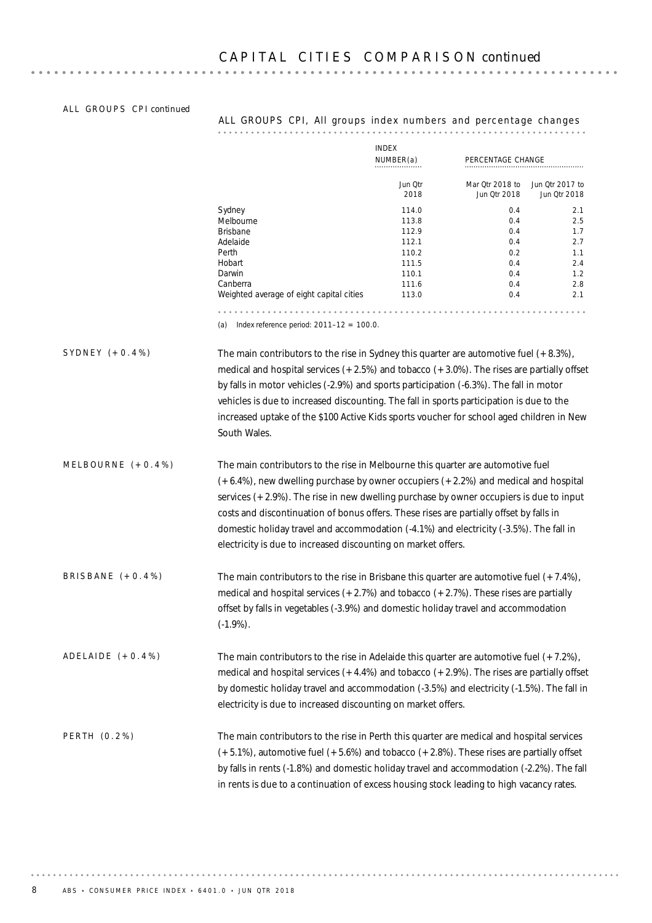### ALL GROUPS CPI continued

### ALL GROUPS CPI, All groups index numbers and percentage changes

|                      |                                                                                                                                                                                                                                                                                                                                                                                                                                                                                                                               | <b>INDEX</b><br>NUMBER(a) | PERCENTAGE CHANGE               |                                 |
|----------------------|-------------------------------------------------------------------------------------------------------------------------------------------------------------------------------------------------------------------------------------------------------------------------------------------------------------------------------------------------------------------------------------------------------------------------------------------------------------------------------------------------------------------------------|---------------------------|---------------------------------|---------------------------------|
|                      |                                                                                                                                                                                                                                                                                                                                                                                                                                                                                                                               | Jun Qtr<br>2018           | Mar Qtr 2018 to<br>Jun Qtr 2018 | Jun Qtr 2017 to<br>Jun Qtr 2018 |
|                      | Sydney                                                                                                                                                                                                                                                                                                                                                                                                                                                                                                                        | 114.0                     | 0.4                             | 2.1                             |
|                      | Melbourne                                                                                                                                                                                                                                                                                                                                                                                                                                                                                                                     | 113.8                     | 0.4                             | 2.5                             |
|                      | <b>Brisbane</b>                                                                                                                                                                                                                                                                                                                                                                                                                                                                                                               | 112.9                     | 0.4                             | 1.7                             |
|                      | Adelaide                                                                                                                                                                                                                                                                                                                                                                                                                                                                                                                      | 112.1                     | 0.4                             | 2.7                             |
|                      | Perth                                                                                                                                                                                                                                                                                                                                                                                                                                                                                                                         | 110.2                     | 0.2                             | 1.1                             |
|                      | Hobart<br>Darwin                                                                                                                                                                                                                                                                                                                                                                                                                                                                                                              | 111.5<br>110.1            | 0.4                             | 2.4                             |
|                      | Canberra                                                                                                                                                                                                                                                                                                                                                                                                                                                                                                                      | 111.6                     | 0.4<br>0.4                      | 1.2<br>2.8                      |
|                      | Weighted average of eight capital cities                                                                                                                                                                                                                                                                                                                                                                                                                                                                                      | 113.0                     | 0.4                             | 2.1                             |
|                      | Index reference period: $2011-12 = 100.0$ .<br>(a)                                                                                                                                                                                                                                                                                                                                                                                                                                                                            |                           |                                 |                                 |
| SYDNEY $(+0.4%)$     | The main contributors to the rise in Sydney this quarter are automotive fuel $(+8.3\%)$ ,<br>medical and hospital services $(+2.5%)$ and tobacco $(+3.0%)$ . The rises are partially offset<br>by falls in motor vehicles (-2.9%) and sports participation (-6.3%). The fall in motor<br>vehicles is due to increased discounting. The fall in sports participation is due to the<br>increased uptake of the \$100 Active Kids sports voucher for school aged children in New<br>South Wales.                                 |                           |                                 |                                 |
| MELBOURNE $(+0.4\%)$ | The main contributors to the rise in Melbourne this quarter are automotive fuel<br>$(+6.4%)$ , new dwelling purchase by owner occupiers $(+2.2%)$ and medical and hospital<br>services $(+2.9%)$ . The rise in new dwelling purchase by owner occupiers is due to input<br>costs and discontinuation of bonus offers. These rises are partially offset by falls in<br>domestic holiday travel and accommodation (-4.1%) and electricity (-3.5%). The fall in<br>electricity is due to increased discounting on market offers. |                           |                                 |                                 |
| BRISBANE $(+0.4\%)$  | The main contributors to the rise in Brisbane this quarter are automotive fuel $(+7.4\%)$ ,<br>medical and hospital services $(+2.7%)$ and tobacco $(+2.7%)$ . These rises are partially<br>offset by falls in vegetables (-3.9%) and domestic holiday travel and accommodation<br>$(-1.9\%)$ .                                                                                                                                                                                                                               |                           |                                 |                                 |
| ADELAIDE $(+0.4\%)$  | The main contributors to the rise in Adelaide this quarter are automotive fuel $(+7.2\%)$ ,<br>medical and hospital services $(+4.4%)$ and tobacco $(+2.9%)$ . The rises are partially offset<br>by domestic holiday travel and accommodation (-3.5%) and electricity (-1.5%). The fall in<br>electricity is due to increased discounting on market offers.                                                                                                                                                                   |                           |                                 |                                 |
| PERTH (0.2%)         | The main contributors to the rise in Perth this quarter are medical and hospital services<br>$(+5.1%)$ , automotive fuel $(+5.6%)$ and tobacco $(+2.8%)$ . These rises are partially offset<br>by falls in rents (-1.8%) and domestic holiday travel and accommodation (-2.2%). The fall<br>in rents is due to a continuation of excess housing stock leading to high vacancy rates.                                                                                                                                          |                           |                                 |                                 |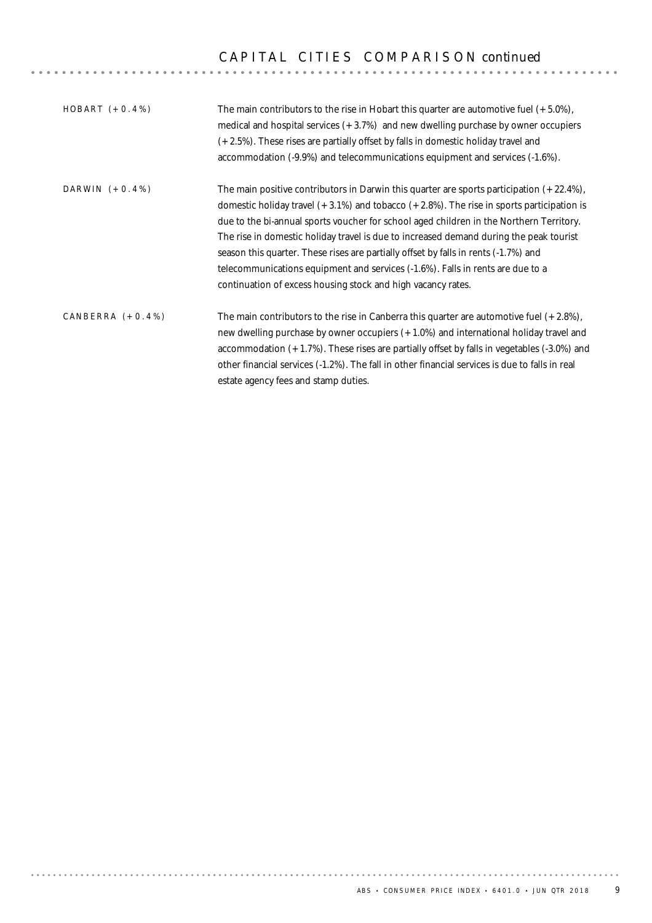# C A P I T A L C I T I E S C O M P A R I S O N *continued*

| $HOBART (+0.4%)$    | The main contributors to the rise in Hobart this quarter are automotive fuel $(+5.0\%)$ ,<br>medical and hospital services $(+3.7%)$ and new dwelling purchase by owner occupiers<br>(+2.5%). These rises are partially offset by falls in domestic holiday travel and<br>accommodation (-9.9%) and telecommunications equipment and services (-1.6%).                                                                                                                                                                                                                                                                        |
|---------------------|-------------------------------------------------------------------------------------------------------------------------------------------------------------------------------------------------------------------------------------------------------------------------------------------------------------------------------------------------------------------------------------------------------------------------------------------------------------------------------------------------------------------------------------------------------------------------------------------------------------------------------|
| DARWIN $(+0.4\%)$   | The main positive contributors in Darwin this quarter are sports participation $(+22.4\%)$ ,<br>domestic holiday travel $(+3.1\%)$ and tobacco $(+2.8\%)$ . The rise in sports participation is<br>due to the bi-annual sports voucher for school aged children in the Northern Territory.<br>The rise in domestic holiday travel is due to increased demand during the peak tourist<br>season this quarter. These rises are partially offset by falls in rents (-1.7%) and<br>telecommunications equipment and services (-1.6%). Falls in rents are due to a<br>continuation of excess housing stock and high vacancy rates. |
| CANBERRA $(+0.4\%)$ | The main contributors to the rise in Canberra this quarter are automotive fuel $(+2.8\%)$ ,<br>new dwelling purchase by owner occupiers (+1.0%) and international holiday travel and<br>accommodation $(+1.7%)$ . These rises are partially offset by falls in vegetables $(-3.0%)$ and<br>other financial services (-1.2%). The fall in other financial services is due to falls in real<br>estate agency fees and stamp duties.                                                                                                                                                                                             |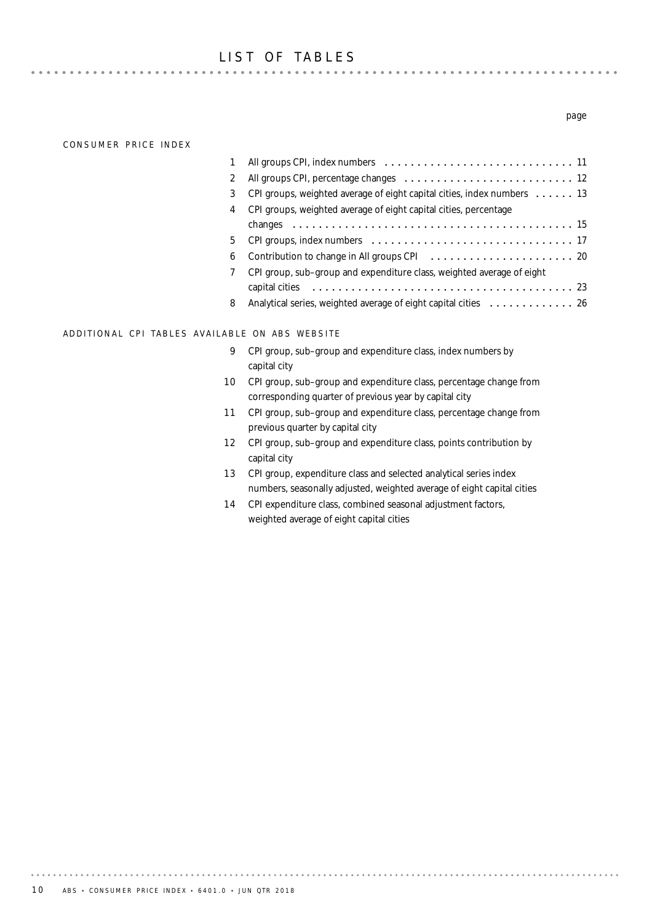### LIST OF TABLES

**\*\*\*\*\*\*\*\*\*\*\*\*** 

#### CONSUMER PRICE INDEX

 $-1$   $-1$   $-1$   $-1$   $-1$ 

| $\mathbf{2}^{\prime}$ |                                                                                      |
|-----------------------|--------------------------------------------------------------------------------------|
| 3                     | CPI groups, weighted average of eight capital cities, index numbers $\dots \dots$ 13 |
| 4                     | CPI groups, weighted average of eight capital cities, percentage                     |
|                       |                                                                                      |
| 5.                    |                                                                                      |
| 6                     |                                                                                      |
| $\overline{7}$        | CPI group, sub-group and expenditure class, weighted average of eight                |
|                       |                                                                                      |
| 8                     | Analytical series, weighted average of eight capital cities 26                       |

### ADDITIONAL CPI TABLES AVAILABLE ON ABS WEBSITE

- **9** CPI group, sub–group and expenditure class, index numbers by capital city
- 10 CPI group, sub-group and expenditure class, percentage change from corresponding quarter of previous year by capital city
- 11 CPI group, sub-group and expenditure class, percentage change from previous quarter by capital city
- 12 CPI group, sub–group and expenditure class, points contribution by capital city
- 13 CPI group, expenditure class and selected analytical series index numbers, seasonally adjusted, weighted average of eight capital cities
- 14 CPI expenditure class, combined seasonal adjustment factors, weighted average of eight capital cities

#### *page*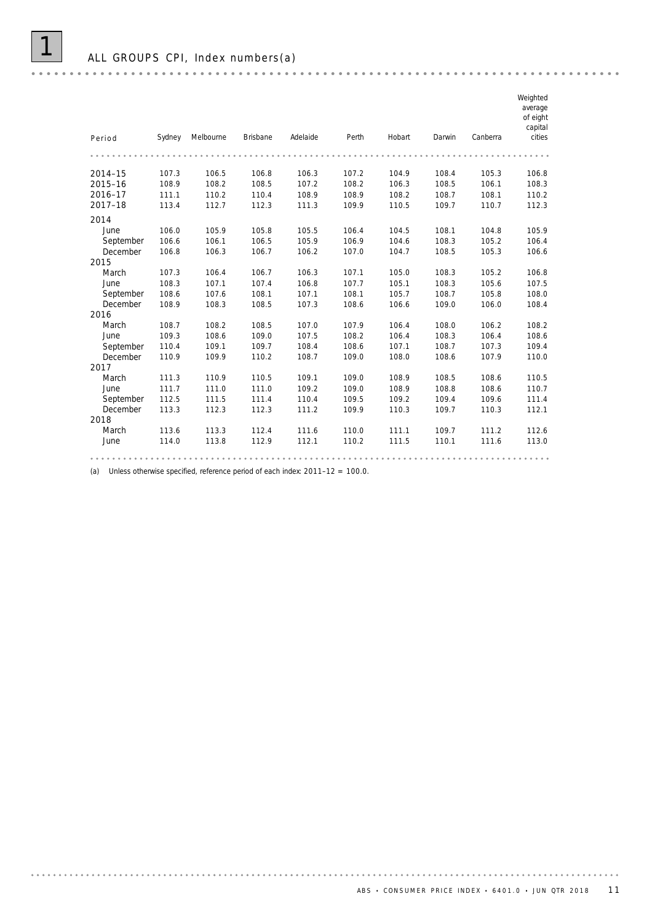| Period    | Sydney | Melbourne | <b>Brisbane</b> | Adelaide | Perth | Hobart | Darwin | Canberra | Weighted<br>average<br>of eight<br>capital<br>cities |
|-----------|--------|-----------|-----------------|----------|-------|--------|--------|----------|------------------------------------------------------|
|           |        |           |                 |          |       |        |        |          |                                                      |
|           |        |           |                 |          |       |        |        |          |                                                      |
| 2014-15   | 107.3  | 106.5     | 106.8           | 106.3    | 107.2 | 104.9  | 108.4  | 105.3    | 106.8                                                |
| 2015-16   | 108.9  | 108.2     | 108.5           | 107.2    | 108.2 | 106.3  | 108.5  | 106.1    | 108.3                                                |
| 2016-17   | 111.1  | 110.2     | 110.4           | 108.9    | 108.9 | 108.2  | 108.7  | 108.1    | 110.2                                                |
| 2017-18   | 113.4  | 112.7     | 112.3           | 111.3    | 109.9 | 110.5  | 109.7  | 110.7    | 112.3                                                |
| 2014      |        |           |                 |          |       |        |        |          |                                                      |
| June      | 106.0  | 105.9     | 105.8           | 105.5    | 106.4 | 104.5  | 108.1  | 104.8    | 105.9                                                |
| September | 106.6  | 106.1     | 106.5           | 105.9    | 106.9 | 104.6  | 108.3  | 105.2    | 106.4                                                |
| December  | 106.8  | 106.3     | 106.7           | 106.2    | 107.0 | 104.7  | 108.5  | 105.3    | 106.6                                                |
| 2015      |        |           |                 |          |       |        |        |          |                                                      |
| March     | 107.3  | 106.4     | 106.7           | 106.3    | 107.1 | 105.0  | 108.3  | 105.2    | 106.8                                                |
| June      | 108.3  | 107.1     | 107.4           | 106.8    | 107.7 | 105.1  | 108.3  | 105.6    | 107.5                                                |
| September | 108.6  | 107.6     | 108.1           | 107.1    | 108.1 | 105.7  | 108.7  | 105.8    | 108.0                                                |
| December  | 108.9  | 108.3     | 108.5           | 107.3    | 108.6 | 106.6  | 109.0  | 106.0    | 108.4                                                |
| 2016      |        |           |                 |          |       |        |        |          |                                                      |
| March     | 108.7  | 108.2     | 108.5           | 107.0    | 107.9 | 106.4  | 108.0  | 106.2    | 108.2                                                |
| June      | 109.3  | 108.6     | 109.0           | 107.5    | 108.2 | 106.4  | 108.3  | 106.4    | 108.6                                                |
| September | 110.4  | 109.1     | 109.7           | 108.4    | 108.6 | 107.1  | 108.7  | 107.3    | 109.4                                                |
| December  | 110.9  | 109.9     | 110.2           | 108.7    | 109.0 | 108.0  | 108.6  | 107.9    | 110.0                                                |
| 2017      |        |           |                 |          |       |        |        |          |                                                      |
| March     | 111.3  | 110.9     | 110.5           | 109.1    | 109.0 | 108.9  | 108.5  | 108.6    | 110.5                                                |
| June      | 111.7  | 111.0     | 111.0           | 109.2    | 109.0 | 108.9  | 108.8  | 108.6    | 110.7                                                |
| September | 112.5  | 111.5     | 111.4           | 110.4    | 109.5 | 109.2  | 109.4  | 109.6    | 111.4                                                |
| December  | 113.3  | 112.3     | 112.3           | 111.2    | 109.9 | 110.3  | 109.7  | 110.3    | 112.1                                                |
| 2018      |        |           |                 |          |       |        |        |          |                                                      |
| March     | 113.6  | 113.3     | 112.4           | 111.6    | 110.0 | 111.1  | 109.7  | 111.2    | 112.6                                                |
| June      | 114.0  | 113.8     | 112.9           | 112.1    | 110.2 | 111.5  | 110.1  | 111.6    | 113.0                                                |
|           |        |           |                 |          |       |        |        |          |                                                      |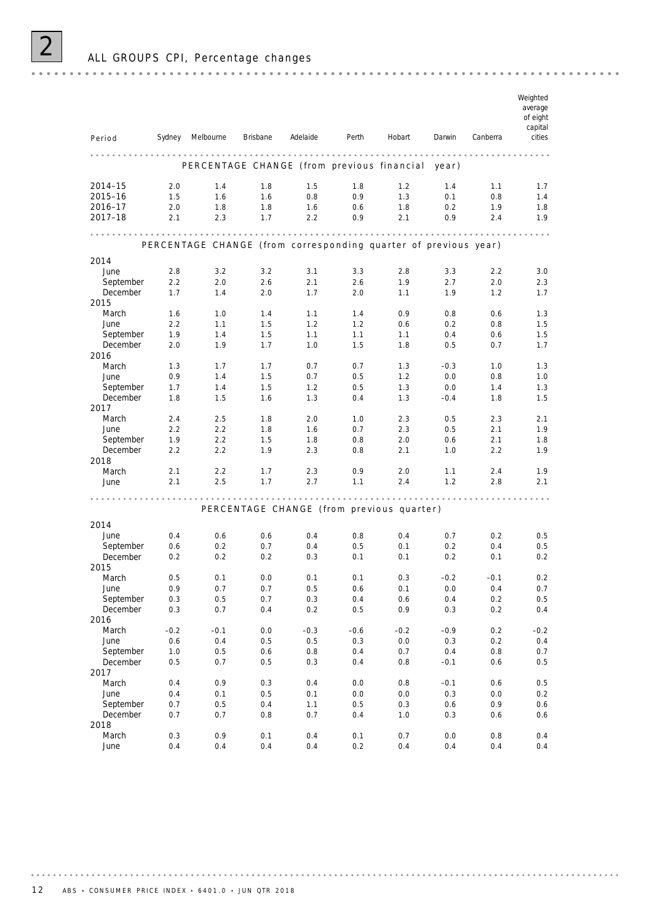| Period                | Sydney  | Melbourne                                                       | Brisbane | Adelaide | Perth  | Hobart                                    | Darwin  | Canberra | Weighted<br>average<br>of eight<br>capital<br>cities |
|-----------------------|---------|-----------------------------------------------------------------|----------|----------|--------|-------------------------------------------|---------|----------|------------------------------------------------------|
|                       |         | PERCENTAGE CHANGE (from previous financial                      |          |          |        |                                           | year)   |          |                                                      |
| 2014-15               | 2.0     | 1.4                                                             | 1.8      | 1.5      | 1.8    | 1.2                                       | 1.4     | 1.1      | 1.7                                                  |
| 2015-16               | 1.5     | 1.6                                                             | 1.6      | 0.8      | 0.9    | 1.3                                       | 0.1     | 0.8      | 1.4                                                  |
| 2016-17               | 2.0     | 1.8                                                             | 1.8      | 1.6      | 0.6    | 1.8                                       | 0.2     | 1.9      | 1.8                                                  |
| 2017-18               | 2.1     | 2.3                                                             | 1.7      | 2.2      | 0.9    | 2.1                                       | 0.9     | 2.4      | 1.9                                                  |
|                       |         | PERCENTAGE CHANGE (from corresponding quarter of previous year) |          |          |        |                                           |         |          |                                                      |
| 2014                  |         |                                                                 |          |          |        |                                           |         |          |                                                      |
| June                  | 2.8     | 3.2                                                             | 3.2      | 3.1      | 3.3    | 2.8                                       | 3.3     | 2.2      | 3.0                                                  |
| September             | 2.2     | 2.0                                                             | 2.6      | 2.1      | 2.6    | 1.9                                       | 2.7     | 2.0      | 2.3                                                  |
| December              | 1.7     | 1.4                                                             | 2.0      | 1.7      | 2.0    | 1.1                                       | 1.9     | 1.2      | 1.7                                                  |
| 2015                  |         |                                                                 |          |          |        |                                           |         |          |                                                      |
| March                 | 1.6     | 1.0                                                             | 1.4      | 1.1      | 1.4    | 0.9                                       | 0.8     | 0.6      | 1.3                                                  |
| June                  | 2.2     | 1.1                                                             | 1.5      | 1.2      | 1.2    | 0.6                                       | 0.2     | 0.8      | 1.5                                                  |
| September             | 1.9     | 1.4                                                             | 1.5      | 1.1      | 1.1    | 1.1                                       | 0.4     | 0.6      | 1.5                                                  |
| December              | 2.0     | 1.9                                                             | 1.7      | 1.0      | 1.5    | 1.8                                       | 0.5     | 0.7      | 1.7                                                  |
| 2016                  |         |                                                                 |          |          |        |                                           |         |          |                                                      |
| March                 | 1.3     | 1.7                                                             | 1.7      | 0.7      | 0.7    | 1.3                                       | $-0.3$  | 1.0      | 1.3                                                  |
| June                  | 0.9     | 1.4                                                             | 1.5      | 0.7      | 0.5    | 1.2                                       | 0.0     | 0.8      | 1.0                                                  |
| September<br>December | 1.7     | 1.4                                                             | 1.5      | 1.2      | 0.5    | 1.3                                       | 0.0     | 1.4      | 1.3                                                  |
| 2017                  | 1.8     | 1.5                                                             | 1.6      | 1.3      | 0.4    | 1.3                                       | $-0.4$  | 1.8      | 1.5                                                  |
| March                 | 2.4     | 2.5                                                             | 1.8      | 2.0      | 1.0    | 2.3                                       | 0.5     | 2.3      | 2.1                                                  |
| June                  | 2.2     | 2.2                                                             | 1.8      | 1.6      | 0.7    | 2.3                                       | 0.5     | 2.1      | 1.9                                                  |
| September             | 1.9     | 2.2                                                             | 1.5      | 1.8      | 0.8    | 2.0                                       | 0.6     | 2.1      | 1.8                                                  |
| December              | 2.2     | 2.2                                                             | 1.9      | 2.3      | 0.8    | 2.1                                       | 1.0     | 2.2      | 1.9                                                  |
| 2018                  |         |                                                                 |          |          |        |                                           |         |          |                                                      |
| March                 | 2.1     | 2.2                                                             | 1.7      | 2.3      | 0.9    | 2.0                                       | 1.1     | 2.4      | 1.9                                                  |
| June                  | 2.1     | 2.5                                                             | 1.7      | 2.7      | 1.1    | 2.4                                       | 1.2     | 2.8      | 2.1                                                  |
|                       |         |                                                                 |          |          |        |                                           |         |          |                                                      |
|                       |         |                                                                 |          |          |        | PERCENTAGE CHANGE (from previous quarter) |         |          |                                                      |
| 2014                  |         |                                                                 |          |          |        |                                           |         |          |                                                      |
| June                  | 0.4     | 0.6                                                             | 0.6      | 0.4      | 0.8    | 0.4                                       | 0.7     | 0.2      | 0.5                                                  |
| September             | 0.6     | 0.2                                                             | 0.7      | 0.4      | 0.5    | 0.1                                       | 0.2     | 0.4      | 0.5                                                  |
| December              | 0.2     | 0.2                                                             | 0.2      | 0.3      | 0.1    | 0.1                                       | 0.2     | 0.1      | 0.2                                                  |
| 2015                  |         |                                                                 |          |          |        |                                           |         |          |                                                      |
| March                 | 0.5     | 0.1                                                             | 0.0      | 0.1      | 0.1    | 0.3                                       | $-0.2$  | $-0.1$   | 0.2                                                  |
| June                  | 0.9     | 0.7                                                             | 0.7      | 0.5      | 0.6    | 0.1                                       | 0.0     | 0.4      | 0.7                                                  |
| September             | $0.3\,$ | 0.5                                                             | 0.7      | 0.3      | 0.4    | 0.6                                       | $0.4\,$ | $0.2\,$  | 0.5                                                  |
| December              | $0.3\,$ | 0.7                                                             | 0.4      | 0.2      | 0.5    | 0.9                                       | $0.3\,$ | $0.2\,$  | 0.4                                                  |
| 2016                  |         |                                                                 |          |          |        |                                           |         |          |                                                      |
| March                 | $-0.2$  | $-0.1$                                                          | $0.0\,$  | $-0.3$   | $-0.6$ | $-0.2$                                    | $-0.9$  | $0.2\,$  | $-0.2$                                               |
| June                  | 0.6     | 0.4                                                             | $0.5\,$  | 0.5      | 0.3    | $0.0\,$                                   | 0.3     | 0.2      | 0.4                                                  |
| September             | 1.0     | 0.5                                                             | 0.6      | 0.8      | 0.4    | 0.7                                       | 0.4     | 0.8      | 0.7                                                  |
| December              | 0.5     | 0.7                                                             | 0.5      | 0.3      | 0.4    | 0.8                                       | $-0.1$  | 0.6      | 0.5                                                  |
| 2017                  |         |                                                                 |          |          |        |                                           |         |          |                                                      |
| March                 | 0.4     | 0.9                                                             | $0.3\,$  | 0.4      | 0.0    | $0.8\,$                                   | $-0.1$  | 0.6      | 0.5                                                  |
| June                  | 0.4     | 0.1                                                             | $0.5\,$  | 0.1      | 0.0    | $0.0\,$                                   | 0.3     | 0.0      | 0.2                                                  |
| September             | 0.7     | 0.5                                                             | 0.4      | 1.1      | 0.5    | $0.3\,$                                   | 0.6     | 0.9      | 0.6                                                  |
| December              | 0.7     | 0.7                                                             | 0.8      | 0.7      | 0.4    | $1.0\,$                                   | 0.3     | 0.6      | 0.6                                                  |
| 2018                  |         |                                                                 |          |          |        |                                           |         |          |                                                      |
| March                 | $0.3\,$ | 0.9                                                             | 0.1      | 0.4      | 0.1    | 0.7                                       | $0.0\,$ | 0.8      | 0.4                                                  |

June 0.4 0.4 0.4 0.4 0.2 0.4 0.4 0.4 0.4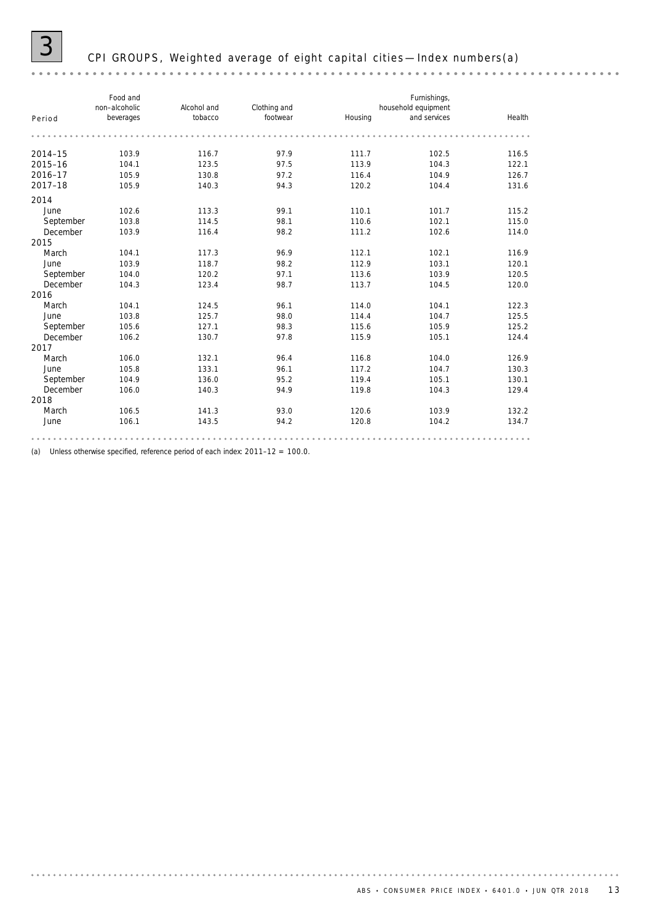### 3 CPI GROUPS, Weighted average of eight capital cities —Index numbers(a)

#### *Food and Furnishings, non–alcoholic Alcohol and Clothing and household equipment Housing and services Health Period beverages tobacco footwear* **2014–15** 103.9 116.7 97.9 111.7 102.5 116.5 **2015–16** 104.1 123.5 97.5 113.9 104.3 122.1 **2016–17** 105.9 130.8 97.2 116.4 104.9 126.7 **2017–18** 105.9 140.3 94.3 120.2 104.4 131.6 2014 June 102.6 113.3 99.1 110.1 101.7 115.2 September 103.8 114.5 98.1 110.6 102.1 115.0 December 103.9 116.4 98.2 111.2 102.6 114.0 2015 March 104.1 117.3 96.9 112.1 102.1 116.9 June 103.9 118.7 98.2 112.9 103.1 120.1 September 104.0 120.2 97.1 113.6 103.9 120.5 December 104.3 123.4 98.7 113.7 104.5 120.0 2016 March 104.1 124.5 96.1 114.0 104.1 122.3 June 103.8 125.7 98.0 114.4 104.7 125.5 September 105.6 127.1 98.3 115.6 105.9 125.2 December 106.2 130.7 97.8 115.9 105.1 124.4 2017 March 106.0 132.1 96.4 116.8 104.0 126.9 June 105.8 133.1 96.1 117.2 104.7 130.3 September 104.9 136.0 95.2 119.4 105.1 130.1 December 106.0 140.3 94.9 119.8 104.3 129.4 2018 March 106.5 141.3 93.0 120.6 103.9 132.2 June 106.1 143.5 94.2 120.8 104.2 134.7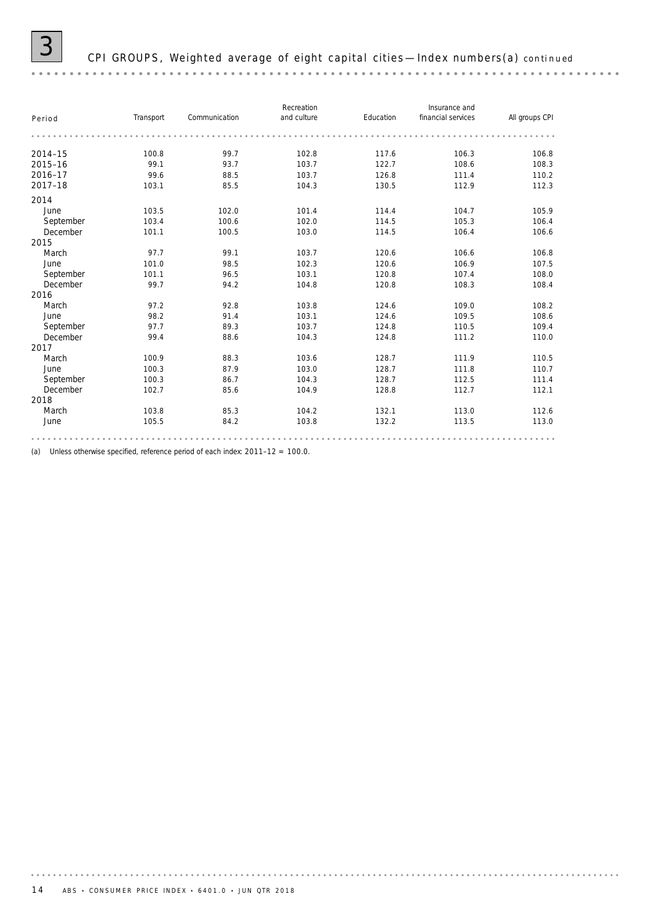| Period    | Transport | Communication | Recreation<br>and culture | Education | Insurance and<br>financial services | All groups CPI |
|-----------|-----------|---------------|---------------------------|-----------|-------------------------------------|----------------|
|           |           |               |                           |           |                                     |                |
| 2014-15   | 100.8     | 99.7          | 102.8                     | 117.6     | 106.3                               | 106.8          |
| 2015-16   | 99.1      | 93.7          | 103.7                     | 122.7     | 108.6                               | 108.3          |
| 2016-17   | 99.6      | 88.5          | 103.7                     | 126.8     | 111.4                               | 110.2          |
| 2017-18   | 103.1     | 85.5          | 104.3                     | 130.5     | 112.9                               | 112.3          |
| 2014      |           |               |                           |           |                                     |                |
| June      | 103.5     | 102.0         | 101.4                     | 114.4     | 104.7                               | 105.9          |
| September | 103.4     | 100.6         | 102.0                     | 114.5     | 105.3                               | 106.4          |
| December  | 101.1     | 100.5         | 103.0                     | 114.5     | 106.4                               | 106.6          |
| 2015      |           |               |                           |           |                                     |                |
| March     | 97.7      | 99.1          | 103.7                     | 120.6     | 106.6                               | 106.8          |
| June      | 101.0     | 98.5          | 102.3                     | 120.6     | 106.9                               | 107.5          |
| September | 101.1     | 96.5          | 103.1                     | 120.8     | 107.4                               | 108.0          |
| December  | 99.7      | 94.2          | 104.8                     | 120.8     | 108.3                               | 108.4          |
| 2016      |           |               |                           |           |                                     |                |
| March     | 97.2      | 92.8          | 103.8                     | 124.6     | 109.0                               | 108.2          |
| June      | 98.2      | 91.4          | 103.1                     | 124.6     | 109.5                               | 108.6          |
| September | 97.7      | 89.3          | 103.7                     | 124.8     | 110.5                               | 109.4          |
| December  | 99.4      | 88.6          | 104.3                     | 124.8     | 111.2                               | 110.0          |
| 2017      |           |               |                           |           |                                     |                |
| March     | 100.9     | 88.3          | 103.6                     | 128.7     | 111.9                               | 110.5          |
| June      | 100.3     | 87.9          | 103.0                     | 128.7     | 111.8                               | 110.7          |
| September | 100.3     | 86.7          | 104.3                     | 128.7     | 112.5                               | 111.4          |
| December  | 102.7     | 85.6          | 104.9                     | 128.8     | 112.7                               | 112.1          |
| 2018      |           |               |                           |           |                                     |                |
| March     | 103.8     | 85.3          | 104.2                     | 132.1     | 113.0                               | 112.6          |
| June      | 105.5     | 84.2          | 103.8                     | 132.2     | 113.5                               | 113.0          |
|           |           |               |                           |           |                                     |                |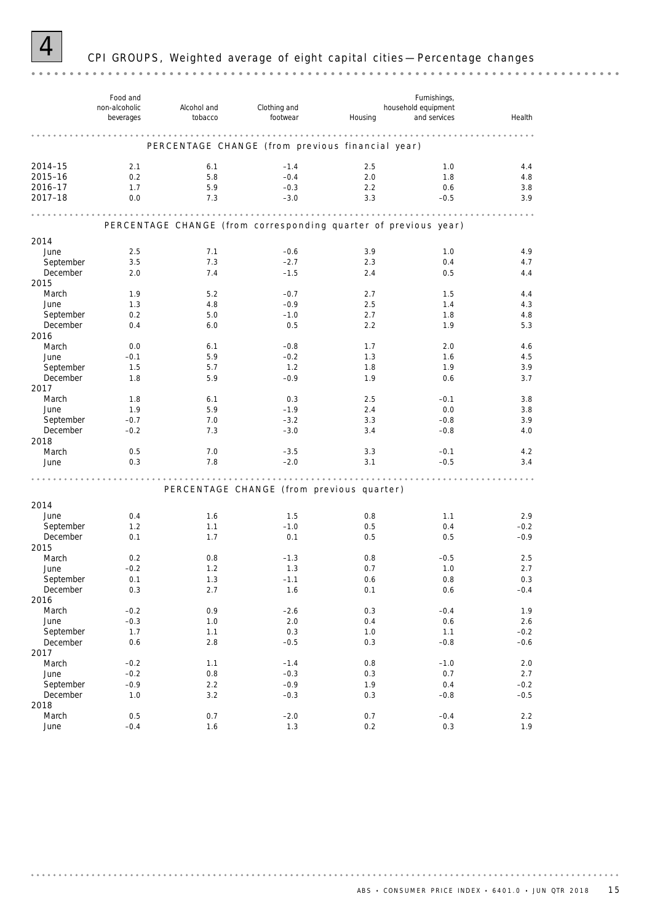

# 4 CPI GROUPS, Weighted average of eight capital cities —Percentage changes

|                  | Food and<br>non-alcoholic<br>beverages | Alcohol and<br>tobacco | Clothing and<br>footwear                                        | Housing    | Furnishings,<br>household equipment<br>and services | Health     |
|------------------|----------------------------------------|------------------------|-----------------------------------------------------------------|------------|-----------------------------------------------------|------------|
|                  |                                        |                        | .                                                               | .          |                                                     |            |
|                  |                                        |                        | PERCENTAGE CHANGE (from previous financial year)                |            |                                                     |            |
| 2014-15          | 2.1                                    | 6.1                    | $-1.4$                                                          | 2.5        | 1.0                                                 | 4.4        |
| 2015-16          | 0.2                                    | 5.8                    | $-0.4$                                                          | 2.0        | 1.8                                                 | 4.8        |
| 2016-17          | 1.7                                    | 5.9                    | $-0.3$                                                          | 2.2        | 0.6                                                 | 3.8        |
| 2017-18          | 0.0                                    | 7.3                    | $-3.0$                                                          | 3.3        | $-0.5$                                              | 3.9        |
|                  |                                        | .                      | .<br>.                                                          |            | .                                                   |            |
|                  |                                        |                        | PERCENTAGE CHANGE (from corresponding quarter of previous year) |            |                                                     |            |
|                  |                                        |                        |                                                                 |            |                                                     |            |
| 2014<br>June     |                                        | 7.1                    |                                                                 |            |                                                     |            |
| September        | 2.5<br>3.5                             | 7.3                    | $-0.6$<br>$-2.7$                                                | 3.9<br>2.3 | 1.0<br>0.4                                          | 4.9<br>4.7 |
| December         | 2.0                                    | 7.4                    | $-1.5$                                                          | 2.4        | 0.5                                                 | 4.4        |
| 2015             |                                        |                        |                                                                 |            |                                                     |            |
| March            | 1.9                                    | 5.2                    | $-0.7$                                                          | 2.7        | 1.5                                                 | 4.4        |
| June             | 1.3                                    | 4.8                    | $-0.9$                                                          | 2.5        | 1.4                                                 | 4.3        |
| September        | 0.2                                    | 5.0                    | $-1.0$                                                          | 2.7        | 1.8                                                 | 4.8        |
| December         | 0.4                                    | 6.0                    | 0.5                                                             | 2.2        | 1.9                                                 | 5.3        |
| 2016             |                                        |                        |                                                                 |            |                                                     |            |
| March            | 0.0                                    | 6.1                    | $-0.8$                                                          | 1.7        | 2.0                                                 | 4.6        |
| June             | $-0.1$                                 | 5.9                    | $-0.2$                                                          | 1.3        | 1.6                                                 | 4.5        |
| September        | 1.5                                    | 5.7                    | 1.2                                                             | 1.8        | 1.9                                                 | 3.9        |
| December         | 1.8                                    | 5.9                    | $-0.9$                                                          | 1.9        | 0.6                                                 | 3.7        |
| 2017             |                                        |                        |                                                                 |            |                                                     |            |
| March            | 1.8                                    | 6.1                    | 0.3                                                             | 2.5        | $-0.1$                                              | 3.8        |
| June             | 1.9                                    | 5.9                    | $-1.9$                                                          | 2.4        | 0.0                                                 | 3.8        |
| September        | $-0.7$                                 | 7.0                    | $-3.2$                                                          | 3.3        | $-0.8$                                              | 3.9        |
| December         | $-0.2$                                 | 7.3                    | $-3.0$                                                          | 3.4        | $-0.8$                                              | 4.0        |
| 2018<br>March    | 0.5                                    | 7.0                    | $-3.5$                                                          | 3.3        | $-0.1$                                              | 4.2        |
| June             | 0.3                                    | 7.8                    | $-2.0$                                                          | 3.1        | $-0.5$                                              | 3.4        |
|                  |                                        |                        |                                                                 |            |                                                     |            |
|                  |                                        |                        |                                                                 |            |                                                     |            |
|                  |                                        |                        | PERCENTAGE CHANGE (from previous quarter)                       |            |                                                     |            |
| 2014             |                                        |                        |                                                                 |            |                                                     |            |
| June             | 0.4                                    | 1.6                    | 1.5                                                             | 0.8        | 1.1                                                 | 2.9        |
| September        | 1.2                                    | 1.1                    | $-1.0$                                                          | 0.5        | 0.4                                                 | $-0.2$     |
| December         | 0.1                                    | 1.7                    | 0.1                                                             | 0.5        | 0.5                                                 | $-0.9$     |
| 2015             |                                        |                        |                                                                 |            |                                                     |            |
| March            | 0.2                                    | 0.8                    | $-1.3$                                                          | 0.8        | $-0.5$                                              | 2.5        |
| June             | $-0.2$                                 | 1.2                    | 1.3                                                             | 0.7        | 1.0                                                 | 2.7        |
| September        | 0.1                                    | $1.3\,$                | $-1.1$                                                          | 0.6        | $0.8\,$                                             | 0.3        |
| December<br>2016 | 0.3                                    | 2.7                    | 1.6                                                             | 0.1        | 0.6                                                 | $-0.4$     |
| March            | $-0.2$                                 | 0.9                    | $-2.6$                                                          | 0.3        | $-0.4$                                              | 1.9        |
| June             | $-0.3$                                 | 1.0                    | 2.0                                                             | 0.4        | 0.6                                                 | $2.6\,$    |
| September        | 1.7                                    | 1.1                    | 0.3                                                             | $1.0$      | 1.1                                                 | $-0.2$     |
| December         | 0.6                                    | $2.8\,$                | $-0.5$                                                          | 0.3        | $-0.8$                                              | $-0.6$     |
| 2017             |                                        |                        |                                                                 |            |                                                     |            |
| March            | $-0.2$                                 | 1.1                    | $-1.4$                                                          | 0.8        | $-1.0$                                              | 2.0        |
| June             | $-0.2$                                 | $0.8\,$                | $-0.3$                                                          | 0.3        | 0.7                                                 | 2.7        |
| September        | $-0.9$                                 | 2.2                    | $-0.9$                                                          | 1.9        | 0.4                                                 | $-0.2$     |
| December         | $1.0$                                  | $3.2\,$                | $-0.3$                                                          | 0.3        | $-0.8$                                              | $-0.5$     |
| 2018             |                                        |                        |                                                                 |            |                                                     |            |
| March            | $0.5\,$                                | 0.7                    | $-2.0$                                                          | 0.7        | $-0.4$                                              | 2.2        |
| June             | $-0.4$                                 | 1.6                    | 1.3                                                             | $0.2\,$    | 0.3                                                 | 1.9        |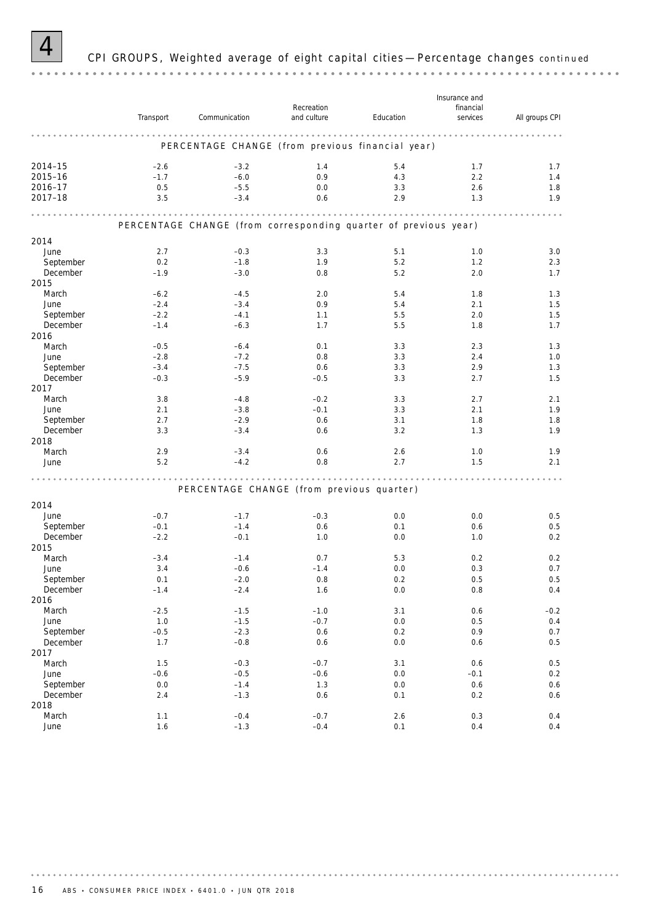

### 4 CPI GROUPS, Weighted average of eight capital cities —Percentage changes *continued*

*Insurance and Recreation financial Transport Communication Education services All groups CPI* PERCENTAGE CHANGE (from previous financial year) **2014–15** –2.6 –3.2 1.4 5.4 1.7 1.7 1.7 1.7 **2015–16** – 1.7 – 6.0 0.9 4.3 2.2 1.4 2016–17 0.5 –5.5 0.0 3.3 2.6 1.8 **2017–18** 3.5 – 3.4 0.6 2.9 1.3 1.9 PERCENTAGE CHANGE (from corresponding quarter of previous year) 2014 June 2.7 – 0.3 3.3 5.1 1.0 3.0 September 0.2 –1.8 1.9 5.2 1.2 2.3 December –1.9 –3.0 0.8 5.2 2.0 1.7 2015 March –6.2 –4.5 2.0 5.4 1.8 1.3 June –2.4 –3.4 0.9 5.4 2.1 1.5 September –2.2 –4.1 1.1 5.5 2.0 1.5 December –1.4 –6.3 1.7 5.5 1.8 1.7 2016 March –0.5 –6.4 0.1 3.3 2.3 1.3 June –2.8 –7.2 0.8 3.3 2.4 1.0 September –3.4 –7.5 0.6 3.3 2.9 1.3 December –0.3 –5.9 –0.5 3.3 2.7 1.5 2017 March 3.8 –4.8 –0.2 3.3 2.7 2.1 June 2.1 –3.8 –0.1 3.3 2.1 1.9 September 2.7 –2.9 0.6 3.1 1.8 1.8 1.8 December 3.3 –3.4 0.6 3.2 1.3 1.9 2018 March 2.9 –3.4 0.6 2.6 1.0 1.9 June 5.2 –4.2 0.8 2.7 1.5 2.1 PERCENTAGE CHANGE (from previous quarter) 2014 June –0.7 –1.7 –0.3 0.0 0.0 0.5 September –0.1 –1.4 0.6 0.1 0.6 0.5 December –2.2 –0.1 1.0 0.0 1.0 0.2 2015 March –3.4 –1.4 0.7 5.3 0.2 0.2 June 3.4 –0.6 –1.4 0.0 0.3 0.7 September 0.1 –2.0 0.8 0.2 0.5 0.5 December –1.4 –2.4 1.6 0.0 0.8 0.4 2016 March –2.5 –1.5 –1.0 3.1 0.6 –0.2 June 1.0 –1.5 –0.7 0.0 0.5 0.4 September –0.5 –2.3 0.6 0.2 0.9 0.7 December 1.7 –0.8 0.6 0.0 0.6 0.5 2017 March 1.5 – 0.3 – 0.7 3.1 0.6 0.5 0.5 June –0.6 –0.5 –0.6 0.0 –0.1 0.2 September 0.0 –1.4 1.3 0.0 0.6 0.6 December 2.4 –1.3 0.6 0.1 0.2 0.6 2018 March 1.1 –0.4 –0.7 2.6 0.3 0.4 June 1.6 –1.3 –0.4 0.1 0.4 0.4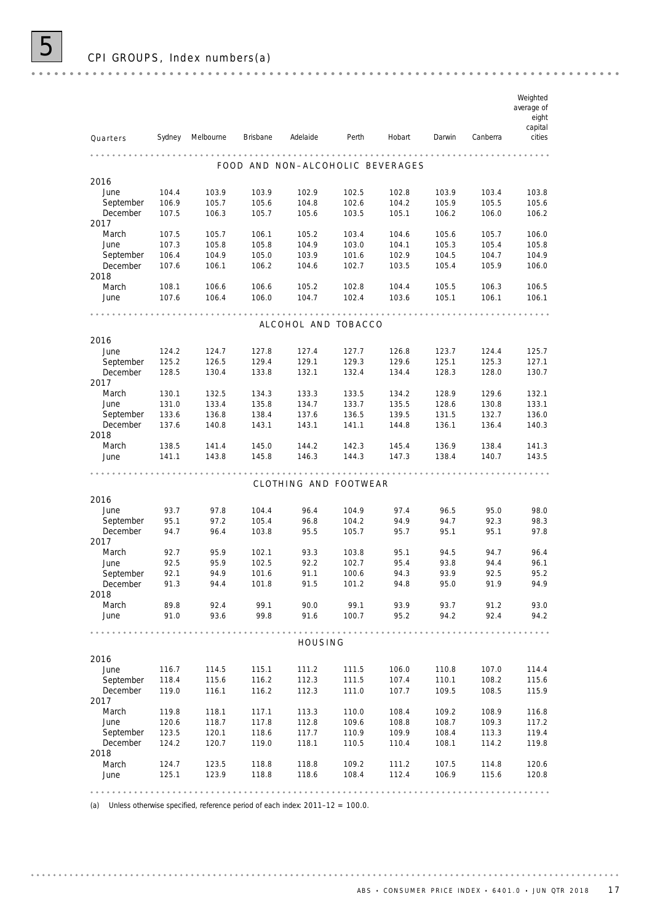|                       |                |                |                 |                                  |                |                |                |                | Weighted<br>average of<br>eight |
|-----------------------|----------------|----------------|-----------------|----------------------------------|----------------|----------------|----------------|----------------|---------------------------------|
| Quarters              | Sydney         | Melbourne      | <b>Brisbane</b> | Adelaide                         | Perth          | Hobart         | Darwin         | Canberra       | capital<br>cities               |
|                       |                |                |                 |                                  |                |                |                |                |                                 |
|                       |                |                |                 | FOOD AND NON-ALCOHOLIC BEVERAGES |                |                |                |                |                                 |
| 2016                  |                |                |                 |                                  |                |                |                |                |                                 |
| June                  | 104.4          | 103.9          | 103.9           | 102.9                            | 102.5          | 102.8          | 103.9          | 103.4          | 103.8                           |
| September<br>December | 106.9<br>107.5 | 105.7<br>106.3 | 105.6<br>105.7  | 104.8<br>105.6                   | 102.6<br>103.5 | 104.2<br>105.1 | 105.9<br>106.2 | 105.5<br>106.0 | 105.6<br>106.2                  |
| 2017                  |                |                |                 |                                  |                |                |                |                |                                 |
| March                 | 107.5          | 105.7          | 106.1           | 105.2                            | 103.4          | 104.6          | 105.6          | 105.7          | 106.0                           |
| June                  | 107.3          | 105.8          | 105.8           | 104.9                            | 103.0          | 104.1          | 105.3          | 105.4          | 105.8                           |
| September             | 106.4          | 104.9          | 105.0           | 103.9                            | 101.6          | 102.9          | 104.5          | 104.7          | 104.9                           |
| December              | 107.6          | 106.1          | 106.2           | 104.6                            | 102.7          | 103.5          | 105.4          | 105.9          | 106.0                           |
| 2018                  |                |                |                 |                                  |                |                |                |                |                                 |
| March                 | 108.1          | 106.6          | 106.6           | 105.2                            | 102.8          | 104.4          | 105.5          | 106.3          | 106.5                           |
| June                  | 107.6          | 106.4          | 106.0           | 104.7                            | 102.4          | 103.6          | 105.1          | 106.1          | 106.1                           |
|                       |                |                |                 |                                  |                |                |                |                |                                 |
|                       |                |                |                 | ALCOHOL AND TOBACCO              |                |                |                |                |                                 |
| 2016                  |                |                |                 |                                  |                |                |                |                |                                 |
| June                  | 124.2          | 124.7          | 127.8           | 127.4                            | 127.7          | 126.8          | 123.7          | 124.4          | 125.7                           |
| September             | 125.2          | 126.5          | 129.4           | 129.1                            | 129.3          | 129.6          | 125.1          | 125.3          | 127.1                           |
| December<br>2017      | 128.5          | 130.4          | 133.8           | 132.1                            | 132.4          | 134.4          | 128.3          | 128.0          | 130.7                           |
| March                 | 130.1          | 132.5          | 134.3           | 133.3                            | 133.5          | 134.2          | 128.9          | 129.6          | 132.1                           |
| June                  | 131.0          | 133.4          | 135.8           | 134.7                            | 133.7          | 135.5          | 128.6          | 130.8          | 133.1                           |
| September             | 133.6          | 136.8          | 138.4           | 137.6                            | 136.5          | 139.5          | 131.5          | 132.7          | 136.0                           |
| December              | 137.6          | 140.8          | 143.1           | 143.1                            | 141.1          | 144.8          | 136.1          | 136.4          | 140.3                           |
| 2018                  |                |                |                 |                                  |                |                |                |                |                                 |
| March                 | 138.5          | 141.4          | 145.0           | 144.2                            | 142.3          | 145.4          | 136.9          | 138.4          | 141.3                           |
| June                  | 141.1          | 143.8          | 145.8           | 146.3                            | 144.3          | 147.3          | 138.4          | 140.7          | 143.5                           |
|                       |                |                |                 |                                  |                |                |                |                |                                 |
|                       |                |                |                 | CLOTHING AND FOOTWEAR            |                |                |                |                |                                 |
| 2016                  |                |                |                 |                                  |                |                |                |                |                                 |
| June                  | 93.7           | 97.8           | 104.4           | 96.4                             | 104.9          | 97.4           | 96.5           | 95.0           | 98.0                            |
| September             | 95.1           | 97.2           | 105.4           | 96.8                             | 104.2          | 94.9           | 94.7           | 92.3           | 98.3                            |
| December              | 94.7           | 96.4           | 103.8           | 95.5                             | 105.7          | 95.7           | 95.1           | 95.1           | 97.8                            |
| 2017                  |                |                |                 |                                  |                |                |                |                |                                 |
| March                 | 92.7           | 95.9           | 102.1           | 93.3                             | 103.8          | 95.1           | 94.5           | 94.7           | 96.4                            |
| June                  | 92.5           | 95.9           | 102.5           | 92.2                             | 102.7          | 95.4           | 93.8           | 94.4           | 96.1                            |
| September<br>December | 92.1<br>91.3   | 94.9<br>94.4   | 101.6<br>101.8  | 91.1<br>91.5                     | 100.6<br>101.2 | 94.3<br>94.8   | 93.9<br>95.0   | 92.5<br>91.9   | 95.2<br>94.9                    |
| 2018                  |                |                |                 |                                  |                |                |                |                |                                 |
| March                 | 89.8           | 92.4           | 99.1            | 90.0                             | 99.1           | 93.9           | 93.7           | 91.2           | 93.0                            |
| June                  | 91.0           | 93.6           | 99.8            | 91.6                             | 100.7          | 95.2           | 94.2           | 92.4           | 94.2                            |
|                       |                |                |                 |                                  |                |                |                |                |                                 |
|                       |                |                |                 | HOUSING                          |                |                |                |                |                                 |
| 2016                  |                |                |                 |                                  |                |                |                |                |                                 |
| June                  | 116.7          | 114.5          | 115.1           | 111.2                            | 111.5          | 106.0          | 110.8          | 107.0          | 114.4                           |
| September             | 118.4          | 115.6          | 116.2           | 112.3                            | 111.5          | 107.4          | 110.1          | 108.2          | 115.6                           |
| December              | 119.0          | 116.1          | 116.2           | 112.3                            | 111.0          | 107.7          | 109.5          | 108.5          | 115.9                           |
| 2017                  |                |                |                 |                                  |                |                |                |                |                                 |
| March                 | 119.8          | 118.1          | 117.1           | 113.3                            | 110.0          | 108.4          | 109.2          | 108.9          | 116.8                           |
| June                  | 120.6          | 118.7          | 117.8           | 112.8                            | 109.6          | 108.8          | 108.7          | 109.3          | 117.2                           |
| September             | 123.5          | 120.1          | 118.6           | 117.7                            | 110.9          | 109.9          | 108.4          | 113.3          | 119.4                           |
| December              | 124.2          | 120.7          | 119.0           | 118.1                            | 110.5          | 110.4          | 108.1          | 114.2          | 119.8                           |
| 2018<br>March         |                |                |                 |                                  |                |                |                |                |                                 |
| June                  | 124.7<br>125.1 | 123.5<br>123.9 | 118.8<br>118.8  | 118.8<br>118.6                   | 109.2<br>108.4 | 111.2<br>112.4 | 107.5<br>106.9 | 114.8<br>115.6 | 120.6<br>120.8                  |
|                       |                |                |                 |                                  |                |                |                |                |                                 |
|                       |                |                |                 |                                  |                |                |                |                |                                 |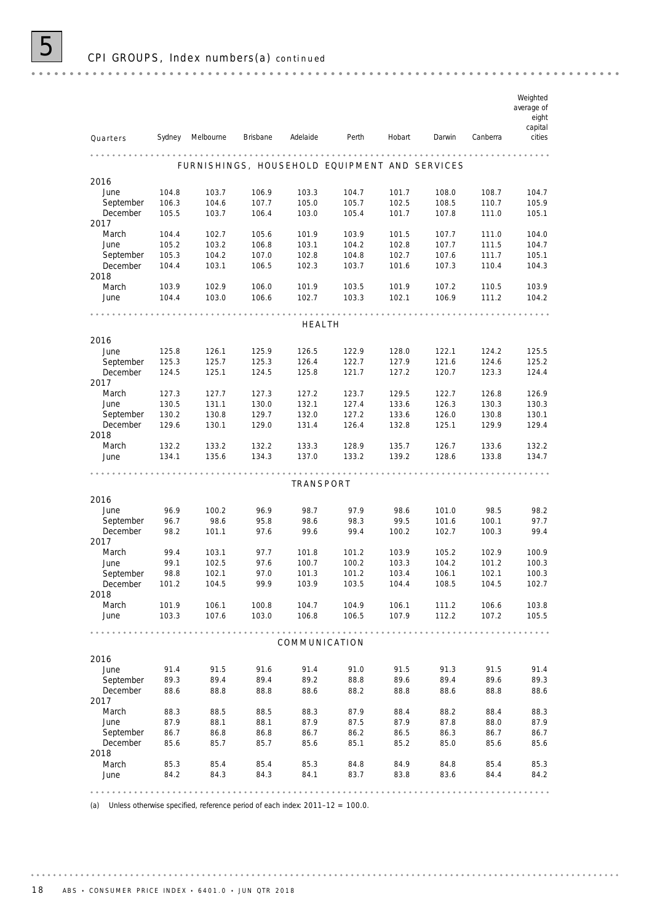|               |                |                                               |                 |                |                |                |                |                | Weighted<br>average of<br>eight<br>capital |
|---------------|----------------|-----------------------------------------------|-----------------|----------------|----------------|----------------|----------------|----------------|--------------------------------------------|
| Quarters      | Sydney         | Melbourne                                     | <b>Brisbane</b> | Adelaide       | Perth          | Hobart         | Darwin         | Canberra       | cities                                     |
|               |                | FURNISHINGS, HOUSEHOLD EQUIPMENT AND SERVICES |                 |                |                |                |                |                |                                            |
| 2016          |                |                                               |                 |                |                |                |                |                |                                            |
| June          | 104.8          | 103.7                                         | 106.9           | 103.3          | 104.7          | 101.7          | 108.0          | 108.7          | 104.7                                      |
| September     | 106.3          | 104.6                                         | 107.7           | 105.0          | 105.7          | 102.5          | 108.5          | 110.7          | 105.9                                      |
| December      | 105.5          | 103.7                                         | 106.4           | 103.0          | 105.4          | 101.7          | 107.8          | 111.0          | 105.1                                      |
| 2017          |                |                                               |                 |                |                |                |                |                |                                            |
| March         | 104.4          | 102.7                                         | 105.6           | 101.9          | 103.9          | 101.5          | 107.7          | 111.0          | 104.0                                      |
| June          | 105.2          | 103.2                                         | 106.8           | 103.1          | 104.2          | 102.8          | 107.7          | 111.5          | 104.7                                      |
| September     | 105.3          | 104.2                                         | 107.0           | 102.8          | 104.8          | 102.7          | 107.6          | 111.7          | 105.1                                      |
| December      | 104.4          | 103.1                                         | 106.5           | 102.3          | 103.7          | 101.6          | 107.3          | 110.4          | 104.3                                      |
| 2018          |                |                                               |                 |                |                |                |                |                |                                            |
| March<br>June | 103.9<br>104.4 | 102.9<br>103.0                                | 106.0<br>106.6  | 101.9<br>102.7 | 103.5<br>103.3 | 101.9<br>102.1 | 107.2<br>106.9 | 110.5<br>111.2 | 103.9<br>104.2                             |
|               |                |                                               |                 |                |                |                |                |                |                                            |
|               |                |                                               |                 |                |                |                |                |                |                                            |
|               |                |                                               |                 | <b>HEALTH</b>  |                |                |                |                |                                            |
| 2016          |                |                                               |                 |                |                |                |                |                |                                            |
| June          | 125.8          | 126.1                                         | 125.9           | 126.5          | 122.9          | 128.0          | 122.1          | 124.2          | 125.5                                      |
| September     | 125.3          | 125.7                                         | 125.3           | 126.4          | 122.7          | 127.9          | 121.6          | 124.6          | 125.2                                      |
| December      | 124.5          | 125.1                                         | 124.5           | 125.8          | 121.7          | 127.2          | 120.7          | 123.3          | 124.4                                      |
| 2017          |                |                                               |                 |                |                |                |                |                |                                            |
| March         | 127.3          | 127.7                                         | 127.3           | 127.2          | 123.7          | 129.5          | 122.7          | 126.8          | 126.9                                      |
| June          | 130.5          | 131.1                                         | 130.0           | 132.1          | 127.4          | 133.6          | 126.3          | 130.3          | 130.3                                      |
| September     | 130.2          | 130.8                                         | 129.7           | 132.0          | 127.2          | 133.6          | 126.0          | 130.8          | 130.1                                      |
| December      | 129.6          | 130.1                                         | 129.0           | 131.4          | 126.4          | 132.8          | 125.1          | 129.9          | 129.4                                      |
| 2018          |                |                                               |                 |                |                |                |                |                |                                            |
| March         | 132.2          | 133.2                                         | 132.2           | 133.3          | 128.9          | 135.7          | 126.7          | 133.6          | 132.2                                      |
| June          | 134.1          | 135.6                                         | 134.3           | 137.0          | 133.2          | 139.2          | 128.6          | 133.8          | 134.7                                      |
|               |                |                                               |                 |                |                |                |                |                |                                            |
|               |                |                                               |                 | TRANSPORT      |                |                |                |                |                                            |
| 2016          |                |                                               |                 |                |                |                |                |                |                                            |
| June          | 96.9           | 100.2                                         | 96.9            | 98.7           | 97.9           | 98.6           | 101.0          | 98.5           | 98.2                                       |
| September     | 96.7           | 98.6                                          | 95.8            | 98.6           | 98.3           | 99.5           | 101.6          | 100.1          | 97.7                                       |
| December      | 98.2           | 101.1                                         | 97.6            | 99.6           | 99.4           | 100.2          | 102.7          | 100.3          | 99.4                                       |
| 2017          |                |                                               |                 |                |                |                |                |                |                                            |
| March         | 99.4           | 103.1                                         | 97.7            | 101.8          | 101.2          | 103.9          | 105.2          | 102.9          | 100.9                                      |
| June          | 99.1           | 102.5                                         | 97.6            | 100.7          | 100.2          | 103.3          | 104.2          | 101.2          | 100.3                                      |
| September     | 98.8           | 102.1                                         | 97.0            | 101.3          | 101.2          | 103.4          | 106.1          | 102.1          | 100.3                                      |
| December      | 101.2          | 104.5                                         | 99.9            | 103.9          | 103.5          | 104.4          | 108.5          | 104.5          | 102.7                                      |
| 2018          |                |                                               |                 |                |                |                |                |                |                                            |
| March         | 101.9          | 106.1                                         | 100.8           | 104.7          | 104.9          | 106.1          | 111.2          | 106.6          | 103.8                                      |
| June          | 103.3          | 107.6                                         | 103.0           | 106.8          | 106.5          | 107.9          | 112.2          | 107.2          | 105.5                                      |
|               |                |                                               |                 | COMMUNICATION  |                |                |                |                |                                            |
| 2016          |                |                                               |                 |                |                |                |                |                |                                            |
| June          | 91.4           | 91.5                                          | 91.6            | 91.4           | 91.0           | 91.5           | 91.3           | 91.5           | 91.4                                       |
| September     | 89.3           | 89.4                                          | 89.4            | 89.2           | 88.8           | 89.6           | 89.4           | 89.6           | 89.3                                       |
| December      | 88.6           | 88.8                                          | 88.8            | 88.6           | 88.2           | 88.8           | 88.6           | 88.8           | 88.6                                       |
| 2017          |                |                                               |                 |                |                |                |                |                |                                            |
| March         | 88.3           | 88.5                                          | 88.5            | 88.3           | 87.9           | 88.4           | 88.2           | 88.4           | 88.3                                       |
| June          | 87.9           | 88.1                                          | 88.1            | 87.9           | 87.5           | 87.9           | 87.8           | 88.0           | 87.9                                       |
| September     | 86.7           | 86.8                                          | 86.8            | 86.7           | 86.2           | 86.5           | 86.3           | 86.7           | 86.7                                       |
| December      | 85.6           | 85.7                                          | 85.7            | 85.6           | 85.1           | 85.2           | 85.0           | 85.6           | 85.6                                       |
| 2018          |                |                                               |                 |                |                |                |                |                |                                            |
| March         | 85.3           | 85.4                                          | 85.4            | 85.3           | 84.8           | 84.9           | 84.8           | 85.4           | 85.3                                       |
| June          | 84.2           | 84.3                                          | 84.3            | 84.1           | 83.7           | 83.8           | 83.6           | 84.4           | 84.2                                       |
|               |                |                                               |                 |                |                |                |                |                | 0.0.0.0.0                                  |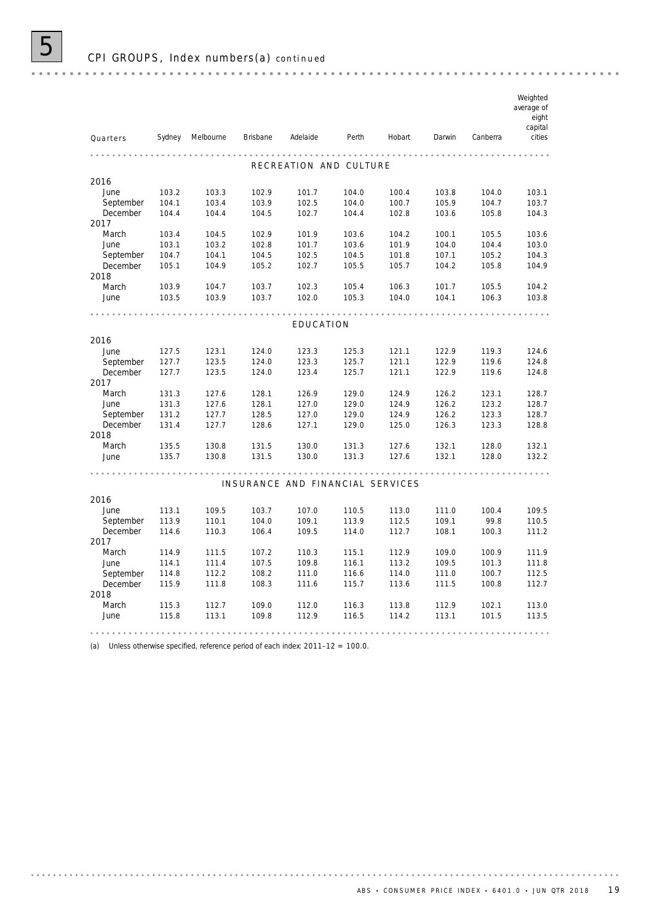|           |        |           |                 |                                  |       |        |        |          | Weighted<br>average of<br>eight<br>capital |
|-----------|--------|-----------|-----------------|----------------------------------|-------|--------|--------|----------|--------------------------------------------|
| Quarters  | Sydney | Melbourne | <b>Brisbane</b> | Adelaide                         | Perth | Hobart | Darwin | Canberra | cities                                     |
|           |        |           |                 |                                  |       |        |        |          |                                            |
|           |        |           |                 | RECREATION AND CULTURE           |       |        |        |          |                                            |
| 2016      |        |           |                 |                                  |       |        |        |          |                                            |
| June      | 103.2  | 103.3     | 102.9           | 101.7                            | 104.0 | 100.4  | 103.8  | 104.0    | 103.1                                      |
| September | 104.1  | 103.4     | 103.9           | 102.5                            | 104.0 | 100.7  | 105.9  | 104.7    | 103.7                                      |
| December  | 104.4  | 104.4     | 104.5           | 102.7                            | 104.4 | 102.8  | 103.6  | 105.8    | 104.3                                      |
| 2017      |        |           |                 |                                  |       |        |        |          |                                            |
| March     | 103.4  | 104.5     | 102.9           | 101.9                            | 103.6 | 104.2  | 100.1  | 105.5    | 103.6                                      |
| June      | 103.1  | 103.2     | 102.8           | 101.7                            | 103.6 | 101.9  | 104.0  | 104.4    | 103.0                                      |
| September | 104.7  | 104.1     | 104.5           | 102.5                            | 104.5 | 101.8  | 107.1  | 105.2    | 104.3                                      |
| December  | 105.1  | 104.9     | 105.2           | 102.7                            | 105.5 | 105.7  | 104.2  | 105.8    | 104.9                                      |
| 2018      |        |           |                 |                                  |       |        |        |          |                                            |
| March     | 103.9  | 104.7     | 103.7           | 102.3                            | 105.4 | 106.3  | 101.7  | 105.5    | 104.2                                      |
| June      | 103.5  | 103.9     | 103.7           | 102.0                            | 105.3 | 104.0  | 104.1  | 106.3    | 103.8                                      |
|           |        |           |                 |                                  |       |        |        |          |                                            |
|           |        |           |                 | EDUCATION                        |       |        |        |          |                                            |
| 2016      |        |           |                 |                                  |       |        |        |          |                                            |
| June      | 127.5  | 123.1     | 124.0           | 123.3                            | 125.3 | 121.1  | 122.9  | 119.3    | 124.6                                      |
| September | 127.7  | 123.5     | 124.0           | 123.3                            | 125.7 | 121.1  | 122.9  | 119.6    | 124.8                                      |
| December  | 127.7  | 123.5     | 124.0           | 123.4                            | 125.7 | 121.1  | 122.9  | 119.6    | 124.8                                      |
| 2017      |        |           |                 |                                  |       |        |        |          |                                            |
| March     | 131.3  | 127.6     | 128.1           | 126.9                            | 129.0 | 124.9  | 126.2  | 123.1    | 128.7                                      |
| June      | 131.3  | 127.6     | 128.1           | 127.0                            | 129.0 | 124.9  | 126.2  | 123.2    | 128.7                                      |
| September | 131.2  | 127.7     | 128.5           | 127.0                            | 129.0 | 124.9  | 126.2  | 123.3    | 128.7                                      |
| December  | 131.4  | 127.7     | 128.6           | 127.1                            | 129.0 | 125.0  | 126.3  | 123.3    | 128.8                                      |
| 2018      |        |           |                 |                                  |       |        |        |          |                                            |
| March     | 135.5  | 130.8     | 131.5           | 130.0                            | 131.3 | 127.6  | 132.1  | 128.0    | 132.1                                      |
| June      | 135.7  | 130.8     | 131.5           | 130.0                            | 131.3 | 127.6  | 132.1  | 128.0    | 132.2                                      |
|           |        |           |                 |                                  |       |        |        |          |                                            |
|           |        |           |                 | INSURANCE AND FINANCIAL SERVICES |       |        |        |          |                                            |
| 2016      |        |           |                 |                                  |       |        |        |          |                                            |
| June      | 113.1  | 109.5     | 103.7           | 107.0                            | 110.5 | 113.0  | 111.0  | 100.4    | 109.5                                      |
| September | 113.9  | 110.1     | 104.0           | 109.1                            | 113.9 | 112.5  | 109.1  | 99.8     | 110.5                                      |
| December  | 114.6  | 110.3     | 106.4           | 109.5                            | 114.0 | 112.7  | 108.1  | 100.3    | 111.2                                      |
| 2017      |        |           |                 |                                  |       |        |        |          |                                            |
| March     | 114.9  | 111.5     | 107.2           | 110.3                            | 115.1 | 112.9  | 109.0  | 100.9    | 111.9                                      |
| June      | 114.1  | 111.4     | 107.5           | 109.8                            | 116.1 | 113.2  | 109.5  | 101.3    | 111.8                                      |
| September | 114.8  | 112.2     | 108.2           | 111.0                            | 116.6 | 114.0  | 111.0  | 100.7    | 112.5                                      |
| December  | 115.9  | 111.8     | 108.3           | 111.6                            | 115.7 | 113.6  | 111.5  | 100.8    | 112.7                                      |
| 2018      |        |           |                 |                                  |       |        |        |          |                                            |
| March     | 115.3  | 112.7     | 109.0           | 112.0                            | 116.3 | 113.8  | 112.9  | 102.1    | 113.0                                      |
| June      | 115.8  | 113.1     | 109.8           | 112.9                            | 116.5 | 114.2  | 113.1  | 101.5    | 113.5                                      |
|           |        |           |                 |                                  |       |        |        |          |                                            |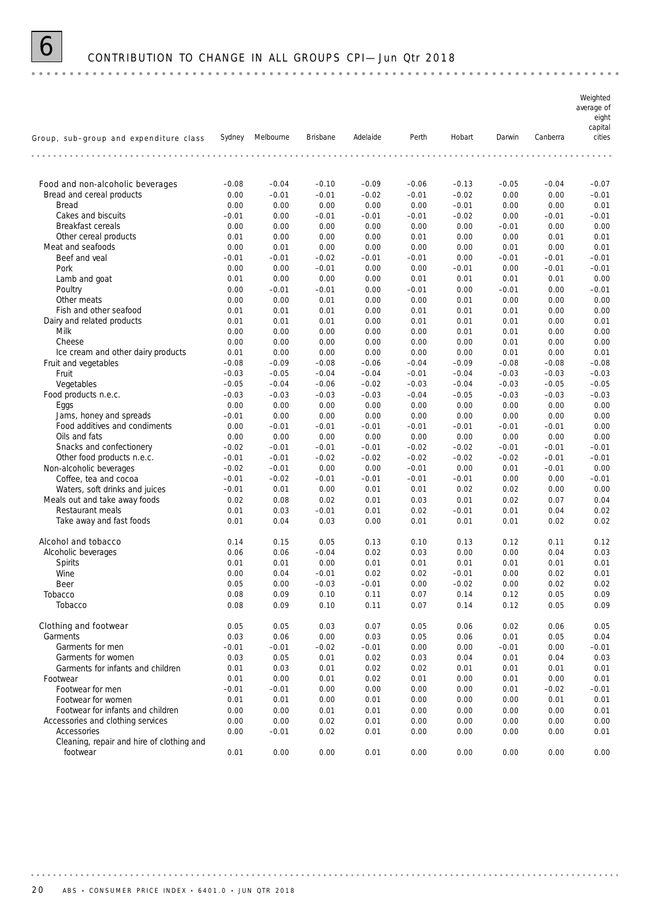

### 6 CONTRIBUTION TO CHANGE IN ALL GROUPS CPI— Jun Qtr 2018

*Weighted average of eight capital Group, sub–group and expenditure class Sydney Melbourne Brisbane Adelaide Perth Hobart Darwin Canberra cities* Food and non-alcoholic beverages –0.08 –0.04 –0.10 –0.09 –0.06 –0.13 –0.05 –0.04 –0.07 Bread and cereal products  $0.00$   $-0.01$   $-0.01$   $-0.02$   $-0.01$   $-0.02$   $0.00$   $0.00$   $-0.01$ Bread 0.00 0.00 0.00 0.00 0.00 –0.01 0.00 0.00 0.01 Cakes and biscuits  $-0.01$  0.00  $-0.01$   $-0.01$   $-0.01$   $-0.01$   $-0.02$  0.00  $-0.01$   $-0.01$ Breakfast cereals 0.00 0.00 0.00 0.00 0.00 0.00 –0.01 0.00 0.00 Other cereal products  $0.01$  0.00 0.00 0.00 0.00 0.00 0.00 0.01 0.01 0.01 Meat and seafoods 0.00 0.01 0.00 0.00 0.00 0.00 0.01 0.00 0.01 Beef and veal –0.01 –0.01 –0.02 –0.01 –0.01 0.00 –0.01 –0.01 –0.01 Pork 0.00 0.00 –0.01 0.00 0.00 –0.01 0.00 –0.01 –0.01 Lamb and goat 6 0.01 0.01 0.00 0.00 0.00 0.00 0.01 0.01 0.01 0.00 Poultry 0.00 –0.01 –0.01 0.00 –0.01 0.00 –0.01 0.00 –0.01 Other meats 0.00 0.00 0.01 0.00 0.00 0.01 0.00 0.00 0.00 Fish and other seafood **0.01** 0.01 0.01 0.00 0.01 0.00 0.01 0.00 0.00 Dairy and related products 0.01 0.01 0.01 0.00 0.01 0.01 0.01 0.00 0.01 Milk 0.00 0.00 0.00 0.00 0.00 0.01 0.01 0.00 0.00 Cheese 0.00 0.00 0.00 0.00 0.00 0.00 0.01 0.00 0.00 Ice cream and other dairy products 0.01 0.00 0.00 0.00 0.00 0.00 0.01 0.00 0.01 Fruit and vegetables –0.08 –0.09 –0.08 –0.06 –0.04 –0.09 –0.08 –0.08 –0.08 Fruit –0.03 –0.05 –0.04 –0.04 –0.01 –0.04 –0.03 –0.03 –0.03 Vegetables –0.05 –0.04 –0.06 –0.02 –0.03 –0.04 –0.03 –0.05 –0.05 Food products n.e.c. –0.03 –0.03 –0.03 –0.03 –0.04 –0.05 –0.03 –0.03 –0.03 Eggs 0.00 0.00 0.00 0.00 0.00 0.00 0.00 0.00 0.00 Jams, honey and spreads –0.01 0.00 0.00 0.00 0.00 0.00 0.00 0.00 0.00 Food additives and condiments 0.00 –0.01 –0.01 –0.01 –0.01 –0.01 –0.01 –0.01 0.00 Oils and fats 0.00 0.00 0.00 0.00 0.00 0.00 0.00 0.00 0.00 Snacks and confectionery  $-0.02$   $-0.01$   $-0.01$   $-0.01$   $-0.02$   $-0.02$   $-0.01$   $-0.01$   $-0.01$ Other food products n.e.c. –0.01 –0.01 –0.02 –0.02 –0.02 –0.02 –0.02 –0.01 –0.01 Non-alcoholic beverages –  $-0.02$   $-0.01$  0.00 0.00  $-0.01$  0.00 0.01  $-0.01$  0.00 Coffee, tea and cocoa –0.01 –0.02 –0.01 –0.01 –0.01 –0.01 0.00 0.00 –0.01 Waters, soft drinks and juices –0.01 0.01 0.00 0.01 0.01 0.02 0.02 0.00 0.00 Meals out and take away foods  $0.02$  0.08 0.02 0.01 0.03 0.01 0.02 0.07 0.04 Restaurant meals 0.01 0.03 –0.01 0.01 0.02 –0.01 0.01 0.04 0.02 Take away and fast foods 6.02 0.01 0.04 0.03 0.00 0.01 0.01 0.01 0.02 0.02 **Alcohol and tobacco** 0.14 0.15 0.05 0.13 0.10 0.13 0.12 0.11 0.12 Alcoholic beverages 0.06 0.06 –0.04 0.02 0.03 0.00 0.00 0.04 0.03 Spirits 0.01 0.01 0.00 0.01 0.01 0.01 0.01 0.01 0.01 Wine 0.00 0.04 –0.01 0.02 0.02 –0.01 0.00 0.02 0.01 Beer 0.05 0.00 –0.03 –0.01 0.00 –0.02 0.00 0.02 0.02 Tobacco 0.08 0.09 0.10 0.11 0.07 0.14 0.12 0.05 0.09 Tobacco 0.08 0.09 0.10 0.11 0.07 0.14 0.12 0.05 0.09 Clothing and footwear 0.05 0.05 0.03 0.07 0.05 0.06 0.02 0.06 0.05 Garments 0.03 0.06 0.00 0.03 0.05 0.06 0.01 0.05 0.04 Garments for men –0.01 –0.01 –0.02 –0.01 0.00 0.00 –0.01 0.00 –0.01 Garments for women **0.03** 0.05 0.01 0.02 0.03 0.04 0.04 0.03 0.04 Garments for infants and children 0.01 0.03 0.01 0.02 0.02 0.01 0.01 0.01 0.01 Footwear 0.01 0.00 0.01 0.02 0.01 0.00 0.01 0.00 0.01 Footwear for men –0.01 –0.01 0.00 0.00 0.00 0.00 0.01 –0.02 –0.01 Footwear for women 0.01 0.01 0.00 0.01 0.00 0.00 0.00 0.01 0.01 Footwear for infants and children 0.00 0.00 0.01 0.01 0.00 0.00 0.00 0.00 0.01 Accessories and clothing services 0.00 0.00 0.02 0.01 0.00 0.00 0.00 0.00 0.00 Accessories 0.00 –0.01 0.02 0.01 0.00 0.00 0.00 0.00 0.01 Cleaning, repair and hire of clothing and footwear 0.01 0.00 0.00 0.01 0.00 0.00 0.00 0.00 0.00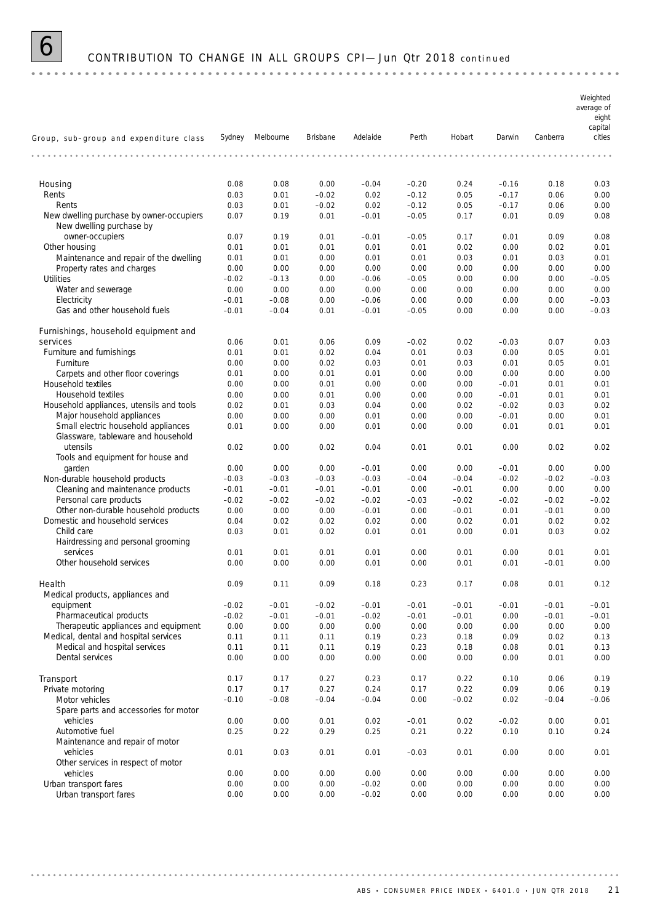

### 6 CONTRIBUTION TO CHANGE IN ALL GROUPS CPI— Jun Qtr 2018 *continued*

*Weighted average of eight capital Group, sub–group and expenditure class Sydney Melbourne Brisbane Adelaide Perth Hobart Darwin Canberra cities* Housing 0.08 0.08 0.00 –0.04 –0.20 0.24 –0.16 0.18 0.03 Rents 0.03 0.01 –0.02 0.02 –0.12 0.05 –0.17 0.06 0.00 Rents 0.03 0.01 –0.02 0.02 –0.12 0.05 –0.17 0.06 0.00 New dwelling purchase by owner-occupiers 0.07 0.19 0.01 –0.01 –0.05 0.17 0.01 0.09 0.08 New dwelling purchase by owner-occupiers 0.07 0.19 0.01 –0.01 –0.05 0.17 0.01 0.09 0.08 Other housing 0.01 0.01 0.01 0.01 0.01 0.02 0.00 0.02 0.01 Maintenance and repair of the dwelling 0.01 0.01 0.00 0.01 0.01 0.03 0.01 0.03 0.01 Property rates and charges 0.00 0.00 0.00 0.00 0.00 0.00 0.00 0.00 0.00 Utilities –0.02 –0.13 0.00 –0.06 –0.05 0.00 0.00 0.00 –0.05 Water and sewerage 0.00 0.00 0.00 0.00 0.00 0.00 0.00 0.00 0.00 Electricity –0.01 –0.08 0.00 –0.06 0.00 0.00 0.00 0.00 –0.03 Gas and other household fuels  $-0.01$   $-0.04$  0.01  $-0.01$   $-0.05$  0.00 0.00 0.00  $-0.03$ Furnishings, household equipment and services 0.06 0.01 0.06 0.09 –0.02 0.02 –0.03 0.07 0.03 Furniture and furnishings 0.01 0.01 0.02 0.04 0.01 0.03 0.00 0.05 0.01 Furniture 0.00 0.00 0.02 0.03 0.01 0.03 0.01 0.05 0.01 Carpets and other floor coverings 0.01 0.00 0.01 0.01 0.00 0.00 0.00 0.00 0.00 Household textiles 0.00 0.00 0.01 0.00 0.00 0.00 –0.01 0.01 0.01 Household textiles 0.00 0.00 0.01 0.00 0.00 0.00 –0.01 0.01 0.01 Household appliances, utensils and tools 0.02 0.01 0.03 0.04 0.00 0.02 –0.02 0.03 0.02 Major household appliances 0.00 0.00 0.00 0.01 0.00 0.00 –0.01 0.00 0.01 Small electric household appliances 0.01 0.00 0.00 0.01 0.00 0.00 0.01 0.01 0.01 0.01 Glassware, tableware and household utensils 0.02 0.00 0.02 0.04 0.01 0.01 0.00 0.02 0.02 Tools and equipment for house and garden 0.00 0.00 0.00 –0.01 0.00 0.00 –0.01 0.00 0.00 Non-durable household products  $-0.03$   $-0.03$   $-0.03$   $-0.03$   $-0.03$   $-0.03$   $-0.04$   $-0.04$   $-0.02$   $-0.02$   $-0.03$ Cleaning and maintenance products –0.01 –0.01 –0.01 –0.01 0.00 –0.01 0.00 0.00 0.00 Personal care products –0.02 –0.02 –0.02 –0.02 –0.03 –0.02 –0.02 –0.02 –0.02 Other non-durable household products 0.00 0.00 0.00 –0.01 0.00 –0.01 0.01 –0.01 0.00 Domestic and household services 0.04 0.02 0.02 0.02 0.00 0.02 0.01 0.02 0.02 Child care 0.03 0.01 0.02 0.01 0.01 0.00 0.01 0.03 0.02 Hairdressing and personal grooming services 0.01 0.01 0.01 0.01 0.00 0.01 0.00 0.01 0.01 Other household services 0.00 0.00 0.00 0.01 0.00 0.01 0.01 –0.01 0.00 Health 0.09 0.11 0.09 0.18 0.23 0.17 0.08 0.01 0.12 Medical products, appliances and equipment –0.02 –0.01 –0.02 –0.01 –0.01 –0.01 –0.01 –0.01 –0.01 Pharmaceutical products –0.02 –0.01 –0.01 –0.02 –0.01 –0.01 0.00 –0.01 –0.01 Therapeutic appliances and equipment 0.00 0.00 0.00 0.00 0.00 0.00 0.00 0.00 0.00 Medical, dental and hospital services 0.11 0.11 0.11 0.19 0.23 0.18 0.09 0.02 0.13 Medical and hospital services 0.11 0.11 0.11 0.19 0.23 0.18 0.08 0.01 0.13 Dental services 0.00 0.00 0.00 0.00 0.00 0.00 0.00 0.01 0.00 Transport 0.17 0.17 0.27 0.23 0.17 0.22 0.10 0.06 0.19 Private motoring  $0.17$  0.17 0.27 0.24 0.17 0.22 0.09 0.06 0.19 Motor vehicles –0.10 –0.08 –0.04 –0.04 0.00 –0.02 0.02 –0.04 –0.06 Spare parts and accessories for motor vehicles 0.00 0.00 0.01 0.02 –0.01 0.02 –0.02 0.00 0.01 Automotive fuel 0.25 0.22 0.29 0.25 0.21 0.22 0.10 0.10 0.24 Maintenance and repair of motor vehicles 0.01 0.03 0.01 0.01 –0.03 0.01 0.00 0.00 0.01 Other services in respect of motor vehicles 0.00 0.00 0.00 0.00 0.00 0.00 0.00 0.00 0.00 Urban transport fares 0.00 0.00 0.00 –0.02 0.00 0.00 0.00 0.00 0.00 Urban transport fares 0.00 0.00 0.00 –0.02 0.00 0.00 0.00 0.00 0.00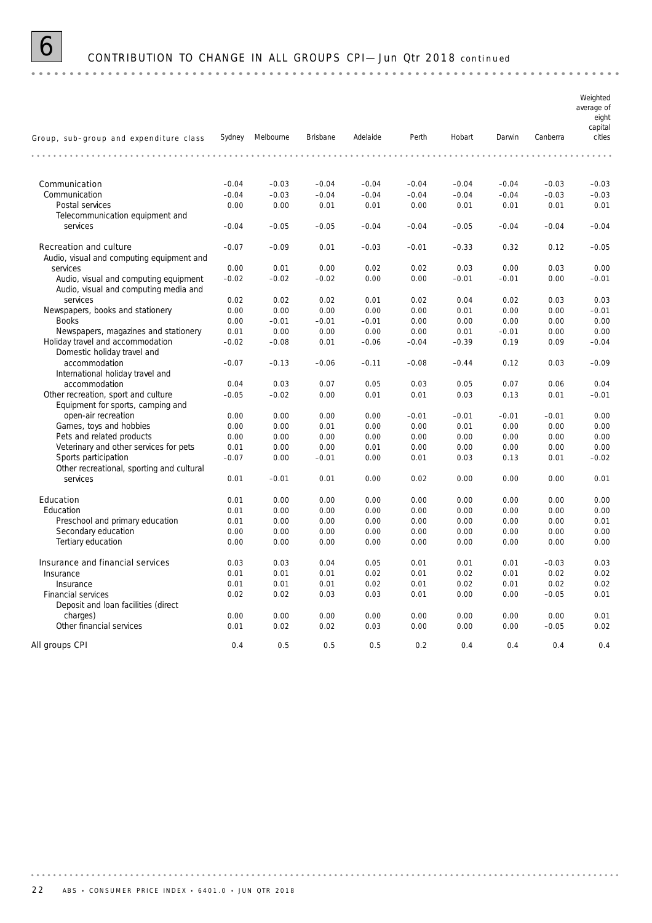

# 6 CONTRIBUTION TO CHANGE IN ALL GROUPS CPI— Jun Qtr 2018 *continued*

|                                                                   |              |                  |              |              |                 |                 |                 |                 | Weighted<br>average of<br>eight<br>capital |
|-------------------------------------------------------------------|--------------|------------------|--------------|--------------|-----------------|-----------------|-----------------|-----------------|--------------------------------------------|
| Group, sub-group and expenditure class                            |              | Sydney Melbourne | Brisbane     | Adelaide     | Perth           | Hobart          | Darwin          | Canberra        | cities                                     |
|                                                                   |              |                  |              |              |                 |                 | .               |                 |                                            |
| Communication                                                     | $-0.04$      | $-0.03$          | $-0.04$      | $-0.04$      | $-0.04$         | $-0.04$         | $-0.04$         | $-0.03$         | $-0.03$                                    |
| Communication                                                     | $-0.04$      | $-0.03$          | $-0.04$      | $-0.04$      | $-0.04$         | $-0.04$         | $-0.04$         | $-0.03$         | $-0.03$                                    |
| Postal services                                                   | 0.00         | 0.00             | 0.01         | 0.01         | 0.00            | 0.01            | 0.01            | 0.01            | 0.01                                       |
| Telecommunication equipment and                                   |              |                  |              |              |                 |                 |                 |                 |                                            |
| services                                                          | $-0.04$      | $-0.05$          | $-0.05$      | $-0.04$      | $-0.04$         | $-0.05$         | $-0.04$         | $-0.04$         | $-0.04$                                    |
| <b>Recreation and culture</b>                                     | $-0.07$      | $-0.09$          | 0.01         | $-0.03$      | $-0.01$         | $-0.33$         | 0.32            | 0.12            | $-0.05$                                    |
| Audio, visual and computing equipment and                         |              |                  |              |              |                 |                 |                 |                 |                                            |
| services                                                          | 0.00         | 0.01             | 0.00         | 0.02         | 0.02            | 0.03            | 0.00            | 0.03            | 0.00                                       |
| Audio, visual and computing equipment                             | $-0.02$      | $-0.02$          | $-0.02$      | 0.00         | 0.00            | $-0.01$         | $-0.01$         | 0.00            | $-0.01$                                    |
| Audio, visual and computing media and                             |              |                  |              |              |                 |                 |                 |                 |                                            |
| services                                                          | 0.02         | 0.02             | 0.02         | 0.01         | 0.02            | 0.04            | 0.02            | 0.03            | 0.03                                       |
| Newspapers, books and stationery                                  | 0.00         | 0.00             | 0.00         | 0.00         | 0.00            | 0.01            | 0.00            | 0.00            | $-0.01$                                    |
| <b>Books</b>                                                      | 0.00         | $-0.01$          | $-0.01$      | $-0.01$      | 0.00            | 0.00            | 0.00            | 0.00            | 0.00                                       |
| Newspapers, magazines and stationery                              | 0.01         | 0.00             | 0.00         | 0.00         | 0.00            | 0.01            | $-0.01$         | 0.00            | 0.00                                       |
| Holiday travel and accommodation<br>Domestic holiday travel and   | $-0.02$      | $-0.08$          | 0.01         | $-0.06$      | $-0.04$         | $-0.39$         | 0.19            | 0.09            | $-0.04$                                    |
| accommodation<br>International holiday travel and                 | $-0.07$      | $-0.13$          | $-0.06$      | $-0.11$      | $-0.08$         | $-0.44$         | 0.12            | 0.03            | $-0.09$                                    |
| accommodation                                                     | 0.04         | 0.03             | 0.07         | 0.05         | 0.03            | 0.05            | 0.07            | 0.06            | 0.04                                       |
| Other recreation, sport and culture                               | $-0.05$      | $-0.02$          | 0.00         | 0.01         | 0.01            | 0.03            | 0.13            | 0.01            | $-0.01$                                    |
| Equipment for sports, camping and                                 |              |                  |              |              |                 |                 |                 |                 |                                            |
| open-air recreation                                               | 0.00<br>0.00 | 0.00<br>0.00     | 0.00<br>0.01 | 0.00<br>0.00 | $-0.01$<br>0.00 | $-0.01$<br>0.01 | $-0.01$<br>0.00 | $-0.01$<br>0.00 | 0.00<br>0.00                               |
| Games, toys and hobbies<br>Pets and related products              |              |                  |              |              |                 |                 |                 |                 | 0.00                                       |
|                                                                   | 0.00         | 0.00             | 0.00         | 0.00         | 0.00            | 0.00            | 0.00<br>0.00    | 0.00<br>0.00    | 0.00                                       |
| Veterinary and other services for pets                            | 0.01         | 0.00             | 0.00         | 0.01         | 0.00            | 0.00            |                 |                 | $-0.02$                                    |
| Sports participation<br>Other recreational, sporting and cultural | $-0.07$      | 0.00             | $-0.01$      | 0.00         | 0.01            | 0.03            | 0.13            | 0.01            |                                            |
| services                                                          | 0.01         | $-0.01$          | 0.01         | 0.00         | 0.02            | 0.00            | 0.00            | 0.00            | 0.01                                       |
| Education                                                         | 0.01         | 0.00             | 0.00         | 0.00         | 0.00            | 0.00            | 0.00            | 0.00            | 0.00                                       |
| Education                                                         | 0.01         | 0.00             | 0.00         | 0.00         | 0.00            | 0.00            | 0.00            | 0.00            | 0.00                                       |
| Preschool and primary education                                   | 0.01         | 0.00             | 0.00         | 0.00         | 0.00            | 0.00            | 0.00            | 0.00            | 0.01                                       |
| Secondary education                                               | 0.00         | 0.00             | 0.00         | 0.00         | 0.00            | 0.00            | 0.00            | 0.00            | 0.00                                       |
| Tertiary education                                                | 0.00         | 0.00             | 0.00         | 0.00         | 0.00            | 0.00            | 0.00            | 0.00            | 0.00                                       |
| Insurance and financial services                                  | 0.03         | 0.03             | 0.04         | 0.05         | 0.01            | 0.01            | 0.01            | $-0.03$         | 0.03                                       |
| Insurance                                                         | 0.01         | 0.01             | 0.01         | 0.02         | 0.01            | 0.02            | 0.01            | 0.02            | 0.02                                       |
| Insurance                                                         | 0.01         | 0.01             | 0.01         | 0.02         | 0.01            | 0.02            | 0.01            | 0.02            | 0.02                                       |
| Financial services                                                | 0.02         | 0.02             | 0.03         | 0.03         | 0.01            | 0.00            | 0.00            | $-0.05$         | 0.01                                       |
| Deposit and loan facilities (direct                               |              |                  |              |              |                 |                 |                 |                 |                                            |
| charges)                                                          | 0.00         | 0.00             | 0.00         | 0.00         | 0.00            | 0.00            | 0.00            | 0.00            | 0.01                                       |
| Other financial services                                          | 0.01         | 0.02             | 0.02         | 0.03         | 0.00            | 0.00            | 0.00            | $-0.05$         | 0.02                                       |
| All groups CPI                                                    | 0.4          | 0.5              | 0.5          | 0.5          | 0.2             | 0.4             | 0.4             | 0.4             | 0.4                                        |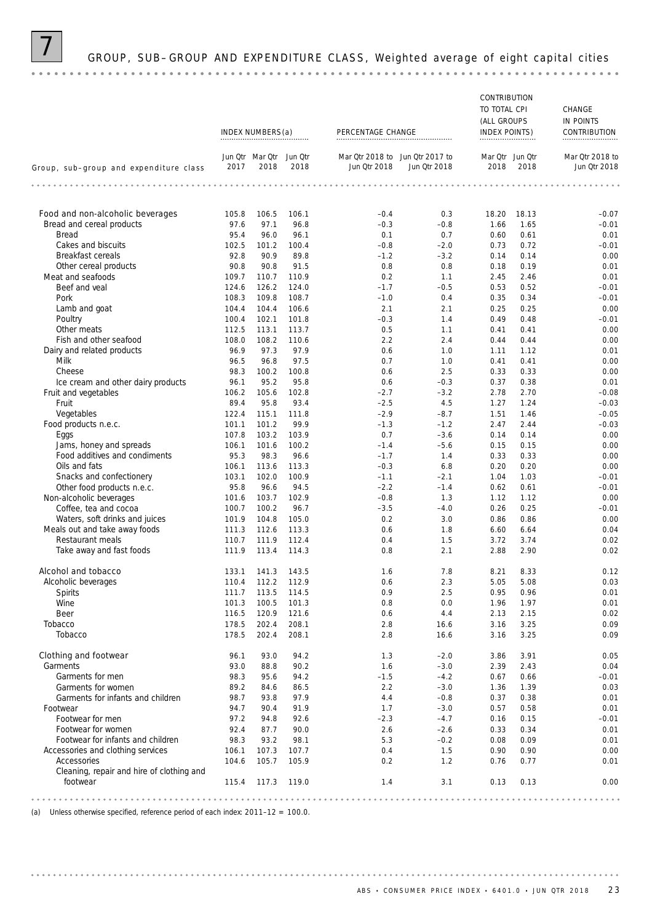### GROUP, SUB-GROUP AND EXPENDITURE CLASS, Weighted average of eight capital cities

#### CONTRIBUTION TO TOTAL CPI CHANGE (ALL GROUPS IN POINTS INDEX NUMBERS(a) PERCENTAGE CHANGE INDEX POINTS) CONTRIBUTION *Mar Qtr 2018 to Jun Qtr Mar Qtr Jun Qtr Jun Qtr 2017 to Mar Qtr 2018 to Jun Qtr Mar Qtr Group, sub–group and expenditure class 2018 2018 2017 Jun Qtr 2018 Jun Qtr 2018 2018 2018 Jun Qtr 2018* **Food and non-alcoholic beverages** 105.8 106.5 106.1 –0.4 0.3 18.20 18.13 –0.07 Bread and cereal products **97.6 97.1 96.8** – 0.3 – 0.8 1.66 1.65 – 0.01 – 0.01 **Bread** and cereal products **95.4 96.0 – 96.1** – 0.1 – 0.7 – 0.60 0.61 – 0.01 – 0.01 Bread 95.4 96.0 96.1 0.1 0.7 0.60 0.61 0.01 Cakes and biscuits 102.5 102.5 101.2 100.4 –0.8 –2.0 0.73 0.72 –0.01 Breakfast cereals **92.8** 90.9 89.8 – 1.2 – 3.2 0.14 0.14 0.00 Other cereal products **90.8 90.8 90.8 91.5** 0.8 0.8 0.18 0.19 0.01 Meat and seafoods 109.7 110.7 110.9 0.2 1.1 2.45 2.46 0.01<br>Beef and veal 124.6 126.2 124.0 -1.7 -0.5 0.53 0.52 -0.01 Beef and veal 124.6 126.2 124.0 – 1.7 – 0.5 0.53 0.52 – 0.01 Pork 108.3 109.8 108.7 –1.0 0.4 0.35 0.34 –0.01 Lamb and goat 104.4 104.4 106.6 2.1 2.1 0.25 0.25 0.00 Poultry 100.4 102.1 101.8 –0.3 1.4 0.49 0.48 –0.01 Other meats 112.5 112.5 113.1 113.7 0.5 1.1 0.41 0.41 0.41 0.00 Fish and other seafood **108.0** 108.0 108.2 110.6 2.2 2.4 0.44 0.44 0.44 0.00 Dairy and related products<br>
Milk Milk 96.5 96.8 97.5 0.7 1.0 0.41 0.41 0.00 Milk 96.5 96.8 97.5 0.7 1.0 0.41 0.41 0.00 Cheese 98.3 100.2 100.8 0.6 2.5 0.33 0.33 0.00 Ice cream and other dairy products 96.1 95.2 95.8 0.6 –0.3 0.37 0.38 0.01 Fruit and vegetables 105.0 106.2 105.6 102.8 –2.7 –3.2 2.78 2.70 –0.08 Fruit 89.4 95.8 93.4 –2.5 4.5 1.27 1.24 –0.03 Vegetables 122.4 115.1 111.8 –2.9 –8.7 1.51 1.46 –0.05 Food products n.e.c. 101.1 101.2 99.9 –1.3 –1.2 2.47 2.44 –0.03 Eggs 107.8 103.2 103.9 0.7 –3.6 0.14 0.14 0.00 Jams, honey and spreads 106.1 101.6 100.2 –1.4 –5.6 0.15 0.15 0.00 Food additives and condiments 95.3 98.3 96.6 –1.7 1.4 0.33 0.33 0.00 Oils and fats 106.1 113.6 113.3 –0.3 6.8 0.20 0.20 0.00 Snacks and confectionery 103.1 102.0 100.9 –1.1 –2.1 1.04 1.03 –0.01 Other food products n.e.c. 95.8 96.6 94.5 –2.2 –1.4 0.62 0.61 –0.01 Non-alcoholic beverages 101.6 103.7 102.9 -0.8 1.3 1.12 1.12 0.00 Coffee, tea and cocoa 100.7 100.2 96.7 –3.5 –4.0 0.26 0.25 –0.01 Waters, soft drinks and juices **101.9 104.8 105.0** 0.2 3.0 0.86 0.86 0.86 0.00 Meals out and take away foods 111.3 112.6 113.3 0.6 1.8 6.60 6.64 0.04 Restaurant meals 110.7 111.9 11.9 11.4 0.4 1.5 3.72 3.74 0.02 Take away and fast foods 111.9 113.4 114.3 0.8 2.1 2.88 2.90 0.02 **Alcohol and tobacco** 133.1 141.3 143.5 1.6 7.8 8.21 8.33 0.12 Alcoholic beverages 110.4 112.2 112.9 0.6 2.3 5.05 5.08 0.03 Spirits 111.7 113.5 114.5 0.9 2.5 0.95 0.96 0.01 Wine 101.3 100.5 101.3 0.8 0.0 1.96 1.97 0.01 Beer 116.5 120.9 121.6 0.6 4.4 2.13 2.15 0.02 Tobacco 178.5 202.4 208.1 2.8 16.6 3.16 3.25 0.09 Tobacco 178.5 202.4 208.1 2.8 16.6 3.16 3.25 0.09 **Clothing and footwear**  $\begin{array}{cccccccc} 96.1 & 93.0 & 94.2 & 1.3 & -2.0 & 3.86 & 3.91 & 0.05 \\ \text{Gamma of 311} & 93.0 & 88.8 & 90.2 & 1.6 & -3.0 & 2.39 & 2.43 & 0.04 \end{array}$ Garments 93.0 88.8 90.2 1.6 –3.0 2.39 2.43 0.04 Garments for men **98.3** 95.6 94.2 – 1.5 – 4.2 0.67 0.66 – 0.01 Garments for women 38.2 and 89.2 84.6 86.5 2.2 a.2 a.2 a.2 = 3.0 1.36 1.39 0.03 Garments for infants and children  $\begin{array}{cccc} 98.7 & 93.8 & 97.9 & 4.4 & -0.8 & 0.37 & 0.38 & 0.01 \\ 94.7 & 90.4 & 91.9 & 1.7 & -3.0 & 0.57 & 0.58 & 0.01 \end{array}$ Footwear 94.7 90.4 91.9 1.7 –3.0 0.57 0.58 0.01 Footwear for men 97.2 94.8 92.6 –2.3 –4.7 0.16 0.15 –0.01 Footwear for women 92.4 87.7 90.0 2.6 –2.6 0.33 0.34 0.01 Footwear for infants and children **98.3** 93.2 98.1 5.3 -0.2 0.08 0.09 0.09 0.01 Accessories and clothing services 106.1 107.3 107.7 0.4 1.5 0.90 0.90 0.90 0.00<br>Accessories 104.6 105.7 105.9 0.2 1.2 0.76 0.77 0.01 Accessories 104.6 105.7 105.9 0.2 1.2 0.76 0.77 0.01 Cleaning, repair and hire of clothing and footwear 115.4 117.3 119.0 1.4 3.1 0.13 0.13 0.00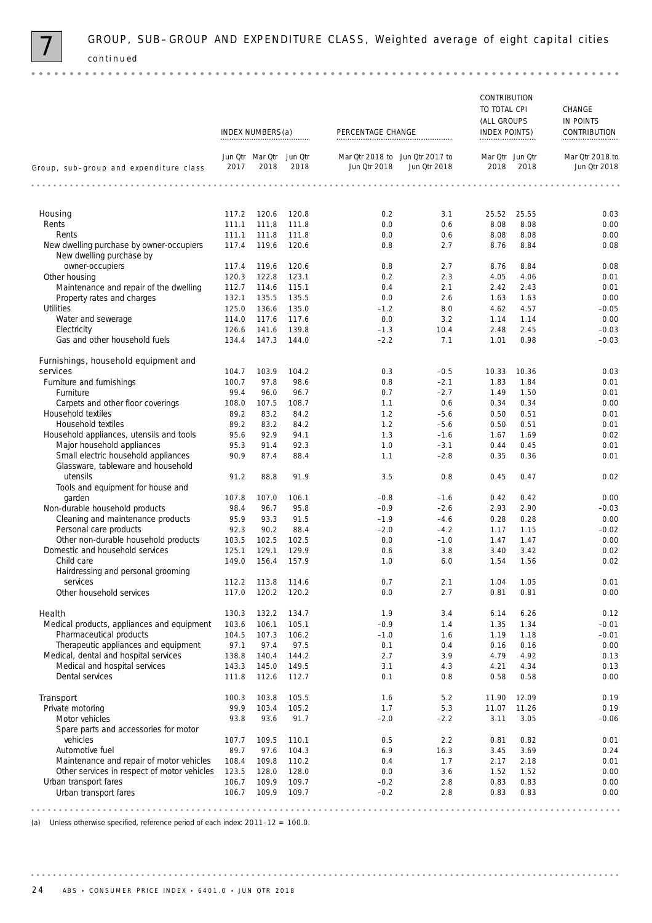

|                                                                      |                  |                                 |                |                                                 |                  | CONTRIBUTION            |              |                                 |
|----------------------------------------------------------------------|------------------|---------------------------------|----------------|-------------------------------------------------|------------------|-------------------------|--------------|---------------------------------|
|                                                                      |                  |                                 |                |                                                 |                  | TO TOTAL CPI            |              | CHANGE                          |
|                                                                      |                  |                                 |                |                                                 |                  | (ALL GROUPS             |              | IN POINTS                       |
|                                                                      | INDEX NUMBERS(a) |                                 |                | PERCENTAGE CHANGE                               |                  | INDEX POINTS)           |              | CONTRIBUTION                    |
| Group, sub-group and expenditure class                               | 2017             | Jun Qtr Mar Qtr Jun Qtr<br>2018 | 2018           | Mar Qtr 2018 to Jun Qtr 2017 to<br>Jun Qtr 2018 | Jun Qtr 2018     | Mar Qtr Jun Qtr<br>2018 | 2018         | Mar Qtr 2018 to<br>Jun Otr 2018 |
|                                                                      | .                |                                 |                |                                                 | .                |                         |              |                                 |
| Housing                                                              | 117.2            | 120.6                           | 120.8          | 0.2                                             | 3.1              | 25.52                   | 25.55        | 0.03                            |
| Rents                                                                | 111.1            | 111.8                           | 111.8          | 0.0                                             | 0.6              | 8.08                    | 8.08         | 0.00                            |
| Rents                                                                | 111.1            | 111.8                           | 111.8          | 0.0                                             | 0.6              | 8.08                    | 8.08         | 0.00                            |
| New dwelling purchase by owner-occupiers<br>New dwelling purchase by | 117.4            | 119.6                           | 120.6          | 0.8                                             | 2.7              | 8.76                    | 8.84         | 0.08                            |
| owner-occupiers                                                      | 117.4            | 119.6                           | 120.6          | 0.8                                             | 2.7              | 8.76                    | 8.84         | 0.08                            |
| Other housing                                                        | 120.3            | 122.8                           | 123.1          | 0.2                                             | 2.3              | 4.05                    | 4.06         | 0.01                            |
| Maintenance and repair of the dwelling                               | 112.7            | 114.6                           | 115.1          | 0.4                                             | 2.1              | 2.42                    | 2.43         | 0.01                            |
| Property rates and charges                                           | 132.1            | 135.5                           | 135.5          | 0.0                                             | 2.6              | 1.63                    | 1.63         | 0.00                            |
| <b>Utilities</b>                                                     | 125.0            | 136.6                           | 135.0          | $-1.2$                                          | 8.0              | 4.62                    | 4.57         | $-0.05$                         |
| Water and sewerage                                                   | 114.0            | 117.6                           | 117.6          | 0.0                                             | 3.2              | 1.14                    | 1.14         | 0.00                            |
| Electricity                                                          | 126.6            | 141.6                           | 139.8          | $-1.3$                                          | 10.4             | 2.48                    | 2.45         | $-0.03$                         |
| Gas and other household fuels                                        | 134.4            | 147.3                           | 144.0          | $-2.2$                                          | 7.1              | 1.01                    | 0.98         | $-0.03$                         |
| Furnishings, household equipment and                                 |                  |                                 |                |                                                 |                  |                         |              |                                 |
| services                                                             | 104.7            | 103.9                           | 104.2          | 0.3                                             | $-0.5$           | 10.33                   | 10.36        | 0.03                            |
| Furniture and furnishings                                            | 100.7            | 97.8                            | 98.6           | 0.8                                             | $-2.1$           | 1.83                    | 1.84         | 0.01                            |
| Furniture                                                            | 99.4             | 96.0                            | 96.7           | 0.7                                             | $-2.7$           | 1.49                    | 1.50         | 0.01                            |
| Carpets and other floor coverings<br>Household textiles              | 108.0<br>89.2    | 107.5<br>83.2                   | 108.7<br>84.2  | 1.1<br>1.2                                      | 0.6              | 0.34                    | 0.34<br>0.51 | 0.00<br>0.01                    |
| Household textiles                                                   | 89.2             | 83.2                            | 84.2           | 1.2                                             | $-5.6$<br>$-5.6$ | 0.50<br>0.50            | 0.51         | 0.01                            |
| Household appliances, utensils and tools                             | 95.6             | 92.9                            | 94.1           | 1.3                                             | $-1.6$           | 1.67                    | 1.69         | 0.02                            |
| Major household appliances                                           | 95.3             | 91.4                            | 92.3           | 1.0                                             | $-3.1$           | 0.44                    | 0.45         | 0.01                            |
| Small electric household appliances                                  | 90.9             | 87.4                            | 88.4           | 1.1                                             | $-2.8$           | 0.35                    | 0.36         | 0.01                            |
| Glassware, tableware and household<br>utensils                       | 91.2             | 88.8                            | 91.9           | 3.5                                             | 0.8              | 0.45                    | 0.47         | 0.02                            |
| Tools and equipment for house and                                    |                  |                                 |                |                                                 |                  |                         |              |                                 |
| garden                                                               | 107.8            | 107.0                           | 106.1          | $-0.8$                                          | $-1.6$           | 0.42                    | 0.42         | 0.00                            |
| Non-durable household products                                       | 98.4             | 96.7                            | 95.8           | $-0.9$                                          | $-2.6$           | 2.93                    | 2.90         | $-0.03$                         |
| Cleaning and maintenance products                                    | 95.9             | 93.3                            | 91.5           | $-1.9$                                          | $-4.6$           | 0.28                    | 0.28         | 0.00                            |
| Personal care products<br>Other non-durable household products       | 92.3<br>103.5    | 90.2<br>102.5                   | 88.4<br>102.5  | $-2.0$<br>0.0                                   | $-4.2$<br>$-1.0$ | 1.17<br>1.47            | 1.15<br>1.47 | $-0.02$<br>0.00                 |
| Domestic and household services                                      | 125.1            | 129.1                           | 129.9          | 0.6                                             | 3.8              | 3.40                    | 3.42         | 0.02                            |
| Child care                                                           | 149.0            | 156.4                           | 157.9          | 1.0                                             | 6.0              | 1.54                    | 1.56         | 0.02                            |
| Hairdressing and personal grooming<br>services                       | 112.2            | 113.8                           | 114.6          | 0.7                                             | 2.1              | 1.04                    | 1.05         | 0.01                            |
| Other household services                                             | 117.0            | 120.2                           | 120.2          | 0.0                                             | 2.7              | 0.81                    | 0.81         | 0.00                            |
|                                                                      |                  |                                 |                |                                                 |                  |                         |              |                                 |
| Health<br>Medical products, appliances and equipment                 | 130.3<br>103.6   | 132.2<br>106.1                  | 134.7<br>105.1 | 1.9<br>$-0.9$                                   | 3.4<br>1.4       | 6.14<br>1.35            | 6.26<br>1.34 | 0.12<br>$-0.01$                 |
| Pharmaceutical products                                              | 104.5            | 107.3                           | 106.2          | $-1.0$                                          | 1.6              | 1.19                    | 1.18         | $-0.01$                         |
| Therapeutic appliances and equipment                                 | 97.1             | 97.4                            | 97.5           | 0.1                                             | 0.4              | 0.16                    | 0.16         | 0.00                            |
| Medical, dental and hospital services                                | 138.8            | 140.4                           | 144.2          | 2.7                                             | 3.9              | 4.79                    | 4.92         | 0.13                            |
| Medical and hospital services                                        | 143.3            | 145.0                           | 149.5          | 3.1                                             | 4.3              | 4.21                    | 4.34         | 0.13                            |
| Dental services                                                      | 111.8            | 112.6                           | 112.7          | 0.1                                             | 0.8              | 0.58                    | 0.58         | 0.00                            |
| Transport                                                            | 100.3            | 103.8                           | 105.5          | 1.6                                             | 5.2              | 11.90                   | 12.09        | 0.19                            |
| Private motoring                                                     | 99.9             | 103.4                           | 105.2          | 1.7                                             | 5.3              | 11.07                   | 11.26        | 0.19                            |
| Motor vehicles<br>Spare parts and accessories for motor              | 93.8             | 93.6                            | 91.7           | $-2.0$                                          | $-2.2$           | 3.11                    | 3.05         | $-0.06$                         |
| vehicles                                                             | 107.7            | 109.5                           | 110.1          | 0.5                                             | 2.2              | 0.81                    | 0.82         | 0.01                            |
| Automotive fuel                                                      | 89.7             | 97.6                            | 104.3          | 6.9                                             | 16.3             | 3.45                    | 3.69         | 0.24                            |
| Maintenance and repair of motor vehicles                             | 108.4            | 109.8                           | 110.2          | 0.4                                             | 1.7              | 2.17                    | 2.18         | 0.01                            |
| Other services in respect of motor vehicles                          | 123.5            | 128.0                           | 128.0          | 0.0                                             | 3.6              | 1.52                    | 1.52         | 0.00                            |
| Urban transport fares<br>Urban transport fares                       | 106.7<br>106.7   | 109.9                           | 109.7<br>109.7 | $-0.2$<br>$-0.2$                                | 2.8<br>2.8       | 0.83<br>0.83            | 0.83<br>0.83 | 0.00<br>0.00                    |
|                                                                      |                  | 109.9                           |                |                                                 |                  |                         |              |                                 |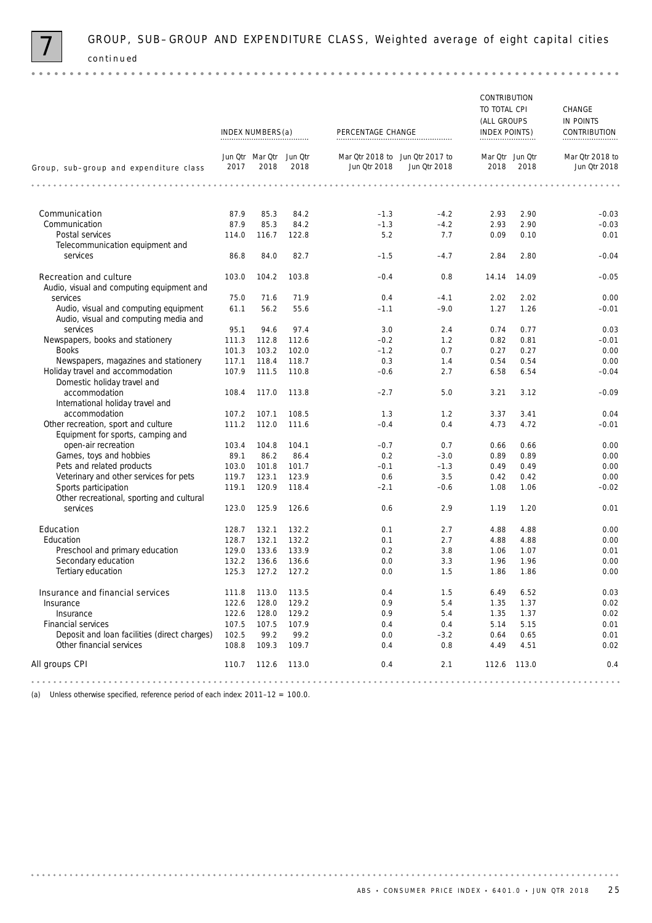

 $0.000$ 

GROUP, SUB-GROUP AND EXPENDITURE CLASS, Weighted average of eight capital cities *continued* 

| Jun Otr Mar Otr Jun Otr<br>Mar Qtr 2018 to Jun Qtr 2017 to<br>Mar Qtr Jun Qtr<br>2017<br>2018<br>2018<br>Jun Qtr 2018<br>2018<br>2018<br>Jun Qtr 2018<br>Group, sub-group and expenditure class<br>.<br>Communication<br>87.9<br>85.3<br>84.2<br>$-4.2$<br>2.90<br>$-1.3$<br>2.93<br>Communication<br>87.9<br>85.3<br>84.2<br>$-1.3$<br>$-4.2$<br>2.93<br>2.90<br>116.7<br>122.8<br>5.2<br>7.7<br>0.09<br>0.10<br>Postal services<br>114.0<br>Telecommunication equipment and<br>services<br>86.8<br>84.0<br>82.7<br>$-1.5$<br>$-4.7$<br>2.84<br>2.80<br><b>Recreation and culture</b><br>103.0<br>103.8<br>104.2<br>$-0.4$<br>0.8<br>14.14<br>14.09<br>Audio, visual and computing equipment and<br>services<br>75.0<br>71.6<br>71.9<br>0.4<br>$-4.1$<br>2.02<br>2.02<br>Audio, visual and computing equipment<br>61.1<br>56.2<br>55.6<br>$-1.1$<br>$-9.0$<br>1.27<br>1.26<br>Audio, visual and computing media and<br>services<br>95.1<br>3.0<br>0.74<br>0.77<br>94.6<br>97.4<br>2.4<br>Newspapers, books and stationery<br>111.3<br>112.8<br>112.6<br>$-0.2$<br>0.82<br>0.81<br>1.2<br><b>Books</b><br>103.2<br>102.0<br>$-1.2$<br>0.7<br>0.27<br>101.3<br>0.27<br>Newspapers, magazines and stationery<br>0.3<br>0.54<br>117.1<br>118.4<br>118.7<br>1.4<br>0.54<br>Holiday travel and accommodation<br>107.9<br>111.5<br>110.8<br>2.7<br>6.58<br>6.54<br>$-0.6$<br>Domestic holiday travel and<br>accommodation<br>108.4<br>117.0<br>3.21<br>113.8<br>$-2.7$<br>5.0<br>3.12<br>International holiday travel and<br>accommodation<br>107.1<br>108.5<br>107.2<br>1.3<br>1.2<br>3.37<br>3.41<br>Other recreation, sport and culture<br>111.2<br>112.0<br>111.6<br>$-0.4$<br>0.4<br>4.73<br>4.72<br>Equipment for sports, camping and<br>open-air recreation<br>103.4<br>104.8<br>104.1<br>$-0.7$<br>0.7<br>0.66<br>0.66<br>Games, toys and hobbies<br>89.1<br>86.2<br>86.4<br>0.2<br>0.89<br>0.89<br>$-3.0$<br>Pets and related products<br>0.49<br>103.0<br>101.8<br>101.7<br>$-0.1$<br>$-1.3$<br>0.49<br>Veterinary and other services for pets<br>119.7<br>123.1<br>123.9<br>0.6<br>3.5<br>0.42<br>0.42<br>Sports participation<br>119.1<br>120.9<br>118.4<br>1.08<br>1.06<br>$-2.1$<br>$-0.6$<br>Other recreational, sporting and cultural<br>125.9<br>services<br>123.0<br>126.6<br>0.6<br>2.9<br>1.19<br>1.20<br>Education<br>2.7<br>4.88<br>128.7<br>132.1<br>132.2<br>0.1<br>4.88<br>Education<br>128.7<br>132.1<br>132.2<br>0.1<br>2.7<br>4.88<br>4.88<br>Preschool and primary education<br>129.0<br>133.6<br>133.9<br>3.8<br>1.07<br>0.2<br>1.06<br>Secondary education<br>132.2<br>136.6<br>3.3<br>1.96<br>136.6<br>0.0<br>1.96<br>Tertiary education<br>125.3<br>127.2<br>127.2<br>0.0<br>1.5<br>1.86<br>1.86<br>Insurance and financial services<br>111.8<br>113.0<br>113.5<br>0.4<br>1.5<br>6.49<br>6.52<br>Insurance<br>122.6<br>128.0<br>129.2<br>0.9<br>5.4<br>1.35<br>1.37<br>122.6<br>128.0<br>129.2<br>0.9<br>1.35<br>Insurance<br>5.4<br>1.37<br>Financial services<br>107.5<br>107.5<br>107.9<br>5.14<br>0.4<br>0.4<br>5.15<br>Deposit and loan facilities (direct charges)<br>102.5<br>99.2<br>99.2<br>0.64<br>0.0<br>$-3.2$<br>0.65<br>Other financial services<br>108.8<br>109.3<br>109.7<br>0.4<br>4.51<br>0.8<br>4.49<br>All groups CPI<br>110.7<br>112.6<br>113.0<br>0.4<br>2.1<br>112.6 113.0 |  | INDEX NUMBERS(a) | PERCENTAGE CHANGE | CONTRIBUTION<br>TO TOTAL CPI<br>(ALL GROUPS<br>INDEX POINTS) | CHANGE<br>IN POINTS<br>CONTRIBUTION |
|------------------------------------------------------------------------------------------------------------------------------------------------------------------------------------------------------------------------------------------------------------------------------------------------------------------------------------------------------------------------------------------------------------------------------------------------------------------------------------------------------------------------------------------------------------------------------------------------------------------------------------------------------------------------------------------------------------------------------------------------------------------------------------------------------------------------------------------------------------------------------------------------------------------------------------------------------------------------------------------------------------------------------------------------------------------------------------------------------------------------------------------------------------------------------------------------------------------------------------------------------------------------------------------------------------------------------------------------------------------------------------------------------------------------------------------------------------------------------------------------------------------------------------------------------------------------------------------------------------------------------------------------------------------------------------------------------------------------------------------------------------------------------------------------------------------------------------------------------------------------------------------------------------------------------------------------------------------------------------------------------------------------------------------------------------------------------------------------------------------------------------------------------------------------------------------------------------------------------------------------------------------------------------------------------------------------------------------------------------------------------------------------------------------------------------------------------------------------------------------------------------------------------------------------------------------------------------------------------------------------------------------------------------------------------------------------------------------------------------------------------------------------------------------------------------------------------------------------------------------------------------------------------------------------------------------------------------------------------------------------------------------------------------------------------------------------------------------------------------------------------------------------------------------------------------------------------------------------------------------------------------------------------------------------------------------------------|--|------------------|-------------------|--------------------------------------------------------------|-------------------------------------|
|                                                                                                                                                                                                                                                                                                                                                                                                                                                                                                                                                                                                                                                                                                                                                                                                                                                                                                                                                                                                                                                                                                                                                                                                                                                                                                                                                                                                                                                                                                                                                                                                                                                                                                                                                                                                                                                                                                                                                                                                                                                                                                                                                                                                                                                                                                                                                                                                                                                                                                                                                                                                                                                                                                                                                                                                                                                                                                                                                                                                                                                                                                                                                                                                                                                                                                                              |  |                  |                   |                                                              | Mar Qtr 2018 to<br>Jun Qtr 2018     |
|                                                                                                                                                                                                                                                                                                                                                                                                                                                                                                                                                                                                                                                                                                                                                                                                                                                                                                                                                                                                                                                                                                                                                                                                                                                                                                                                                                                                                                                                                                                                                                                                                                                                                                                                                                                                                                                                                                                                                                                                                                                                                                                                                                                                                                                                                                                                                                                                                                                                                                                                                                                                                                                                                                                                                                                                                                                                                                                                                                                                                                                                                                                                                                                                                                                                                                                              |  |                  |                   |                                                              |                                     |
|                                                                                                                                                                                                                                                                                                                                                                                                                                                                                                                                                                                                                                                                                                                                                                                                                                                                                                                                                                                                                                                                                                                                                                                                                                                                                                                                                                                                                                                                                                                                                                                                                                                                                                                                                                                                                                                                                                                                                                                                                                                                                                                                                                                                                                                                                                                                                                                                                                                                                                                                                                                                                                                                                                                                                                                                                                                                                                                                                                                                                                                                                                                                                                                                                                                                                                                              |  |                  |                   |                                                              | $-0.03$                             |
|                                                                                                                                                                                                                                                                                                                                                                                                                                                                                                                                                                                                                                                                                                                                                                                                                                                                                                                                                                                                                                                                                                                                                                                                                                                                                                                                                                                                                                                                                                                                                                                                                                                                                                                                                                                                                                                                                                                                                                                                                                                                                                                                                                                                                                                                                                                                                                                                                                                                                                                                                                                                                                                                                                                                                                                                                                                                                                                                                                                                                                                                                                                                                                                                                                                                                                                              |  |                  |                   |                                                              | $-0.03$                             |
|                                                                                                                                                                                                                                                                                                                                                                                                                                                                                                                                                                                                                                                                                                                                                                                                                                                                                                                                                                                                                                                                                                                                                                                                                                                                                                                                                                                                                                                                                                                                                                                                                                                                                                                                                                                                                                                                                                                                                                                                                                                                                                                                                                                                                                                                                                                                                                                                                                                                                                                                                                                                                                                                                                                                                                                                                                                                                                                                                                                                                                                                                                                                                                                                                                                                                                                              |  |                  |                   |                                                              | 0.01                                |
|                                                                                                                                                                                                                                                                                                                                                                                                                                                                                                                                                                                                                                                                                                                                                                                                                                                                                                                                                                                                                                                                                                                                                                                                                                                                                                                                                                                                                                                                                                                                                                                                                                                                                                                                                                                                                                                                                                                                                                                                                                                                                                                                                                                                                                                                                                                                                                                                                                                                                                                                                                                                                                                                                                                                                                                                                                                                                                                                                                                                                                                                                                                                                                                                                                                                                                                              |  |                  |                   |                                                              |                                     |
|                                                                                                                                                                                                                                                                                                                                                                                                                                                                                                                                                                                                                                                                                                                                                                                                                                                                                                                                                                                                                                                                                                                                                                                                                                                                                                                                                                                                                                                                                                                                                                                                                                                                                                                                                                                                                                                                                                                                                                                                                                                                                                                                                                                                                                                                                                                                                                                                                                                                                                                                                                                                                                                                                                                                                                                                                                                                                                                                                                                                                                                                                                                                                                                                                                                                                                                              |  |                  |                   |                                                              | $-0.04$                             |
|                                                                                                                                                                                                                                                                                                                                                                                                                                                                                                                                                                                                                                                                                                                                                                                                                                                                                                                                                                                                                                                                                                                                                                                                                                                                                                                                                                                                                                                                                                                                                                                                                                                                                                                                                                                                                                                                                                                                                                                                                                                                                                                                                                                                                                                                                                                                                                                                                                                                                                                                                                                                                                                                                                                                                                                                                                                                                                                                                                                                                                                                                                                                                                                                                                                                                                                              |  |                  |                   |                                                              | $-0.05$                             |
|                                                                                                                                                                                                                                                                                                                                                                                                                                                                                                                                                                                                                                                                                                                                                                                                                                                                                                                                                                                                                                                                                                                                                                                                                                                                                                                                                                                                                                                                                                                                                                                                                                                                                                                                                                                                                                                                                                                                                                                                                                                                                                                                                                                                                                                                                                                                                                                                                                                                                                                                                                                                                                                                                                                                                                                                                                                                                                                                                                                                                                                                                                                                                                                                                                                                                                                              |  |                  |                   |                                                              | 0.00                                |
|                                                                                                                                                                                                                                                                                                                                                                                                                                                                                                                                                                                                                                                                                                                                                                                                                                                                                                                                                                                                                                                                                                                                                                                                                                                                                                                                                                                                                                                                                                                                                                                                                                                                                                                                                                                                                                                                                                                                                                                                                                                                                                                                                                                                                                                                                                                                                                                                                                                                                                                                                                                                                                                                                                                                                                                                                                                                                                                                                                                                                                                                                                                                                                                                                                                                                                                              |  |                  |                   |                                                              | $-0.01$                             |
|                                                                                                                                                                                                                                                                                                                                                                                                                                                                                                                                                                                                                                                                                                                                                                                                                                                                                                                                                                                                                                                                                                                                                                                                                                                                                                                                                                                                                                                                                                                                                                                                                                                                                                                                                                                                                                                                                                                                                                                                                                                                                                                                                                                                                                                                                                                                                                                                                                                                                                                                                                                                                                                                                                                                                                                                                                                                                                                                                                                                                                                                                                                                                                                                                                                                                                                              |  |                  |                   |                                                              | 0.03                                |
|                                                                                                                                                                                                                                                                                                                                                                                                                                                                                                                                                                                                                                                                                                                                                                                                                                                                                                                                                                                                                                                                                                                                                                                                                                                                                                                                                                                                                                                                                                                                                                                                                                                                                                                                                                                                                                                                                                                                                                                                                                                                                                                                                                                                                                                                                                                                                                                                                                                                                                                                                                                                                                                                                                                                                                                                                                                                                                                                                                                                                                                                                                                                                                                                                                                                                                                              |  |                  |                   |                                                              | $-0.01$                             |
|                                                                                                                                                                                                                                                                                                                                                                                                                                                                                                                                                                                                                                                                                                                                                                                                                                                                                                                                                                                                                                                                                                                                                                                                                                                                                                                                                                                                                                                                                                                                                                                                                                                                                                                                                                                                                                                                                                                                                                                                                                                                                                                                                                                                                                                                                                                                                                                                                                                                                                                                                                                                                                                                                                                                                                                                                                                                                                                                                                                                                                                                                                                                                                                                                                                                                                                              |  |                  |                   |                                                              | 0.00                                |
|                                                                                                                                                                                                                                                                                                                                                                                                                                                                                                                                                                                                                                                                                                                                                                                                                                                                                                                                                                                                                                                                                                                                                                                                                                                                                                                                                                                                                                                                                                                                                                                                                                                                                                                                                                                                                                                                                                                                                                                                                                                                                                                                                                                                                                                                                                                                                                                                                                                                                                                                                                                                                                                                                                                                                                                                                                                                                                                                                                                                                                                                                                                                                                                                                                                                                                                              |  |                  |                   |                                                              | 0.00                                |
|                                                                                                                                                                                                                                                                                                                                                                                                                                                                                                                                                                                                                                                                                                                                                                                                                                                                                                                                                                                                                                                                                                                                                                                                                                                                                                                                                                                                                                                                                                                                                                                                                                                                                                                                                                                                                                                                                                                                                                                                                                                                                                                                                                                                                                                                                                                                                                                                                                                                                                                                                                                                                                                                                                                                                                                                                                                                                                                                                                                                                                                                                                                                                                                                                                                                                                                              |  |                  |                   |                                                              | $-0.04$                             |
|                                                                                                                                                                                                                                                                                                                                                                                                                                                                                                                                                                                                                                                                                                                                                                                                                                                                                                                                                                                                                                                                                                                                                                                                                                                                                                                                                                                                                                                                                                                                                                                                                                                                                                                                                                                                                                                                                                                                                                                                                                                                                                                                                                                                                                                                                                                                                                                                                                                                                                                                                                                                                                                                                                                                                                                                                                                                                                                                                                                                                                                                                                                                                                                                                                                                                                                              |  |                  |                   |                                                              | $-0.09$                             |
|                                                                                                                                                                                                                                                                                                                                                                                                                                                                                                                                                                                                                                                                                                                                                                                                                                                                                                                                                                                                                                                                                                                                                                                                                                                                                                                                                                                                                                                                                                                                                                                                                                                                                                                                                                                                                                                                                                                                                                                                                                                                                                                                                                                                                                                                                                                                                                                                                                                                                                                                                                                                                                                                                                                                                                                                                                                                                                                                                                                                                                                                                                                                                                                                                                                                                                                              |  |                  |                   |                                                              | 0.04                                |
|                                                                                                                                                                                                                                                                                                                                                                                                                                                                                                                                                                                                                                                                                                                                                                                                                                                                                                                                                                                                                                                                                                                                                                                                                                                                                                                                                                                                                                                                                                                                                                                                                                                                                                                                                                                                                                                                                                                                                                                                                                                                                                                                                                                                                                                                                                                                                                                                                                                                                                                                                                                                                                                                                                                                                                                                                                                                                                                                                                                                                                                                                                                                                                                                                                                                                                                              |  |                  |                   |                                                              | $-0.01$                             |
|                                                                                                                                                                                                                                                                                                                                                                                                                                                                                                                                                                                                                                                                                                                                                                                                                                                                                                                                                                                                                                                                                                                                                                                                                                                                                                                                                                                                                                                                                                                                                                                                                                                                                                                                                                                                                                                                                                                                                                                                                                                                                                                                                                                                                                                                                                                                                                                                                                                                                                                                                                                                                                                                                                                                                                                                                                                                                                                                                                                                                                                                                                                                                                                                                                                                                                                              |  |                  |                   |                                                              | 0.00                                |
|                                                                                                                                                                                                                                                                                                                                                                                                                                                                                                                                                                                                                                                                                                                                                                                                                                                                                                                                                                                                                                                                                                                                                                                                                                                                                                                                                                                                                                                                                                                                                                                                                                                                                                                                                                                                                                                                                                                                                                                                                                                                                                                                                                                                                                                                                                                                                                                                                                                                                                                                                                                                                                                                                                                                                                                                                                                                                                                                                                                                                                                                                                                                                                                                                                                                                                                              |  |                  |                   |                                                              | 0.00                                |
|                                                                                                                                                                                                                                                                                                                                                                                                                                                                                                                                                                                                                                                                                                                                                                                                                                                                                                                                                                                                                                                                                                                                                                                                                                                                                                                                                                                                                                                                                                                                                                                                                                                                                                                                                                                                                                                                                                                                                                                                                                                                                                                                                                                                                                                                                                                                                                                                                                                                                                                                                                                                                                                                                                                                                                                                                                                                                                                                                                                                                                                                                                                                                                                                                                                                                                                              |  |                  |                   |                                                              | 0.00                                |
|                                                                                                                                                                                                                                                                                                                                                                                                                                                                                                                                                                                                                                                                                                                                                                                                                                                                                                                                                                                                                                                                                                                                                                                                                                                                                                                                                                                                                                                                                                                                                                                                                                                                                                                                                                                                                                                                                                                                                                                                                                                                                                                                                                                                                                                                                                                                                                                                                                                                                                                                                                                                                                                                                                                                                                                                                                                                                                                                                                                                                                                                                                                                                                                                                                                                                                                              |  |                  |                   |                                                              | 0.00                                |
|                                                                                                                                                                                                                                                                                                                                                                                                                                                                                                                                                                                                                                                                                                                                                                                                                                                                                                                                                                                                                                                                                                                                                                                                                                                                                                                                                                                                                                                                                                                                                                                                                                                                                                                                                                                                                                                                                                                                                                                                                                                                                                                                                                                                                                                                                                                                                                                                                                                                                                                                                                                                                                                                                                                                                                                                                                                                                                                                                                                                                                                                                                                                                                                                                                                                                                                              |  |                  |                   |                                                              | $-0.02$                             |
|                                                                                                                                                                                                                                                                                                                                                                                                                                                                                                                                                                                                                                                                                                                                                                                                                                                                                                                                                                                                                                                                                                                                                                                                                                                                                                                                                                                                                                                                                                                                                                                                                                                                                                                                                                                                                                                                                                                                                                                                                                                                                                                                                                                                                                                                                                                                                                                                                                                                                                                                                                                                                                                                                                                                                                                                                                                                                                                                                                                                                                                                                                                                                                                                                                                                                                                              |  |                  |                   |                                                              | 0.01                                |
|                                                                                                                                                                                                                                                                                                                                                                                                                                                                                                                                                                                                                                                                                                                                                                                                                                                                                                                                                                                                                                                                                                                                                                                                                                                                                                                                                                                                                                                                                                                                                                                                                                                                                                                                                                                                                                                                                                                                                                                                                                                                                                                                                                                                                                                                                                                                                                                                                                                                                                                                                                                                                                                                                                                                                                                                                                                                                                                                                                                                                                                                                                                                                                                                                                                                                                                              |  |                  |                   |                                                              | 0.00                                |
|                                                                                                                                                                                                                                                                                                                                                                                                                                                                                                                                                                                                                                                                                                                                                                                                                                                                                                                                                                                                                                                                                                                                                                                                                                                                                                                                                                                                                                                                                                                                                                                                                                                                                                                                                                                                                                                                                                                                                                                                                                                                                                                                                                                                                                                                                                                                                                                                                                                                                                                                                                                                                                                                                                                                                                                                                                                                                                                                                                                                                                                                                                                                                                                                                                                                                                                              |  |                  |                   |                                                              | 0.00                                |
|                                                                                                                                                                                                                                                                                                                                                                                                                                                                                                                                                                                                                                                                                                                                                                                                                                                                                                                                                                                                                                                                                                                                                                                                                                                                                                                                                                                                                                                                                                                                                                                                                                                                                                                                                                                                                                                                                                                                                                                                                                                                                                                                                                                                                                                                                                                                                                                                                                                                                                                                                                                                                                                                                                                                                                                                                                                                                                                                                                                                                                                                                                                                                                                                                                                                                                                              |  |                  |                   |                                                              | 0.01                                |
|                                                                                                                                                                                                                                                                                                                                                                                                                                                                                                                                                                                                                                                                                                                                                                                                                                                                                                                                                                                                                                                                                                                                                                                                                                                                                                                                                                                                                                                                                                                                                                                                                                                                                                                                                                                                                                                                                                                                                                                                                                                                                                                                                                                                                                                                                                                                                                                                                                                                                                                                                                                                                                                                                                                                                                                                                                                                                                                                                                                                                                                                                                                                                                                                                                                                                                                              |  |                  |                   |                                                              | 0.00                                |
|                                                                                                                                                                                                                                                                                                                                                                                                                                                                                                                                                                                                                                                                                                                                                                                                                                                                                                                                                                                                                                                                                                                                                                                                                                                                                                                                                                                                                                                                                                                                                                                                                                                                                                                                                                                                                                                                                                                                                                                                                                                                                                                                                                                                                                                                                                                                                                                                                                                                                                                                                                                                                                                                                                                                                                                                                                                                                                                                                                                                                                                                                                                                                                                                                                                                                                                              |  |                  |                   |                                                              | 0.00                                |
|                                                                                                                                                                                                                                                                                                                                                                                                                                                                                                                                                                                                                                                                                                                                                                                                                                                                                                                                                                                                                                                                                                                                                                                                                                                                                                                                                                                                                                                                                                                                                                                                                                                                                                                                                                                                                                                                                                                                                                                                                                                                                                                                                                                                                                                                                                                                                                                                                                                                                                                                                                                                                                                                                                                                                                                                                                                                                                                                                                                                                                                                                                                                                                                                                                                                                                                              |  |                  |                   |                                                              |                                     |
|                                                                                                                                                                                                                                                                                                                                                                                                                                                                                                                                                                                                                                                                                                                                                                                                                                                                                                                                                                                                                                                                                                                                                                                                                                                                                                                                                                                                                                                                                                                                                                                                                                                                                                                                                                                                                                                                                                                                                                                                                                                                                                                                                                                                                                                                                                                                                                                                                                                                                                                                                                                                                                                                                                                                                                                                                                                                                                                                                                                                                                                                                                                                                                                                                                                                                                                              |  |                  |                   |                                                              | 0.03                                |
|                                                                                                                                                                                                                                                                                                                                                                                                                                                                                                                                                                                                                                                                                                                                                                                                                                                                                                                                                                                                                                                                                                                                                                                                                                                                                                                                                                                                                                                                                                                                                                                                                                                                                                                                                                                                                                                                                                                                                                                                                                                                                                                                                                                                                                                                                                                                                                                                                                                                                                                                                                                                                                                                                                                                                                                                                                                                                                                                                                                                                                                                                                                                                                                                                                                                                                                              |  |                  |                   |                                                              | 0.02                                |
|                                                                                                                                                                                                                                                                                                                                                                                                                                                                                                                                                                                                                                                                                                                                                                                                                                                                                                                                                                                                                                                                                                                                                                                                                                                                                                                                                                                                                                                                                                                                                                                                                                                                                                                                                                                                                                                                                                                                                                                                                                                                                                                                                                                                                                                                                                                                                                                                                                                                                                                                                                                                                                                                                                                                                                                                                                                                                                                                                                                                                                                                                                                                                                                                                                                                                                                              |  |                  |                   |                                                              | 0.02                                |
|                                                                                                                                                                                                                                                                                                                                                                                                                                                                                                                                                                                                                                                                                                                                                                                                                                                                                                                                                                                                                                                                                                                                                                                                                                                                                                                                                                                                                                                                                                                                                                                                                                                                                                                                                                                                                                                                                                                                                                                                                                                                                                                                                                                                                                                                                                                                                                                                                                                                                                                                                                                                                                                                                                                                                                                                                                                                                                                                                                                                                                                                                                                                                                                                                                                                                                                              |  |                  |                   |                                                              | 0.01                                |
|                                                                                                                                                                                                                                                                                                                                                                                                                                                                                                                                                                                                                                                                                                                                                                                                                                                                                                                                                                                                                                                                                                                                                                                                                                                                                                                                                                                                                                                                                                                                                                                                                                                                                                                                                                                                                                                                                                                                                                                                                                                                                                                                                                                                                                                                                                                                                                                                                                                                                                                                                                                                                                                                                                                                                                                                                                                                                                                                                                                                                                                                                                                                                                                                                                                                                                                              |  |                  |                   |                                                              | 0.01<br>0.02                        |
|                                                                                                                                                                                                                                                                                                                                                                                                                                                                                                                                                                                                                                                                                                                                                                                                                                                                                                                                                                                                                                                                                                                                                                                                                                                                                                                                                                                                                                                                                                                                                                                                                                                                                                                                                                                                                                                                                                                                                                                                                                                                                                                                                                                                                                                                                                                                                                                                                                                                                                                                                                                                                                                                                                                                                                                                                                                                                                                                                                                                                                                                                                                                                                                                                                                                                                                              |  |                  |                   |                                                              | 0.4                                 |
|                                                                                                                                                                                                                                                                                                                                                                                                                                                                                                                                                                                                                                                                                                                                                                                                                                                                                                                                                                                                                                                                                                                                                                                                                                                                                                                                                                                                                                                                                                                                                                                                                                                                                                                                                                                                                                                                                                                                                                                                                                                                                                                                                                                                                                                                                                                                                                                                                                                                                                                                                                                                                                                                                                                                                                                                                                                                                                                                                                                                                                                                                                                                                                                                                                                                                                                              |  |                  |                   |                                                              |                                     |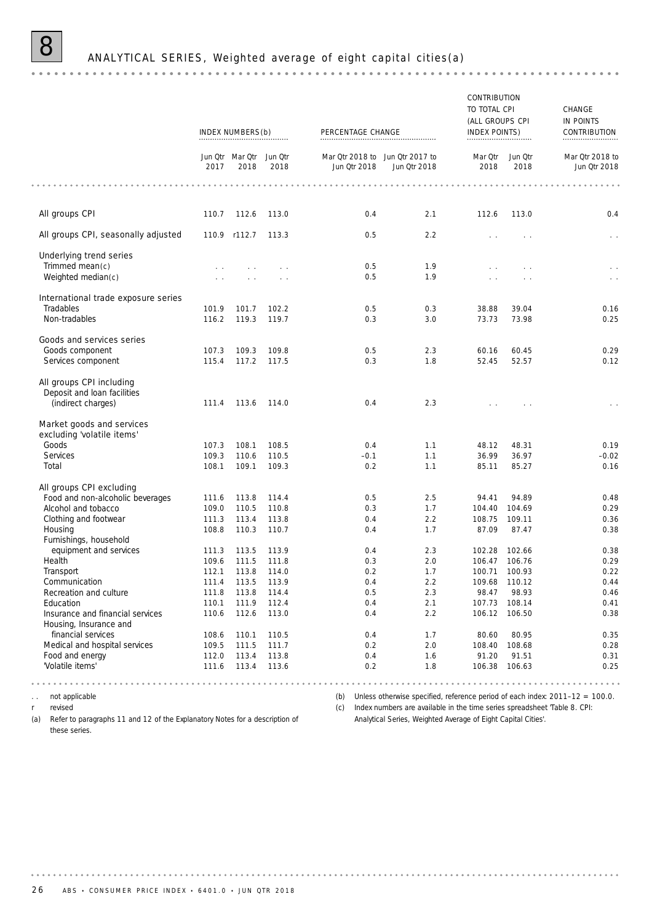# 8 ANALYTICAL SERIES, Weighted average of eight capital cities(a)

|                                                         |                | INDEX NUMBERS(b)                | . <b>.</b>     | PERCENTAGE CHANGE                               |              | CONTRIBUTION<br>TO TOTAL CPI<br>(ALL GROUPS CPI<br>INDEX POINTS) |                 | CHANGE<br>IN POINTS<br>CONTRIBUTION                                                 |
|---------------------------------------------------------|----------------|---------------------------------|----------------|-------------------------------------------------|--------------|------------------------------------------------------------------|-----------------|-------------------------------------------------------------------------------------|
|                                                         | 2017           | Jun Qtr Mar Qtr Jun Qtr<br>2018 | 2018           | Mar Qtr 2018 to Jun Qtr 2017 to<br>Jun Qtr 2018 | Jun Qtr 2018 | Mar Qtr<br>2018                                                  | Jun Qtr<br>2018 | Mar Qtr 2018 to<br>Jun Otr 2018                                                     |
|                                                         |                |                                 |                |                                                 |              |                                                                  |                 |                                                                                     |
| All groups CPI                                          | 110.7          | 112.6                           | 113.0          | 0.4                                             | 2.1          | 112.6                                                            | 113.0           | 0.4                                                                                 |
| All groups CPI, seasonally adjusted                     |                | 110.9 r112.7                    | 113.3          | 0.5                                             | 2.2          | $\sim$                                                           |                 |                                                                                     |
| <b>Underlying trend series</b>                          |                |                                 |                |                                                 |              |                                                                  |                 |                                                                                     |
| Trimmed mean(c)                                         |                | $\sim$                          |                | 0.5                                             | 1.9          | $\sim$                                                           |                 | $\sim$ $\sim$                                                                       |
| Weighted median(c)                                      |                |                                 |                | 0.5                                             | 1.9          |                                                                  |                 | $\epsilon \rightarrow$                                                              |
| International trade exposure series                     |                |                                 |                |                                                 |              |                                                                  |                 |                                                                                     |
| Tradables                                               | 101.9          | 101.7                           | 102.2          | 0.5                                             | 0.3          | 38.88                                                            | 39.04           | 0.16                                                                                |
| Non-tradables                                           | 116.2          | 119.3                           | 119.7          | 0.3                                             | 3.0          | 73.73                                                            | 73.98           | 0.25                                                                                |
| Goods and services series                               |                |                                 |                |                                                 |              |                                                                  |                 |                                                                                     |
| Goods component                                         | 107.3          | 109.3                           | 109.8          | 0.5                                             | 2.3          | 60.16                                                            | 60.45           | 0.29                                                                                |
| Services component                                      | 115.4          | 117.2                           | 117.5          | 0.3                                             | 1.8          | 52.45                                                            | 52.57           | 0.12                                                                                |
| All groups CPI including<br>Deposit and loan facilities |                |                                 |                |                                                 |              |                                                                  |                 |                                                                                     |
| (indirect charges)                                      | 111.4          | 113.6                           | 114.0          | 0.4                                             | 2.3          |                                                                  |                 | $\sim$ $\sim$                                                                       |
| Market goods and services<br>excluding 'volatile items' |                |                                 |                |                                                 |              |                                                                  |                 |                                                                                     |
| Goods                                                   | 107.3          | 108.1                           | 108.5          | 0.4                                             | 1.1          | 48.12                                                            | 48.31           | 0.19                                                                                |
| Services                                                | 109.3          | 110.6                           | 110.5          | $-0.1$                                          | 1.1          | 36.99                                                            | 36.97           | $-0.02$                                                                             |
| Total                                                   | 108.1          | 109.1                           | 109.3          | 0.2                                             | 1.1          | 85.11                                                            | 85.27           | 0.16                                                                                |
| All groups CPI excluding                                |                |                                 |                |                                                 |              |                                                                  |                 |                                                                                     |
| Food and non-alcoholic beverages                        | 111.6          | 113.8                           | 114.4          | 0.5                                             | 2.5          | 94.41                                                            | 94.89           | 0.48                                                                                |
| Alcohol and tobacco                                     | 109.0          | 110.5                           | 110.8          | 0.3                                             | 1.7          | 104.40                                                           | 104.69          | 0.29                                                                                |
| Clothing and footwear                                   | 111.3          | 113.4                           | 113.8          | 0.4                                             | 2.2          | 108.75                                                           | 109.11          | 0.36                                                                                |
| Housing                                                 | 108.8          | 110.3                           | 110.7          | 0.4                                             | 1.7          | 87.09                                                            | 87.47           | 0.38                                                                                |
| Furnishings, household                                  |                |                                 |                |                                                 |              |                                                                  |                 |                                                                                     |
| equipment and services                                  | 111.3          | 113.5                           | 113.9          | 0.4                                             | 2.3          | 102.28                                                           | 102.66          | 0.38                                                                                |
| Health                                                  | 109.6          | 111.5                           | 111.8          | 0.3                                             | 2.0          | 106.47                                                           | 106.76          | 0.29                                                                                |
| Transport<br>Communication                              | 112.1          | 113.8<br>113.5                  | 114.0<br>113.9 | 0.2<br>0.4                                      | 1.7<br>2.2   | 100.71<br>109.68 110.12                                          | 100.93          | 0.22<br>0.44                                                                        |
| Recreation and culture                                  | 111.4<br>111.8 | 113.8                           | 114.4          | 0.5                                             | 2.3          | 98.47                                                            | 98.93           | 0.46                                                                                |
| Education                                               | 110.1          | 111.9                           | 112.4          | 0.4                                             | 2.1          | 107.73                                                           | 108.14          | 0.41                                                                                |
| Insurance and financial services                        | 110.6          | 112.6                           | 113.0          | 0.4                                             | 2.2          | 106.12                                                           | 106.50          | 0.38                                                                                |
| Housing, Insurance and                                  |                |                                 |                |                                                 |              |                                                                  |                 |                                                                                     |
| financial services                                      | 108.6          | 110.1                           | 110.5          | 0.4                                             | 1.7          | 80.60                                                            | 80.95           | 0.35                                                                                |
| Medical and hospital services                           | 109.5          | 111.5                           | 111.7          | 0.2                                             | 2.0          | 108.40                                                           | 108.68          | 0.28                                                                                |
| Food and energy                                         | 112.0          | 113.4                           | 113.8          | 0.4                                             | 1.6          | 91.20                                                            | 91.51           | 0.31                                                                                |
| 'Volatile items'                                        | 111.6          | 113.4                           | 113.6          | 0.2                                             | 1.8          | 106.38                                                           | 106.63          | 0.25                                                                                |
| not applicable                                          |                |                                 |                |                                                 |              | .<br>$- - - - -$                                                 |                 | (b) Unless otherwise specified, reference period of each index: $2011-12 = 100.0$ . |

r revised

(a) Refer to paragraphs 11 and 12 of the Explanatory Notes for a description of these series.

(c) Index numbers are available in the time series spreadsheet 'Table 8. CPI: Analytical Series, Weighted Average of Eight Capital Cities'.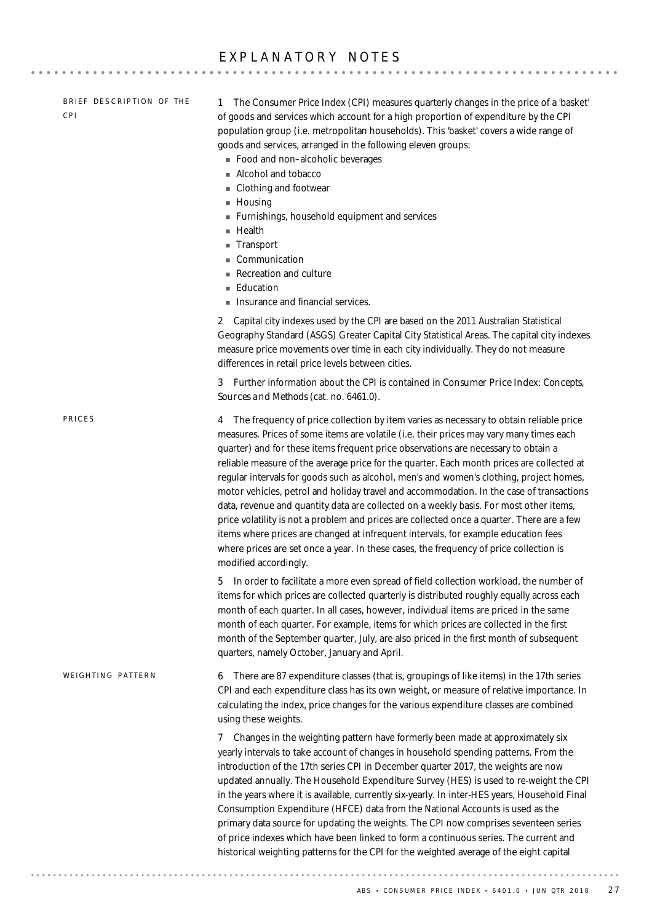## EXPLANATORY NOTES

| BRIEF DESCRIPTION OF THE<br><b>CPI</b> | The Consumer Price Index (CPI) measures quarterly changes in the price of a 'basket'<br>1.<br>of goods and services which account for a high proportion of expenditure by the CPI<br>population group (i.e. metropolitan households). This 'basket' covers a wide range of<br>goods and services, arranged in the following eleven groups:<br>Food and non-alcoholic beverages<br>Alcohol and tobacco<br>Clothing and footwear<br>$\blacksquare$ Housing<br>Furnishings, household equipment and services<br>$H$ ealth<br>■ Transport<br>Communication<br>Recreation and culture<br><b>Education</b><br>Insurance and financial services.                                                                                                                                                                                                                                                                                                                         |
|----------------------------------------|-------------------------------------------------------------------------------------------------------------------------------------------------------------------------------------------------------------------------------------------------------------------------------------------------------------------------------------------------------------------------------------------------------------------------------------------------------------------------------------------------------------------------------------------------------------------------------------------------------------------------------------------------------------------------------------------------------------------------------------------------------------------------------------------------------------------------------------------------------------------------------------------------------------------------------------------------------------------|
|                                        | Capital city indexes used by the CPI are based on the 2011 Australian Statistical<br>$\mathbf{2}$<br>Geography Standard (ASGS) Greater Capital City Statistical Areas. The capital city indexes<br>measure price movements over time in each city individually. They do not measure<br>differences in retail price levels between cities.                                                                                                                                                                                                                                                                                                                                                                                                                                                                                                                                                                                                                         |
|                                        | 3 Further information about the CPI is contained in <i>Consumer Price Index: Concepts</i> ,<br>Sources and Methods (cat. no. 6461.0).                                                                                                                                                                                                                                                                                                                                                                                                                                                                                                                                                                                                                                                                                                                                                                                                                             |
| PRICES                                 | The frequency of price collection by item varies as necessary to obtain reliable price<br>4<br>measures. Prices of some items are volatile (i.e. their prices may vary many times each<br>quarter) and for these items frequent price observations are necessary to obtain a<br>reliable measure of the average price for the quarter. Each month prices are collected at<br>regular intervals for goods such as alcohol, men's and women's clothing, project homes,<br>motor vehicles, petrol and holiday travel and accommodation. In the case of transactions<br>data, revenue and quantity data are collected on a weekly basis. For most other items,<br>price volatility is not a problem and prices are collected once a quarter. There are a few<br>items where prices are changed at infrequent intervals, for example education fees<br>where prices are set once a year. In these cases, the frequency of price collection is<br>modified accordingly. |
|                                        | In order to facilitate a more even spread of field collection workload, the number of<br>5.<br>items for which prices are collected quarterly is distributed roughly equally across each<br>month of each quarter. In all cases, however, individual items are priced in the same<br>month of each quarter. For example, items for which prices are collected in the first<br>month of the September quarter, July, are also priced in the first month of subsequent<br>quarters, namely October, January and April.                                                                                                                                                                                                                                                                                                                                                                                                                                              |
| WEIGHTING PATTERN                      | 6 There are 87 expenditure classes (that is, groupings of like items) in the 17th series<br>CPI and each expenditure class has its own weight, or measure of relative importance. In<br>calculating the index, price changes for the various expenditure classes are combined<br>using these weights.                                                                                                                                                                                                                                                                                                                                                                                                                                                                                                                                                                                                                                                             |
|                                        | Changes in the weighting pattern have formerly been made at approximately six<br>7<br>yearly intervals to take account of changes in household spending patterns. From the<br>introduction of the 17th series CPI in December quarter 2017, the weights are now<br>updated annually. The Household Expenditure Survey (HES) is used to re-weight the CPI<br>in the years where it is available, currently six-yearly. In inter-HES years, Household Final<br>Consumption Expenditure (HFCE) data from the National Accounts is used as the<br>primary data source for updating the weights. The CPI now comprises seventeen series<br>of price indexes which have been linked to form a continuous series. The current and<br>historical weighting patterns for the CPI for the weighted average of the eight capital                                                                                                                                             |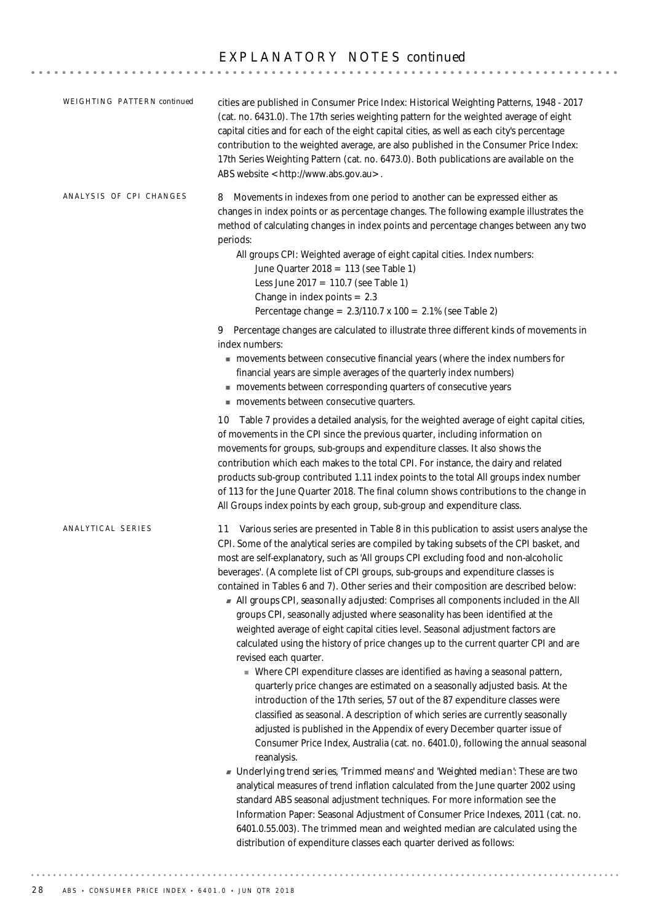| WEIGHTING PATTERN continued | cities are published in Consumer Price Index: Historical Weighting Patterns, 1948 - 2017<br>(cat. no. 6431.0). The 17th series weighting pattern for the weighted average of eight<br>capital cities and for each of the eight capital cities, as well as each city's percentage<br>contribution to the weighted average, are also published in the Consumer Price Index:<br>17th Series Weighting Pattern (cat. no. 6473.0). Both publications are available on the<br>ABS website <http: www.abs.gov.au="">.</http:>                                                                                                                                                                                                                                                                                                                                                                                                                                                                                                                                                                                                                                                                                                                                                                                                                                                                                                                                                                                                                                                                                                                                                                                                                                                                                                                             |
|-----------------------------|----------------------------------------------------------------------------------------------------------------------------------------------------------------------------------------------------------------------------------------------------------------------------------------------------------------------------------------------------------------------------------------------------------------------------------------------------------------------------------------------------------------------------------------------------------------------------------------------------------------------------------------------------------------------------------------------------------------------------------------------------------------------------------------------------------------------------------------------------------------------------------------------------------------------------------------------------------------------------------------------------------------------------------------------------------------------------------------------------------------------------------------------------------------------------------------------------------------------------------------------------------------------------------------------------------------------------------------------------------------------------------------------------------------------------------------------------------------------------------------------------------------------------------------------------------------------------------------------------------------------------------------------------------------------------------------------------------------------------------------------------------------------------------------------------------------------------------------------------|
| ANALYSIS OF CPI CHANGES     | Movements in indexes from one period to another can be expressed either as<br>8<br>changes in index points or as percentage changes. The following example illustrates the<br>method of calculating changes in index points and percentage changes between any two<br>periods:<br>All groups CPI: Weighted average of eight capital cities. Index numbers:<br>June Quarter 2018 = 113 (see Table 1)<br>Less June 2017 = 110.7 (see Table 1)<br>Change in index points $= 2.3$<br>Percentage change = $2.3/110.7 \times 100 = 2.1\%$ (see Table 2)                                                                                                                                                                                                                                                                                                                                                                                                                                                                                                                                                                                                                                                                                                                                                                                                                                                                                                                                                                                                                                                                                                                                                                                                                                                                                                  |
|                             | 9 Percentage changes are calculated to illustrate three different kinds of movements in<br>index numbers:<br>movements between consecutive financial years (where the index numbers for<br>financial years are simple averages of the quarterly index numbers)<br>movements between corresponding quarters of consecutive years<br>movements between consecutive quarters.                                                                                                                                                                                                                                                                                                                                                                                                                                                                                                                                                                                                                                                                                                                                                                                                                                                                                                                                                                                                                                                                                                                                                                                                                                                                                                                                                                                                                                                                         |
|                             | 10 Table 7 provides a detailed analysis, for the weighted average of eight capital cities,<br>of movements in the CPI since the previous quarter, including information on<br>movements for groups, sub-groups and expenditure classes. It also shows the<br>contribution which each makes to the total CPI. For instance, the dairy and related<br>products sub-group contributed 1.11 index points to the total All groups index number<br>of 113 for the June Quarter 2018. The final column shows contributions to the change in<br>All Groups index points by each group, sub-group and expenditure class.                                                                                                                                                                                                                                                                                                                                                                                                                                                                                                                                                                                                                                                                                                                                                                                                                                                                                                                                                                                                                                                                                                                                                                                                                                    |
| ANALYTICAL SERIES           | 11 Various series are presented in Table 8 in this publication to assist users analyse the<br>CPI. Some of the analytical series are compiled by taking subsets of the CPI basket, and<br>most are self-explanatory, such as 'All groups CPI excluding food and non-alcoholic<br>beverages'. (A complete list of CPI groups, sub-groups and expenditure classes is<br>contained in Tables 6 and 7). Other series and their composition are described below:<br>All groups CPI, seasonally adjusted. Comprises all components included in the All<br>groups CPI, seasonally adjusted where seasonality has been identified at the<br>weighted average of eight capital cities level. Seasonal adjustment factors are<br>calculated using the history of price changes up to the current quarter CPI and are<br>revised each quarter.<br>• Where CPI expenditure classes are identified as having a seasonal pattern,<br>quarterly price changes are estimated on a seasonally adjusted basis. At the<br>introduction of the 17th series, 57 out of the 87 expenditure classes were<br>classified as seasonal. A description of which series are currently seasonally<br>adjusted is published in the Appendix of every December quarter issue of<br>Consumer Price Index, Australia (cat. no. 6401.0), following the annual seasonal<br>reanalysis.<br>Inderlying trend series, 'Trimmed means' and 'Weighted median! These are two<br>analytical measures of trend inflation calculated from the June quarter 2002 using<br>standard ABS seasonal adjustment techniques. For more information see the<br>Information Paper: Seasonal Adjustment of Consumer Price Indexes, 2011 (cat. no.<br>6401.0.55.003). The trimmed mean and weighted median are calculated using the<br>distribution of expenditure classes each quarter derived as follows: |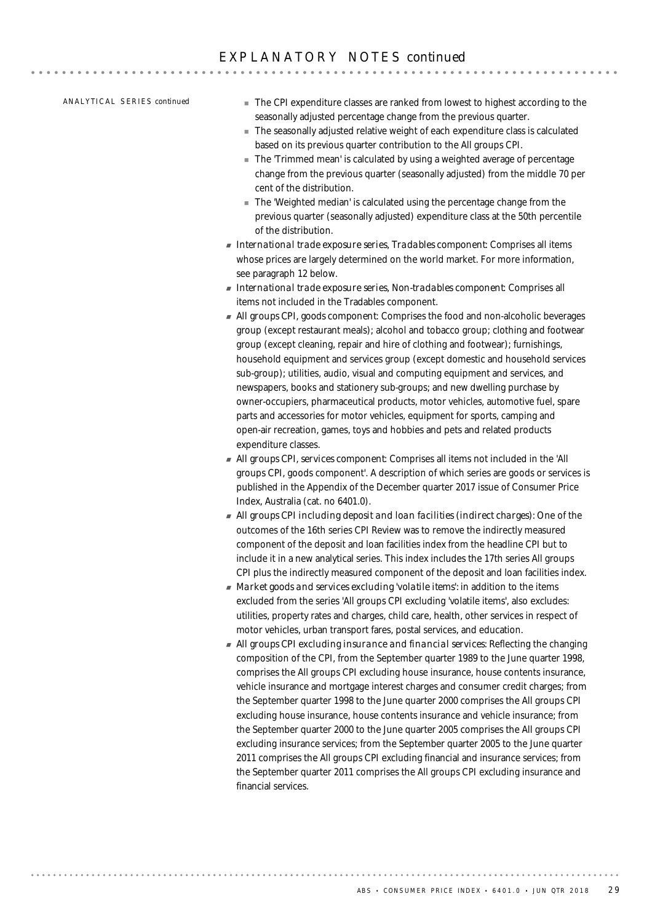AN A L Y T I C A L SE R I E S *continued*

- ! The CPI expenditure classes are ranked from lowest to highest according to the seasonally adjusted percentage change from the previous quarter.
- ! The seasonally adjusted relative weight of each expenditure class is calculated based on its previous quarter contribution to the All groups CPI.
- The 'Trimmed mean' is calculated by using a weighted average of percentage change from the previous quarter (seasonally adjusted) from the middle 70 per cent of the distribution.
- ! The 'Weighted median' is calculated using the percentage change from the previous quarter (seasonally adjusted) expenditure class at the 50th percentile of the distribution.
- ! *International trade exposure series, Tradables component*: Comprises all items whose prices are largely determined on the world market. For more information, see paragraph 12 below.
- ! *International trade exposure series, Non-tradables component*: Comprises all items not included in the Tradables component.
- ! *All groups CPI, goods component*: Comprises the food and non-alcoholic beverages group (except restaurant meals); alcohol and tobacco group; clothing and footwear group (except cleaning, repair and hire of clothing and footwear); furnishings, household equipment and services group (except domestic and household services sub-group); utilities, audio, visual and computing equipment and services, and newspapers, books and stationery sub-groups; and new dwelling purchase by owner-occupiers, pharmaceutical products, motor vehicles, automotive fuel, spare parts and accessories for motor vehicles, equipment for sports, camping and open-air recreation, games, toys and hobbies and pets and related products expenditure classes.
- ! *All groups CPI, services component*: Comprises all items not included in the 'All groups CPI, goods component'. A description of which series are goods or services is published in the Appendix of the December quarter 2017 issue of Consumer Price Index, Australia (cat. no 6401.0).
- ! *All groups CPI including deposit and loan facilities (indirect charges):* One of the outcomes of the 16th series CPI Review was to remove the indirectly measured component of the deposit and loan facilities index from the headline CPI but to include it in a new analytical series. This index includes the 17th series All groups CPI plus the indirectly measured component of the deposit and loan facilities index.
- ! *Market goods and services excluding 'volatile items':* in addition to the items excluded from the series 'All groups CPI excluding 'volatile items', also excludes: utilities, property rates and charges, child care, health, other services in respect of motor vehicles, urban transport fares, postal services, and education.
- ! *All groups CPI excluding insurance and financial services:* Reflecting the changing composition of the CPI, from the September quarter 1989 to the June quarter 1998, comprises the All groups CPI excluding house insurance, house contents insurance, vehicle insurance and mortgage interest charges and consumer credit charges; from the September quarter 1998 to the June quarter 2000 comprises the All groups CPI excluding house insurance, house contents insurance and vehicle insurance; from the September quarter 2000 to the June quarter 2005 comprises the All groups CPI excluding insurance services; from the September quarter 2005 to the June quarter 2011 comprises the All groups CPI excluding financial and insurance services; from the September quarter 2011 comprises the All groups CPI excluding insurance and financial services.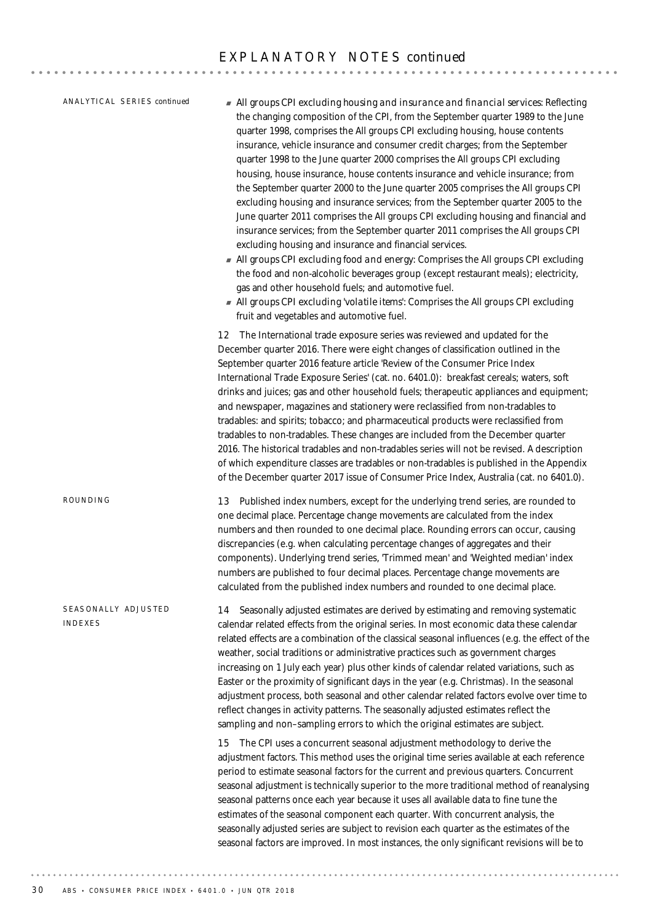$-$ 

14 Seasonally adjusted estimates are derived by estimating and removing systematic calendar related effects from the original series. In most economic data these calendar related effects are a combination of the classical seasonal influences (e.g. the effect of the weather, social traditions or administrative practices such as government charges increasing on 1 July each year) plus other kinds of calendar related variations, such as Easter or the proximity of significant days in the year (e.g. Christmas). In the seasonal adjustment process, both seasonal and other calendar related factors evolve over time to reflect changes in activity patterns. The seasonally adjusted estimates reflect the sampling and non–sampling errors to which the original estimates are subject. 15 The CPI uses a concurrent seasonal adjustment methodology to derive the adjustment factors. This method uses the original time series available at each reference period to estimate seasonal factors for the current and previous quarters. Concurrent seasonal adjustment is technically superior to the more traditional method of reanalysing seasonal patterns once each year because it uses all available data to fine tune the estimates of the seasonal component each quarter. With concurrent analysis, the seasonally adjusted series are subject to revision each quarter as the estimates of the seasonal factors are improved. In most instances, the only significant revisions will be to SEASONALLY ADJUSTED INDEXES 13 Published index numbers, except for the underlying trend series, are rounded to one decimal place. Percentage change movements are calculated from the index numbers and then rounded to one decimal place. Rounding errors can occur, causing discrepancies (e.g. when calculating percentage changes of aggregates and their components). Underlying trend series, 'Trimmed mean' and 'Weighted median' index numbers are published to four decimal places. Percentage change movements are calculated from the published index numbers and rounded to one decimal place. ROUNDING ! *All groups CPI excluding housing and insurance and financial services:* Reflecting the changing composition of the CPI, from the September quarter 1989 to the June quarter 1998, comprises the All groups CPI excluding housing, house contents insurance, vehicle insurance and consumer credit charges; from the September quarter 1998 to the June quarter 2000 comprises the All groups CPI excluding housing, house insurance, house contents insurance and vehicle insurance; from the September quarter 2000 to the June quarter 2005 comprises the All groups CPI excluding housing and insurance services; from the September quarter 2005 to the June quarter 2011 comprises the All groups CPI excluding housing and financial and insurance services; from the September quarter 2011 comprises the All groups CPI excluding housing and insurance and financial services. ! *All groups CPI excluding food and energy:* Comprises the All groups CPI excluding the food and non-alcoholic beverages group (except restaurant meals); electricity, gas and other household fuels; and automotive fuel. ! *All groups CPI excluding 'volatile items':* Comprises the All groups CPI excluding fruit and vegetables and automotive fuel. 12 The International trade exposure series was reviewed and updated for the December quarter 2016. There were eight changes of classification outlined in the September quarter 2016 feature article 'Review of the Consumer Price Index International Trade Exposure Series' (cat. no. 6401.0): breakfast cereals; waters, soft drinks and juices; gas and other household fuels; therapeutic appliances and equipment; and newspaper, magazines and stationery were reclassified from non-tradables to tradables: and spirits; tobacco; and pharmaceutical products were reclassified from tradables to non-tradables. These changes are included from the December quarter 2016. The historical tradables and non-tradables series will not be revised. A description of which expenditure classes are tradables or non-tradables is published in the Appendix of the December quarter 2017 issue of Consumer Price Index, Australia (cat. no 6401.0). AN A L Y T I C A L SE R I E S *continued*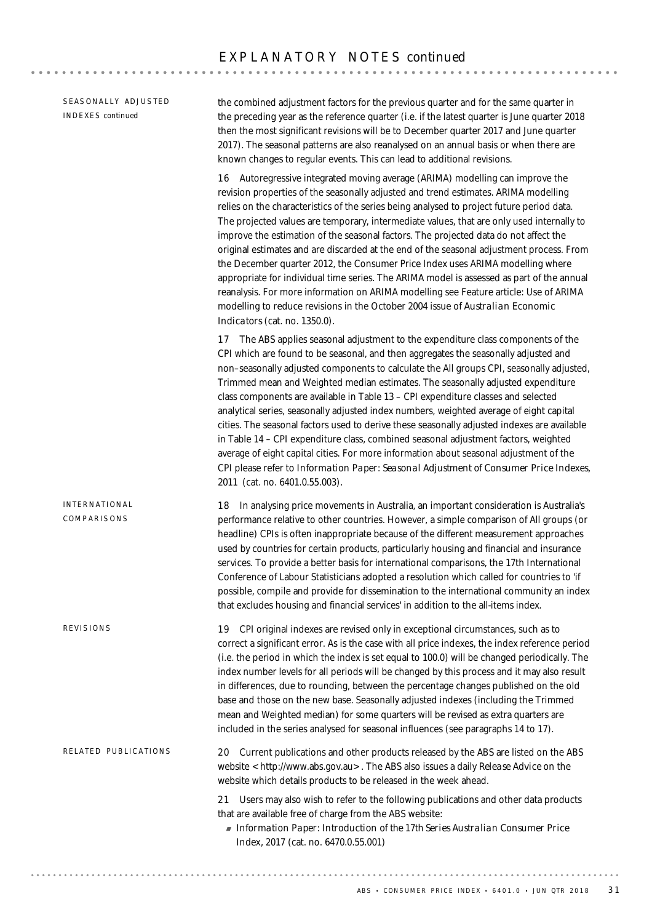SEASONALLY ADJUSTED INDEXES *continued*

the combined adjustment factors for the previous quarter and for the same quarter in the preceding year as the reference quarter (i.e. if the latest quarter is June quarter 2018 then the most significant revisions will be to December quarter 2017 and June quarter 2017). The seasonal patterns are also reanalysed on an annual basis or when there are known changes to regular events. This can lead to additional revisions.

16 Autoregressive integrated moving average (ARIMA) modelling can improve the revision properties of the seasonally adjusted and trend estimates. ARIMA modelling relies on the characteristics of the series being analysed to project future period data. The projected values are temporary, intermediate values, that are only used internally to improve the estimation of the seasonal factors. The projected data do not affect the original estimates and are discarded at the end of the seasonal adjustment process. From the December quarter 2012, the Consumer Price Index uses ARIMA modelling where appropriate for individual time series. The ARIMA model is assessed as part of the annual reanalysis. For more information on ARIMA modelling see Feature article: Use of ARIMA modelling to reduce revisions in the October 2004 issue of *Australian Economic Indicators* (cat. no. 1350.0).

17 The ABS applies seasonal adjustment to the expenditure class components of the CPI which are found to be seasonal, and then aggregates the seasonally adjusted and non–seasonally adjusted components to calculate the All groups CPI, seasonally adjusted, Trimmed mean and Weighted median estimates. The seasonally adjusted expenditure class components are available in Table 13 – CPI expenditure classes and selected analytical series, seasonally adjusted index numbers, weighted average of eight capital cities. The seasonal factors used to derive these seasonally adjusted indexes are available in Table 14 – CPI expenditure class, combined seasonal adjustment factors, weighted average of eight capital cities. For more information about seasonal adjustment of the CPI please refer to *Information Paper: Seasonal Adjustment of Consumer Price Indexes, 2011* (cat. no. 6401.0.55.003).

18 In analysing price movements in Australia, an important consideration is Australia's performance relative to other countries. However, a simple comparison of All groups (or headline) CPIs is often inappropriate because of the different measurement approaches used by countries for certain products, particularly housing and financial and insurance services. To provide a better basis for international comparisons, the 17th International Conference of Labour Statisticians adopted a resolution which called for countries to 'if possible, compile and provide for dissemination to the international community an index that excludes housing and financial services' in addition to the all-items index. INTERNATIONAL COMPARISONS

19 CPI original indexes are revised only in exceptional circumstances, such as to correct a significant error. As is the case with all price indexes, the index reference period (i.e. the period in which the index is set equal to 100.0) will be changed periodically. The index number levels for all periods will be changed by this process and it may also result in differences, due to rounding, between the percentage changes published on the old base and those on the new base. Seasonally adjusted indexes (including the Trimmed mean and Weighted median) for some quarters will be revised as extra quarters are included in the series analysed for seasonal influences (see paragraphs 14 to 17). REVISIONS

20 Current publications and other products released by the ABS are listed on the ABS website <http://www.abs.gov.au>. The ABS also issues a daily *Release Advice* on the website which details products to be released in the week ahead. RELATED PUBLICATIONS

> 21 Users may also wish to refer to the following publications and other data products that are available free of charge from the ABS website:

! *Information Paper: Introduction of the 17th Series Australian Consumer Price Index,* 2017 (cat. no. 6470.0.55.001)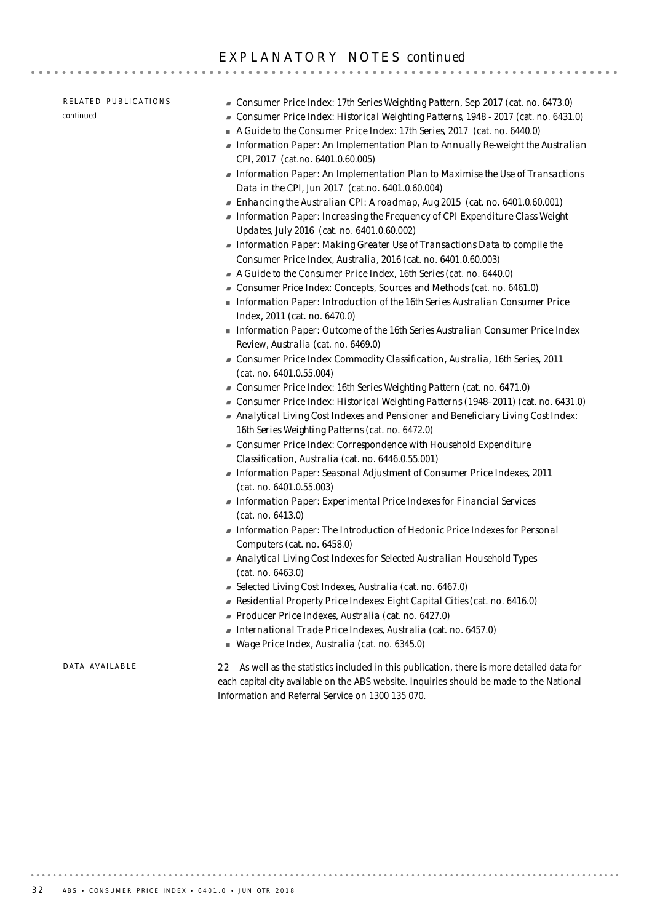### RELATED PUBLICATIONS *continued*

- ! *Consumer Price Index: 17th Series Weighting Pattern*, Sep 2017 (cat. no. 6473.0)
- ! *Consumer Price Index: Historical Weighting Patterns*, 1948 2017 (cat. no. 6431.0)
- ! *A Guide to the Consumer Price Index: 17th Series*, 2017 (cat. no. 6440.0)
- ! *Information Paper: An Implementation Plan to Annually Re-weight the Australian CPI,* 2017 (cat.no. 6401.0.60.005)
- ! *Information Paper: An Implementation Plan to Maximise the Use of Transactions Data in the CPI,* Jun 2017 (cat.no. 6401.0.60.004)
- ! *Enhancing the Australian CPI: A roadmap, Aug 2015* (cat. no. 6401.0.60.001)
- ! *Information Paper: Increasing the Frequency of CPI Expenditure Class Weight Updates, July 2016* (cat. no. 6401.0.60.002)
- ! *Information Paper: Making Greater Use of Transactions Data to compile the Consumer Price Index, Australia, 2016* (cat. no. 6401.0.60.003)
- ! *A Guide to the Consumer Price Index, 16th Series* (cat. no. 6440.0)
- ! Consumer Price Index: Concepts, Sources and Methods (cat. no. 6461.0)
- ! *Information Paper: Introduction of the 16th Series Australian Consumer Price Index, 2011* (cat. no. 6470.0)
- ! *Information Paper: Outcome of the 16th Series Australian Consumer Price Index Review, Australia* (cat. no. 6469.0)
- ! *Consumer Price Index Commodity Classification, Australia, 16th Series, 2011* (cat. no. 6401.0.55.004)
- ! *Consumer Price Index: 16th Series Weighting Pattern* (cat. no. 6471.0)
- ! *Consumer Price Index: Historical Weighting Patterns (1948–2011)* (cat. no. 6431.0)
- ! *Analytical Living Cost Indexes and Pensioner and Beneficiary Living Cost Index: 16th Series Weighting Patterns* (cat. no. 6472.0)
- ! *Consumer Price Index: Correspondence with Household Expenditure Classification, Australia* (cat. no. 6446.0.55.001)
- ! *Information Paper: Seasonal Adjustment of Consumer Price Indexes, 2011* (cat. no. 6401.0.55.003)
- ! *Information Paper: Experimental Price Indexes for Financial Services* (cat. no. 6413.0)
- ! *Information Paper: The Introduction of Hedonic Price Indexes for Personal Computers* (cat. no. 6458.0)
- ! *Analytical Living Cost Indexes for Selected Australian Household Types* (cat. no. 6463.0)
- ! *Selected Living Cost Indexes, Australia* (cat. no. 6467.0)
- ! *Residential Property Price Indexes: Eight Capital Cities* (cat. no. 6416.0)
- ! *Producer Price Indexes, Australia* (cat. no. 6427.0)
- ! *International Trade Price Indexes, Australia* (cat. no. 6457.0)
- ! *Wage Price Index, Australia* (cat. no. 6345.0)

### DATA AVAILARLE

22 As well as the statistics included in this publication, there is more detailed data for each capital city available on the ABS website. Inquiries should be made to the National Information and Referral Service on 1300 135 070.